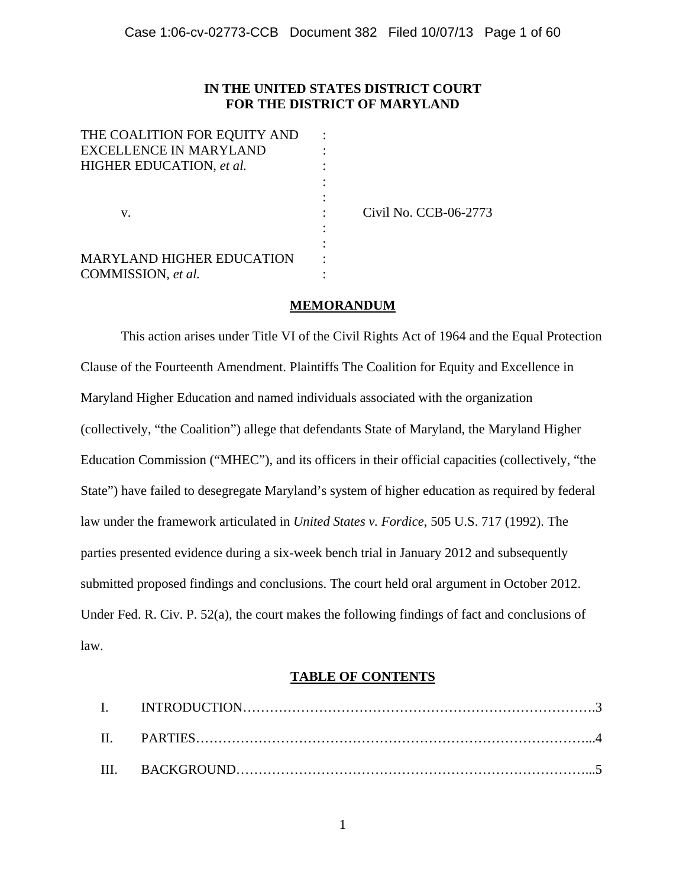# **IN THE UNITED STATES DISTRICT COURT FOR THE DISTRICT OF MARYLAND**

| THE COALITION FOR EQUITY AND     |                       |
|----------------------------------|-----------------------|
| <b>EXCELLENCE IN MARYLAND</b>    |                       |
| HIGHER EDUCATION, et al.         |                       |
|                                  |                       |
|                                  |                       |
| v.                               | Civil No. CCB-06-2773 |
|                                  |                       |
|                                  |                       |
| <b>MARYLAND HIGHER EDUCATION</b> |                       |
| COMMISSION, et al.               |                       |

# **MEMORANDUM**

This action arises under Title VI of the Civil Rights Act of 1964 and the Equal Protection Clause of the Fourteenth Amendment. Plaintiffs The Coalition for Equity and Excellence in Maryland Higher Education and named individuals associated with the organization (collectively, "the Coalition") allege that defendants State of Maryland, the Maryland Higher Education Commission ("MHEC"), and its officers in their official capacities (collectively, "the State") have failed to desegregate Maryland's system of higher education as required by federal law under the framework articulated in *United States v. Fordice*, 505 U.S. 717 (1992). The parties presented evidence during a six-week bench trial in January 2012 and subsequently submitted proposed findings and conclusions. The court held oral argument in October 2012. Under Fed. R. Civ. P. 52(a), the court makes the following findings of fact and conclusions of law.

# **TABLE OF CONTENTS**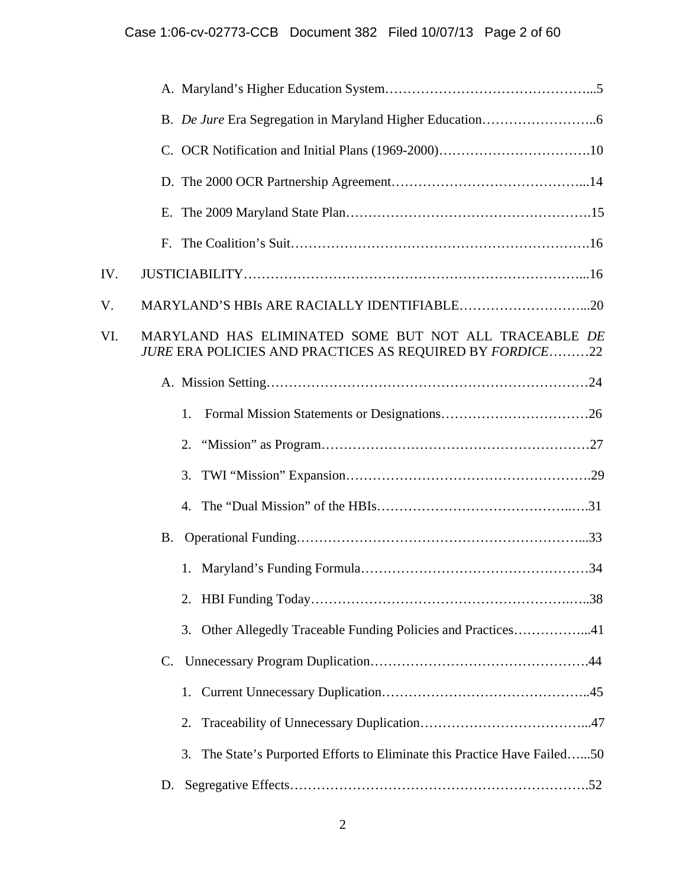| IV. |                                                                                                                   |
|-----|-------------------------------------------------------------------------------------------------------------------|
| V.  |                                                                                                                   |
| VI. | MARYLAND HAS ELIMINATED SOME BUT NOT ALL TRACEABLE DE<br>JURE ERA POLICIES AND PRACTICES AS REQUIRED BY FORDICE22 |
|     |                                                                                                                   |
|     | 1.                                                                                                                |
|     | 2.                                                                                                                |
|     | 3.                                                                                                                |
|     |                                                                                                                   |
|     | <b>B.</b>                                                                                                         |
|     |                                                                                                                   |
|     |                                                                                                                   |
|     | Other Allegedly Traceable Funding Policies and Practices41<br>3.                                                  |
|     | C.                                                                                                                |
|     | 1.                                                                                                                |
|     | 2.                                                                                                                |
|     | The State's Purported Efforts to Eliminate this Practice Have Failed50<br>3.                                      |
|     | D.                                                                                                                |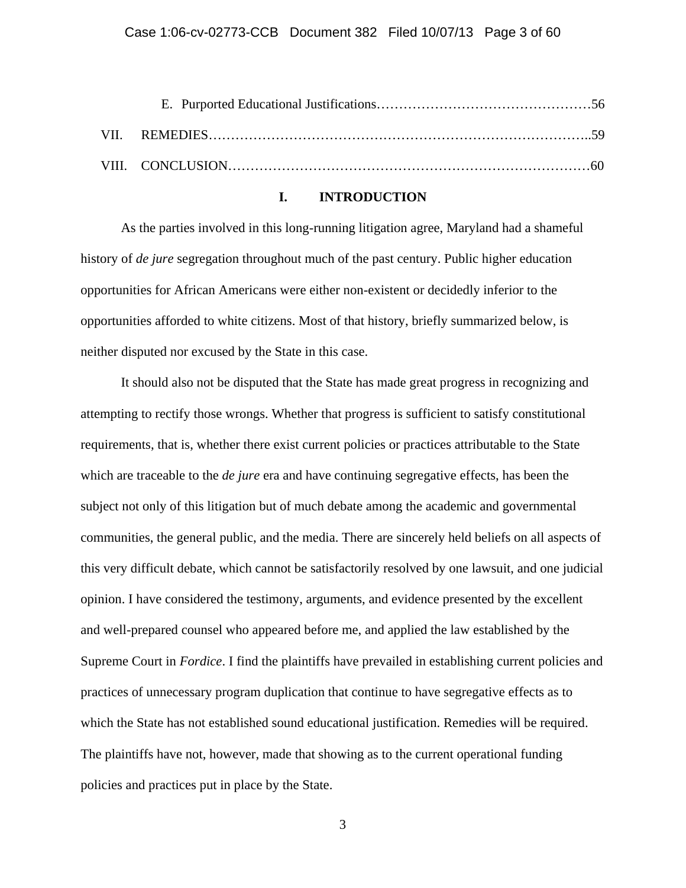# **I. INTRODUCTION**

As the parties involved in this long-running litigation agree, Maryland had a shameful history of *de jure* segregation throughout much of the past century. Public higher education opportunities for African Americans were either non-existent or decidedly inferior to the opportunities afforded to white citizens. Most of that history, briefly summarized below, is neither disputed nor excused by the State in this case.

It should also not be disputed that the State has made great progress in recognizing and attempting to rectify those wrongs. Whether that progress is sufficient to satisfy constitutional requirements, that is, whether there exist current policies or practices attributable to the State which are traceable to the *de jure* era and have continuing segregative effects, has been the subject not only of this litigation but of much debate among the academic and governmental communities, the general public, and the media. There are sincerely held beliefs on all aspects of this very difficult debate, which cannot be satisfactorily resolved by one lawsuit, and one judicial opinion. I have considered the testimony, arguments, and evidence presented by the excellent and well-prepared counsel who appeared before me, and applied the law established by the Supreme Court in *Fordice*. I find the plaintiffs have prevailed in establishing current policies and practices of unnecessary program duplication that continue to have segregative effects as to which the State has not established sound educational justification. Remedies will be required. The plaintiffs have not, however, made that showing as to the current operational funding policies and practices put in place by the State.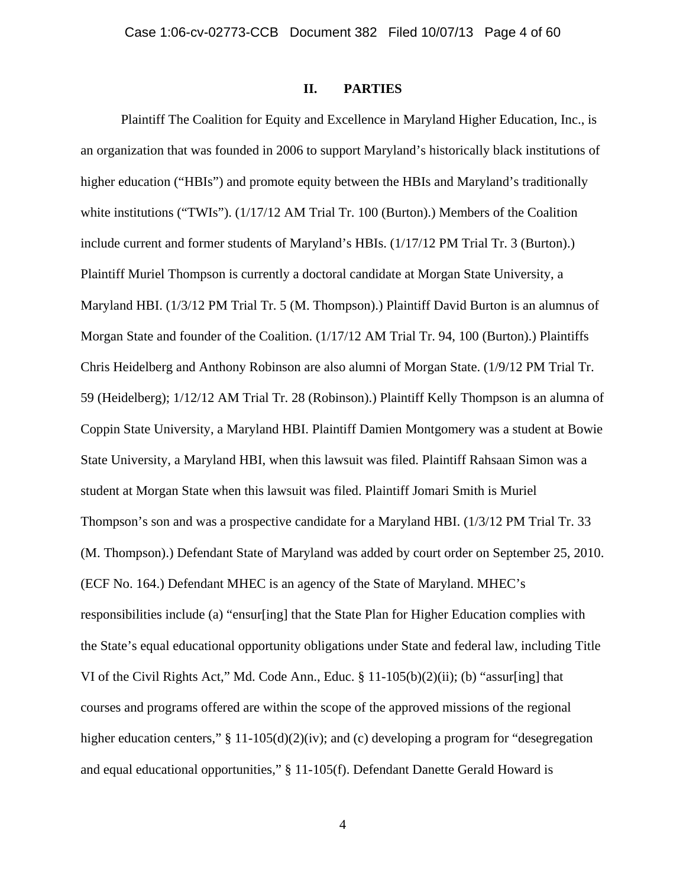# **II. PARTIES**

Plaintiff The Coalition for Equity and Excellence in Maryland Higher Education, Inc., is an organization that was founded in 2006 to support Maryland's historically black institutions of higher education ("HBIs") and promote equity between the HBIs and Maryland's traditionally white institutions ("TWIs"). (1/17/12 AM Trial Tr. 100 (Burton).) Members of the Coalition include current and former students of Maryland's HBIs. (1/17/12 PM Trial Tr. 3 (Burton).) Plaintiff Muriel Thompson is currently a doctoral candidate at Morgan State University, a Maryland HBI. (1/3/12 PM Trial Tr. 5 (M. Thompson).) Plaintiff David Burton is an alumnus of Morgan State and founder of the Coalition. (1/17/12 AM Trial Tr. 94, 100 (Burton).) Plaintiffs Chris Heidelberg and Anthony Robinson are also alumni of Morgan State. (1/9/12 PM Trial Tr. 59 (Heidelberg); 1/12/12 AM Trial Tr. 28 (Robinson).) Plaintiff Kelly Thompson is an alumna of Coppin State University, a Maryland HBI. Plaintiff Damien Montgomery was a student at Bowie State University, a Maryland HBI, when this lawsuit was filed. Plaintiff Rahsaan Simon was a student at Morgan State when this lawsuit was filed. Plaintiff Jomari Smith is Muriel Thompson's son and was a prospective candidate for a Maryland HBI. (1/3/12 PM Trial Tr. 33 (M. Thompson).) Defendant State of Maryland was added by court order on September 25, 2010. (ECF No. 164.) Defendant MHEC is an agency of the State of Maryland. MHEC's responsibilities include (a) "ensur[ing] that the State Plan for Higher Education complies with the State's equal educational opportunity obligations under State and federal law, including Title VI of the Civil Rights Act," Md. Code Ann., Educ. § 11-105(b)(2)(ii); (b) "assur[ing] that courses and programs offered are within the scope of the approved missions of the regional higher education centers," § 11-105(d)(2)(iv); and (c) developing a program for "desegregation and equal educational opportunities," § 11-105(f). Defendant Danette Gerald Howard is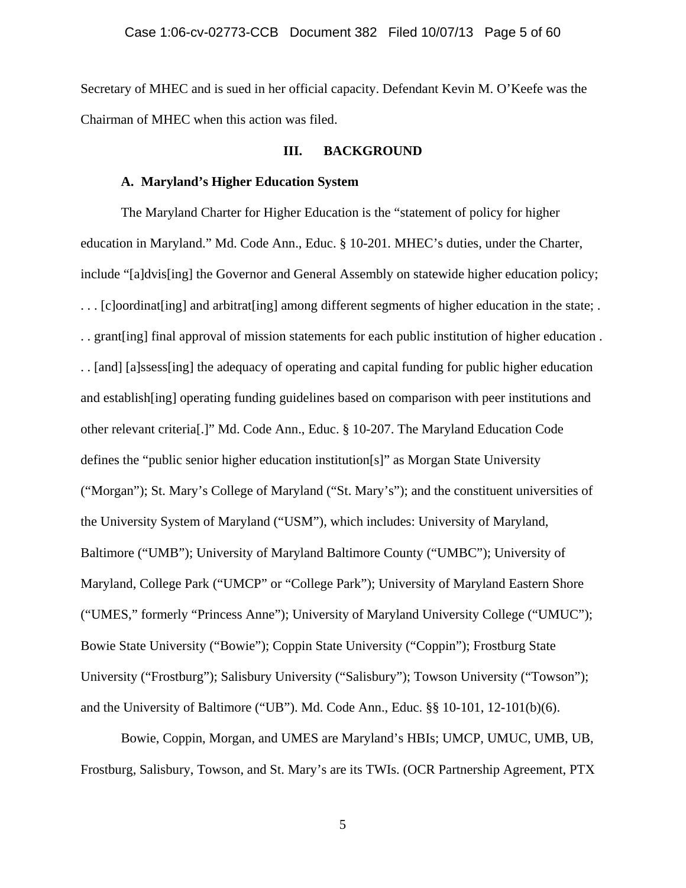Secretary of MHEC and is sued in her official capacity. Defendant Kevin M. O'Keefe was the Chairman of MHEC when this action was filed.

# **III. BACKGROUND**

# **A. Maryland's Higher Education System**

 The Maryland Charter for Higher Education is the "statement of policy for higher education in Maryland." Md. Code Ann., Educ. § 10-201*.* MHEC's duties, under the Charter, include "[a]dvis[ing] the Governor and General Assembly on statewide higher education policy; . . . [c]oordinat[ing] and arbitrat[ing] among different segments of higher education in the state; . . . grant[ing] final approval of mission statements for each public institution of higher education . . . [and] [a]ssess[ing] the adequacy of operating and capital funding for public higher education and establish[ing] operating funding guidelines based on comparison with peer institutions and other relevant criteria[.]" Md. Code Ann., Educ. § 10-207. The Maryland Education Code defines the "public senior higher education institution[s]" as Morgan State University ("Morgan"); St. Mary's College of Maryland ("St. Mary's"); and the constituent universities of the University System of Maryland ("USM"), which includes: University of Maryland, Baltimore ("UMB"); University of Maryland Baltimore County ("UMBC"); University of Maryland, College Park ("UMCP" or "College Park"); University of Maryland Eastern Shore ("UMES," formerly "Princess Anne"); University of Maryland University College ("UMUC"); Bowie State University ("Bowie"); Coppin State University ("Coppin"); Frostburg State University ("Frostburg"); Salisbury University ("Salisbury"); Towson University ("Towson"); and the University of Baltimore ("UB"). Md. Code Ann., Educ. §§ 10-101, 12-101(b)(6).

 Bowie, Coppin, Morgan, and UMES are Maryland's HBIs; UMCP, UMUC, UMB, UB, Frostburg, Salisbury, Towson, and St. Mary's are its TWIs. (OCR Partnership Agreement, PTX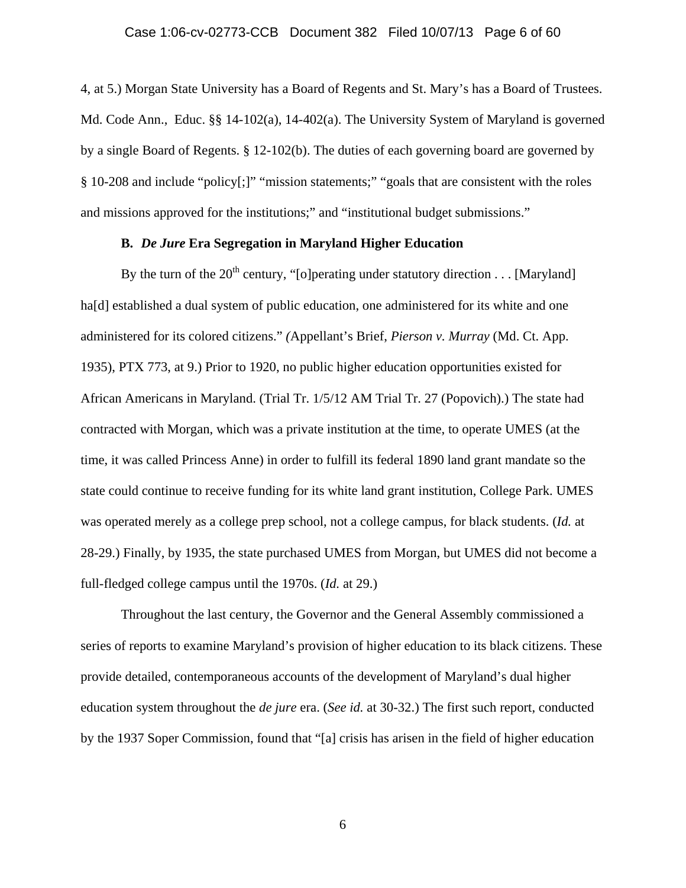4, at 5.) Morgan State University has a Board of Regents and St. Mary's has a Board of Trustees. Md. Code Ann., Educ. §§ 14-102(a), 14-402(a). The University System of Maryland is governed by a single Board of Regents. § 12-102(b). The duties of each governing board are governed by § 10-208 and include "policy[;]" "mission statements;" "goals that are consistent with the roles and missions approved for the institutions;" and "institutional budget submissions."

# **B.** *De Jure* **Era Segregation in Maryland Higher Education**

By the turn of the  $20^{th}$  century, "[o]perating under statutory direction . . . [Maryland] ha<sup>[d]</sup> established a dual system of public education, one administered for its white and one administered for its colored citizens." *(*Appellant's Brief, *Pierson v. Murray* (Md. Ct. App. 1935), PTX 773, at 9.) Prior to 1920, no public higher education opportunities existed for African Americans in Maryland. (Trial Tr. 1/5/12 AM Trial Tr. 27 (Popovich).) The state had contracted with Morgan, which was a private institution at the time, to operate UMES (at the time, it was called Princess Anne) in order to fulfill its federal 1890 land grant mandate so the state could continue to receive funding for its white land grant institution, College Park. UMES was operated merely as a college prep school, not a college campus, for black students. (*Id.* at 28-29.) Finally, by 1935, the state purchased UMES from Morgan, but UMES did not become a full-fledged college campus until the 1970s. (*Id.* at 29.)

 Throughout the last century, the Governor and the General Assembly commissioned a series of reports to examine Maryland's provision of higher education to its black citizens. These provide detailed, contemporaneous accounts of the development of Maryland's dual higher education system throughout the *de jure* era. (*See id.* at 30-32.) The first such report, conducted by the 1937 Soper Commission, found that "[a] crisis has arisen in the field of higher education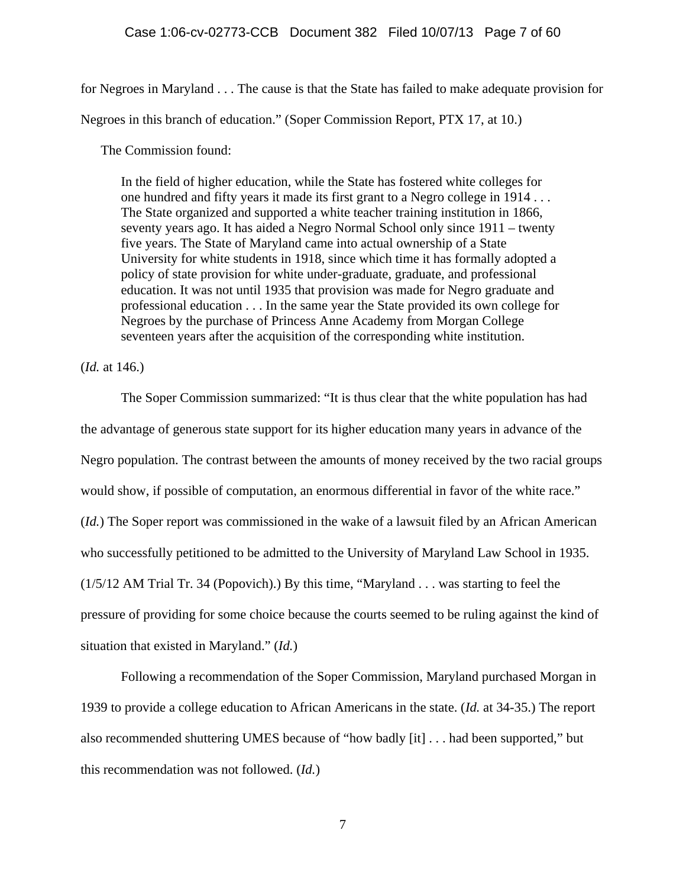### Case 1:06-cv-02773-CCB Document 382 Filed 10/07/13 Page 7 of 60

for Negroes in Maryland . . . The cause is that the State has failed to make adequate provision for

Negroes in this branch of education." (Soper Commission Report, PTX 17, at 10.)

The Commission found:

In the field of higher education, while the State has fostered white colleges for one hundred and fifty years it made its first grant to a Negro college in 1914 . . . The State organized and supported a white teacher training institution in 1866, seventy years ago. It has aided a Negro Normal School only since 1911 – twenty five years. The State of Maryland came into actual ownership of a State University for white students in 1918, since which time it has formally adopted a policy of state provision for white under-graduate, graduate, and professional education. It was not until 1935 that provision was made for Negro graduate and professional education . . . In the same year the State provided its own college for Negroes by the purchase of Princess Anne Academy from Morgan College seventeen years after the acquisition of the corresponding white institution.

(*Id.* at 146.)

 The Soper Commission summarized: "It is thus clear that the white population has had the advantage of generous state support for its higher education many years in advance of the Negro population. The contrast between the amounts of money received by the two racial groups would show, if possible of computation, an enormous differential in favor of the white race." (*Id.*) The Soper report was commissioned in the wake of a lawsuit filed by an African American who successfully petitioned to be admitted to the University of Maryland Law School in 1935. (1/5/12 AM Trial Tr. 34 (Popovich).) By this time, "Maryland . . . was starting to feel the pressure of providing for some choice because the courts seemed to be ruling against the kind of situation that existed in Maryland." (*Id.*)

 Following a recommendation of the Soper Commission, Maryland purchased Morgan in 1939 to provide a college education to African Americans in the state. (*Id.* at 34-35.) The report also recommended shuttering UMES because of "how badly [it] . . . had been supported," but this recommendation was not followed. (*Id.*)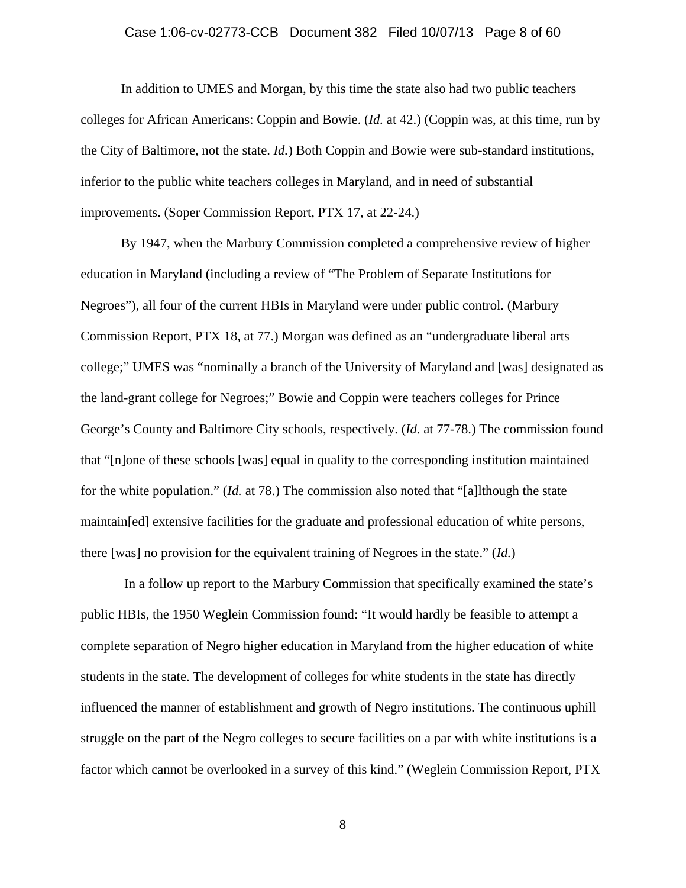### Case 1:06-cv-02773-CCB Document 382 Filed 10/07/13 Page 8 of 60

 In addition to UMES and Morgan, by this time the state also had two public teachers colleges for African Americans: Coppin and Bowie. (*Id.* at 42.) (Coppin was, at this time, run by the City of Baltimore, not the state. *Id.*) Both Coppin and Bowie were sub-standard institutions, inferior to the public white teachers colleges in Maryland, and in need of substantial improvements. (Soper Commission Report, PTX 17, at 22-24.)

 By 1947, when the Marbury Commission completed a comprehensive review of higher education in Maryland (including a review of "The Problem of Separate Institutions for Negroes"), all four of the current HBIs in Maryland were under public control. (Marbury Commission Report, PTX 18, at 77.) Morgan was defined as an "undergraduate liberal arts college;" UMES was "nominally a branch of the University of Maryland and [was] designated as the land-grant college for Negroes;" Bowie and Coppin were teachers colleges for Prince George's County and Baltimore City schools, respectively. (*Id.* at 77-78.) The commission found that "[n]one of these schools [was] equal in quality to the corresponding institution maintained for the white population." (*Id.* at 78.) The commission also noted that "[a]lthough the state maintain[ed] extensive facilities for the graduate and professional education of white persons, there [was] no provision for the equivalent training of Negroes in the state." (*Id.*)

 In a follow up report to the Marbury Commission that specifically examined the state's public HBIs, the 1950 Weglein Commission found: "It would hardly be feasible to attempt a complete separation of Negro higher education in Maryland from the higher education of white students in the state. The development of colleges for white students in the state has directly influenced the manner of establishment and growth of Negro institutions. The continuous uphill struggle on the part of the Negro colleges to secure facilities on a par with white institutions is a factor which cannot be overlooked in a survey of this kind." (Weglein Commission Report, PTX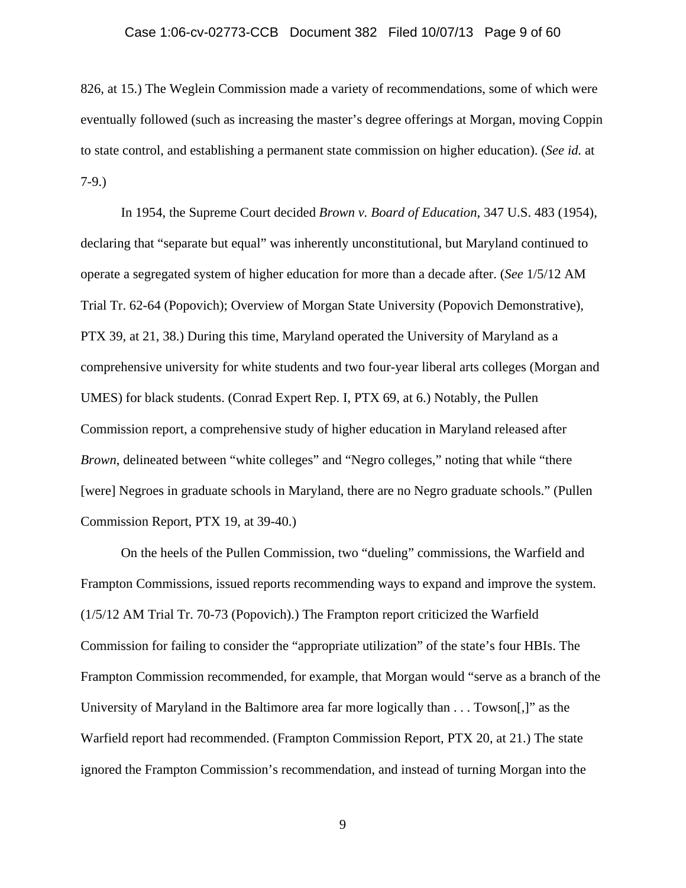### Case 1:06-cv-02773-CCB Document 382 Filed 10/07/13 Page 9 of 60

826, at 15.) The Weglein Commission made a variety of recommendations, some of which were eventually followed (such as increasing the master's degree offerings at Morgan, moving Coppin to state control, and establishing a permanent state commission on higher education). (*See id.* at 7-9.)

 In 1954, the Supreme Court decided *Brown v. Board of Education*, 347 U.S. 483 (1954), declaring that "separate but equal" was inherently unconstitutional, but Maryland continued to operate a segregated system of higher education for more than a decade after. (*See* 1/5/12 AM Trial Tr. 62-64 (Popovich); Overview of Morgan State University (Popovich Demonstrative), PTX 39, at 21, 38.) During this time, Maryland operated the University of Maryland as a comprehensive university for white students and two four-year liberal arts colleges (Morgan and UMES) for black students. (Conrad Expert Rep. I, PTX 69, at 6.) Notably, the Pullen Commission report, a comprehensive study of higher education in Maryland released after *Brown*, delineated between "white colleges" and "Negro colleges," noting that while "there [were] Negroes in graduate schools in Maryland, there are no Negro graduate schools." (Pullen Commission Report, PTX 19, at 39-40.)

 On the heels of the Pullen Commission, two "dueling" commissions, the Warfield and Frampton Commissions, issued reports recommending ways to expand and improve the system. (1/5/12 AM Trial Tr. 70-73 (Popovich).) The Frampton report criticized the Warfield Commission for failing to consider the "appropriate utilization" of the state's four HBIs. The Frampton Commission recommended, for example, that Morgan would "serve as a branch of the University of Maryland in the Baltimore area far more logically than  $\dots$  Towson[,]" as the Warfield report had recommended. (Frampton Commission Report, PTX 20, at 21.) The state ignored the Frampton Commission's recommendation, and instead of turning Morgan into the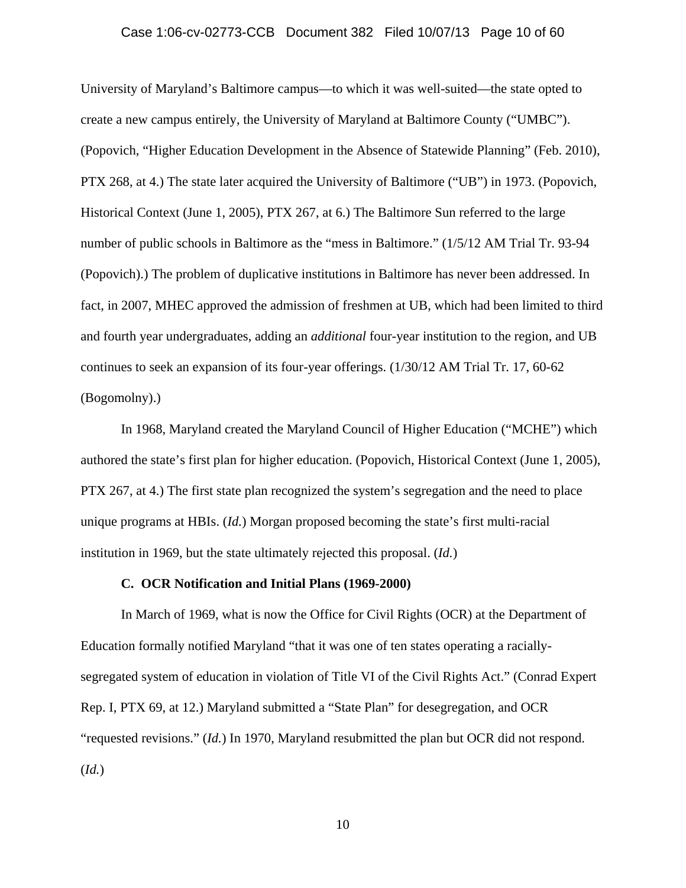### Case 1:06-cv-02773-CCB Document 382 Filed 10/07/13 Page 10 of 60

University of Maryland's Baltimore campus—to which it was well-suited—the state opted to create a new campus entirely, the University of Maryland at Baltimore County ("UMBC"). (Popovich, "Higher Education Development in the Absence of Statewide Planning" (Feb. 2010), PTX 268, at 4.) The state later acquired the University of Baltimore ("UB") in 1973. (Popovich, Historical Context (June 1, 2005), PTX 267, at 6.) The Baltimore Sun referred to the large number of public schools in Baltimore as the "mess in Baltimore." (1/5/12 AM Trial Tr. 93-94 (Popovich).) The problem of duplicative institutions in Baltimore has never been addressed. In fact, in 2007, MHEC approved the admission of freshmen at UB, which had been limited to third and fourth year undergraduates, adding an *additional* four-year institution to the region, and UB continues to seek an expansion of its four-year offerings. (1/30/12 AM Trial Tr. 17, 60-62 (Bogomolny).)

 In 1968, Maryland created the Maryland Council of Higher Education ("MCHE") which authored the state's first plan for higher education. (Popovich, Historical Context (June 1, 2005), PTX 267, at 4.) The first state plan recognized the system's segregation and the need to place unique programs at HBIs. (*Id.*) Morgan proposed becoming the state's first multi-racial institution in 1969, but the state ultimately rejected this proposal. (*Id.*)

# **C. OCR Notification and Initial Plans (1969-2000)**

 In March of 1969, what is now the Office for Civil Rights (OCR) at the Department of Education formally notified Maryland "that it was one of ten states operating a raciallysegregated system of education in violation of Title VI of the Civil Rights Act." (Conrad Expert Rep. I, PTX 69, at 12.) Maryland submitted a "State Plan" for desegregation, and OCR "requested revisions." (*Id.*) In 1970, Maryland resubmitted the plan but OCR did not respond. (*Id.*)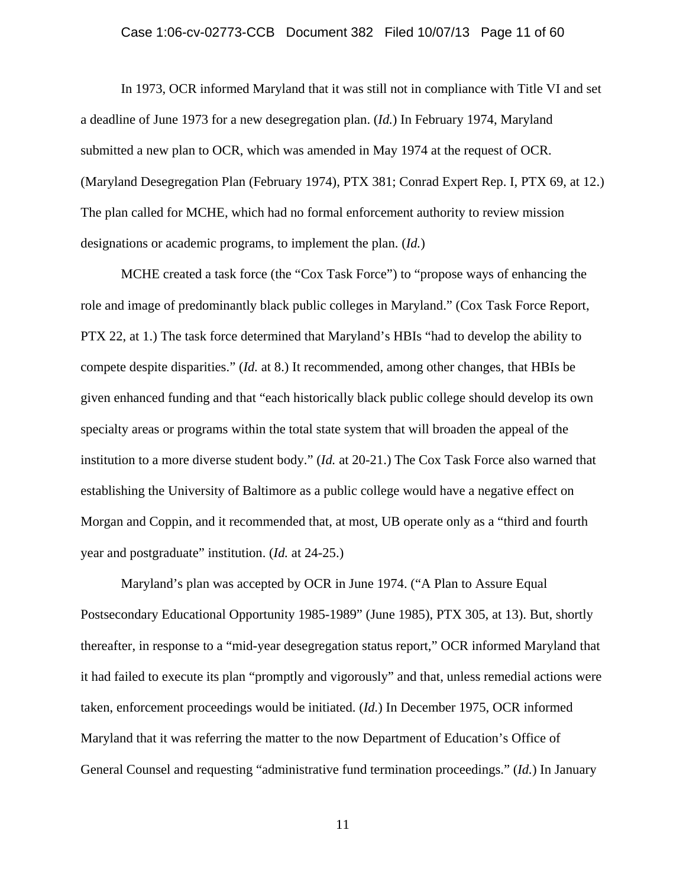### Case 1:06-cv-02773-CCB Document 382 Filed 10/07/13 Page 11 of 60

 In 1973, OCR informed Maryland that it was still not in compliance with Title VI and set a deadline of June 1973 for a new desegregation plan. (*Id.*) In February 1974, Maryland submitted a new plan to OCR, which was amended in May 1974 at the request of OCR. (Maryland Desegregation Plan (February 1974), PTX 381; Conrad Expert Rep. I, PTX 69, at 12.) The plan called for MCHE, which had no formal enforcement authority to review mission designations or academic programs, to implement the plan. (*Id.*)

 MCHE created a task force (the "Cox Task Force") to "propose ways of enhancing the role and image of predominantly black public colleges in Maryland." (Cox Task Force Report, PTX 22, at 1.) The task force determined that Maryland's HBIs "had to develop the ability to compete despite disparities." (*Id.* at 8.) It recommended, among other changes, that HBIs be given enhanced funding and that "each historically black public college should develop its own specialty areas or programs within the total state system that will broaden the appeal of the institution to a more diverse student body." (*Id.* at 20-21.) The Cox Task Force also warned that establishing the University of Baltimore as a public college would have a negative effect on Morgan and Coppin, and it recommended that, at most, UB operate only as a "third and fourth year and postgraduate" institution. (*Id.* at 24-25.)

 Maryland's plan was accepted by OCR in June 1974. ("A Plan to Assure Equal Postsecondary Educational Opportunity 1985-1989" (June 1985), PTX 305, at 13). But, shortly thereafter, in response to a "mid-year desegregation status report," OCR informed Maryland that it had failed to execute its plan "promptly and vigorously" and that, unless remedial actions were taken, enforcement proceedings would be initiated. (*Id.*) In December 1975, OCR informed Maryland that it was referring the matter to the now Department of Education's Office of General Counsel and requesting "administrative fund termination proceedings." (*Id.*) In January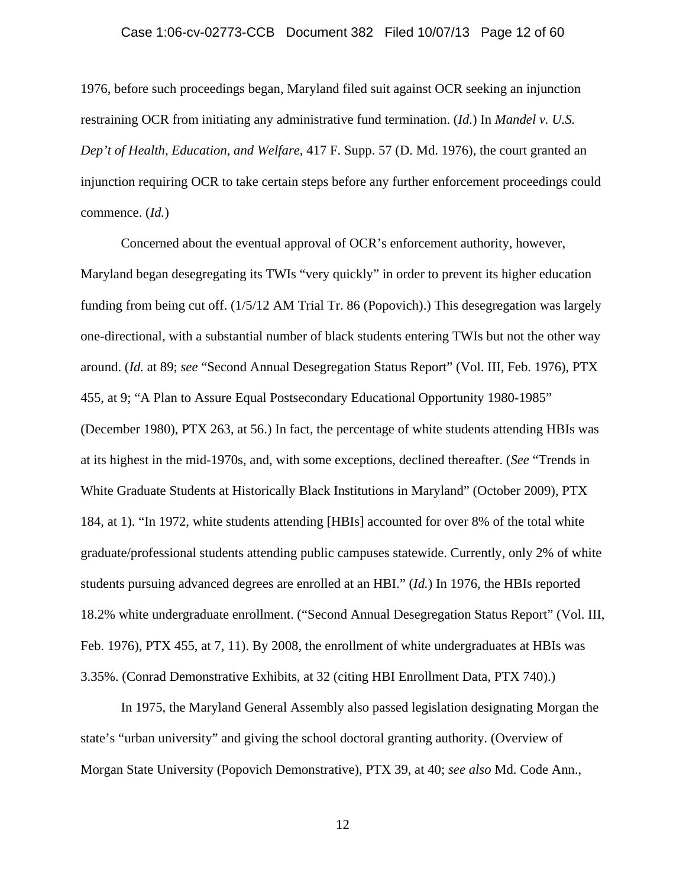### Case 1:06-cv-02773-CCB Document 382 Filed 10/07/13 Page 12 of 60

1976, before such proceedings began, Maryland filed suit against OCR seeking an injunction restraining OCR from initiating any administrative fund termination. (*Id.*) In *Mandel v. U.S. Dep't of Health, Education, and Welfare*, 417 F. Supp. 57 (D. Md. 1976), the court granted an injunction requiring OCR to take certain steps before any further enforcement proceedings could commence. (*Id.*)

 Concerned about the eventual approval of OCR's enforcement authority, however, Maryland began desegregating its TWIs "very quickly" in order to prevent its higher education funding from being cut off. (1/5/12 AM Trial Tr. 86 (Popovich).) This desegregation was largely one-directional, with a substantial number of black students entering TWIs but not the other way around. (*Id.* at 89; *see* "Second Annual Desegregation Status Report" (Vol. III, Feb. 1976), PTX 455, at 9; "A Plan to Assure Equal Postsecondary Educational Opportunity 1980-1985" (December 1980), PTX 263, at 56.) In fact, the percentage of white students attending HBIs was at its highest in the mid-1970s, and, with some exceptions, declined thereafter. (*See* "Trends in White Graduate Students at Historically Black Institutions in Maryland" (October 2009), PTX 184, at 1). "In 1972, white students attending [HBIs] accounted for over 8% of the total white graduate/professional students attending public campuses statewide. Currently, only 2% of white students pursuing advanced degrees are enrolled at an HBI." (*Id.*) In 1976, the HBIs reported 18.2% white undergraduate enrollment. ("Second Annual Desegregation Status Report" (Vol. III, Feb. 1976), PTX 455, at 7, 11). By 2008, the enrollment of white undergraduates at HBIs was 3.35%. (Conrad Demonstrative Exhibits, at 32 (citing HBI Enrollment Data, PTX 740).)

 In 1975, the Maryland General Assembly also passed legislation designating Morgan the state's "urban university" and giving the school doctoral granting authority. (Overview of Morgan State University (Popovich Demonstrative), PTX 39, at 40; *see also* Md. Code Ann.,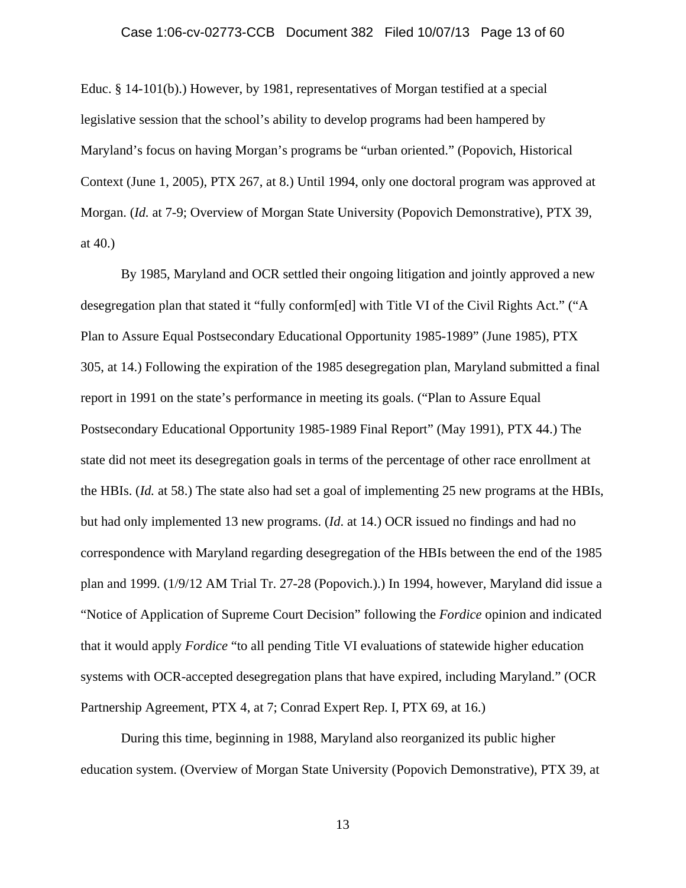Educ. § 14-101(b).) However, by 1981, representatives of Morgan testified at a special legislative session that the school's ability to develop programs had been hampered by Maryland's focus on having Morgan's programs be "urban oriented." (Popovich, Historical Context (June 1, 2005), PTX 267, at 8.) Until 1994, only one doctoral program was approved at Morgan. (*Id.* at 7-9; Overview of Morgan State University (Popovich Demonstrative), PTX 39, at 40.)

 By 1985, Maryland and OCR settled their ongoing litigation and jointly approved a new desegregation plan that stated it "fully conform[ed] with Title VI of the Civil Rights Act." ("A Plan to Assure Equal Postsecondary Educational Opportunity 1985-1989" (June 1985), PTX 305, at 14.) Following the expiration of the 1985 desegregation plan, Maryland submitted a final report in 1991 on the state's performance in meeting its goals. ("Plan to Assure Equal Postsecondary Educational Opportunity 1985-1989 Final Report" (May 1991), PTX 44.) The state did not meet its desegregation goals in terms of the percentage of other race enrollment at the HBIs. (*Id.* at 58.) The state also had set a goal of implementing 25 new programs at the HBIs, but had only implemented 13 new programs. (*Id*. at 14.) OCR issued no findings and had no correspondence with Maryland regarding desegregation of the HBIs between the end of the 1985 plan and 1999. (1/9/12 AM Trial Tr. 27-28 (Popovich.).) In 1994, however, Maryland did issue a "Notice of Application of Supreme Court Decision" following the *Fordice* opinion and indicated that it would apply *Fordice* "to all pending Title VI evaluations of statewide higher education systems with OCR-accepted desegregation plans that have expired, including Maryland." (OCR Partnership Agreement, PTX 4, at 7; Conrad Expert Rep. I, PTX 69, at 16.)

 During this time, beginning in 1988, Maryland also reorganized its public higher education system. (Overview of Morgan State University (Popovich Demonstrative), PTX 39, at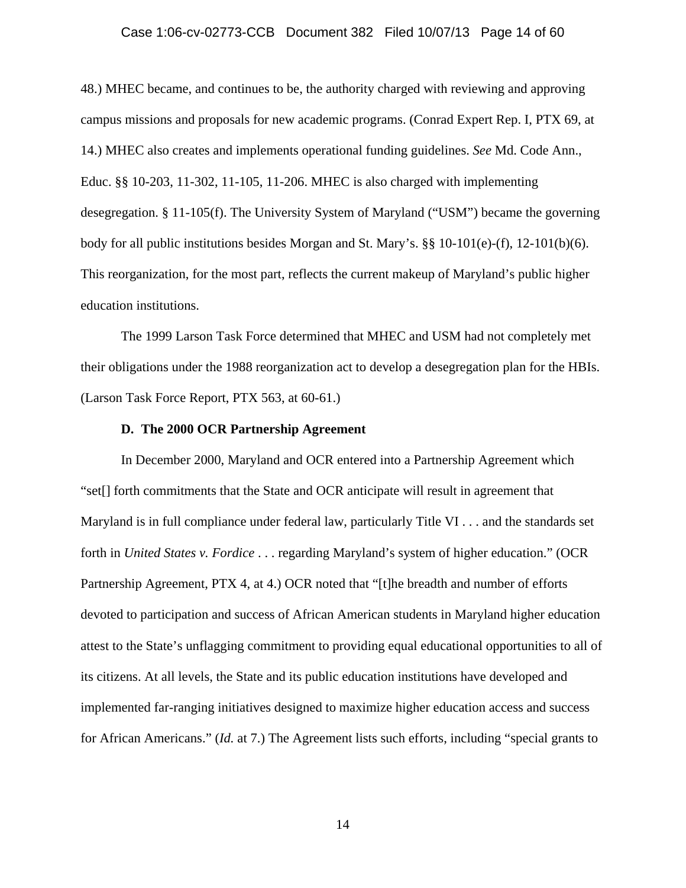### Case 1:06-cv-02773-CCB Document 382 Filed 10/07/13 Page 14 of 60

48.) MHEC became, and continues to be, the authority charged with reviewing and approving campus missions and proposals for new academic programs. (Conrad Expert Rep. I, PTX 69, at 14.) MHEC also creates and implements operational funding guidelines. *See* Md. Code Ann., Educ. §§ 10-203, 11-302, 11-105, 11-206. MHEC is also charged with implementing desegregation. § 11-105(f). The University System of Maryland ("USM") became the governing body for all public institutions besides Morgan and St. Mary's.  $\S$  10-101(e)-(f), 12-101(b)(6). This reorganization, for the most part, reflects the current makeup of Maryland's public higher education institutions.

 The 1999 Larson Task Force determined that MHEC and USM had not completely met their obligations under the 1988 reorganization act to develop a desegregation plan for the HBIs. (Larson Task Force Report, PTX 563, at 60-61.)

## **D. The 2000 OCR Partnership Agreement**

 In December 2000, Maryland and OCR entered into a Partnership Agreement which "set[] forth commitments that the State and OCR anticipate will result in agreement that Maryland is in full compliance under federal law, particularly Title VI . . . and the standards set forth in *United States v. Fordice* . . . regarding Maryland's system of higher education." (OCR Partnership Agreement, PTX 4, at 4.) OCR noted that "[t]he breadth and number of efforts devoted to participation and success of African American students in Maryland higher education attest to the State's unflagging commitment to providing equal educational opportunities to all of its citizens. At all levels, the State and its public education institutions have developed and implemented far-ranging initiatives designed to maximize higher education access and success for African Americans." (*Id.* at 7.) The Agreement lists such efforts, including "special grants to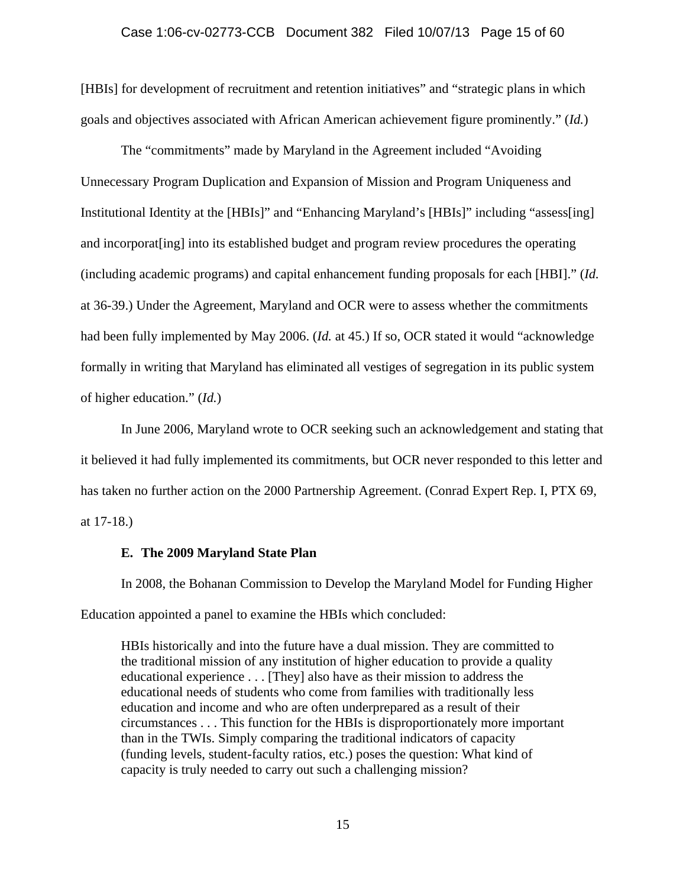[HBIs] for development of recruitment and retention initiatives" and "strategic plans in which goals and objectives associated with African American achievement figure prominently." (*Id.*)

 The "commitments" made by Maryland in the Agreement included "Avoiding Unnecessary Program Duplication and Expansion of Mission and Program Uniqueness and Institutional Identity at the [HBIs]" and "Enhancing Maryland's [HBIs]" including "assess[ing] and incorporat[ing] into its established budget and program review procedures the operating (including academic programs) and capital enhancement funding proposals for each [HBI]." (*Id.*  at 36-39.) Under the Agreement, Maryland and OCR were to assess whether the commitments had been fully implemented by May 2006. (*Id.* at 45.) If so, OCR stated it would "acknowledge formally in writing that Maryland has eliminated all vestiges of segregation in its public system of higher education." (*Id.*)

 In June 2006, Maryland wrote to OCR seeking such an acknowledgement and stating that it believed it had fully implemented its commitments, but OCR never responded to this letter and has taken no further action on the 2000 Partnership Agreement. (Conrad Expert Rep. I, PTX 69, at 17-18.)

#### **E. The 2009 Maryland State Plan**

 In 2008, the Bohanan Commission to Develop the Maryland Model for Funding Higher Education appointed a panel to examine the HBIs which concluded:

HBIs historically and into the future have a dual mission. They are committed to the traditional mission of any institution of higher education to provide a quality educational experience . . . [They] also have as their mission to address the educational needs of students who come from families with traditionally less education and income and who are often underprepared as a result of their circumstances . . . This function for the HBIs is disproportionately more important than in the TWIs. Simply comparing the traditional indicators of capacity (funding levels, student-faculty ratios, etc.) poses the question: What kind of capacity is truly needed to carry out such a challenging mission?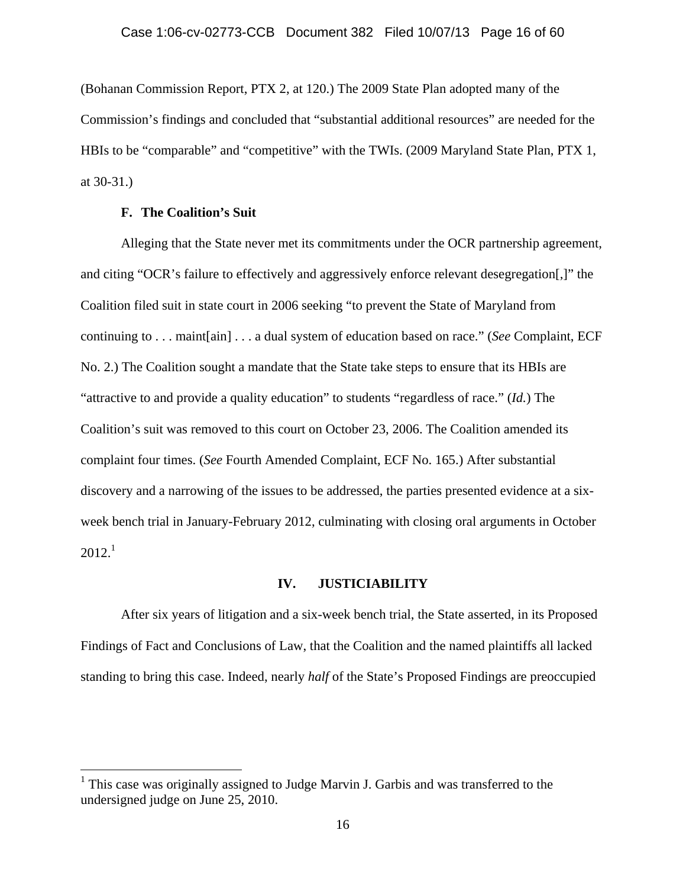(Bohanan Commission Report, PTX 2, at 120.) The 2009 State Plan adopted many of the Commission's findings and concluded that "substantial additional resources" are needed for the HBIs to be "comparable" and "competitive" with the TWIs. (2009 Maryland State Plan, PTX 1, at 30-31.)

# **F. The Coalition's Suit**

 $\overline{a}$ 

Alleging that the State never met its commitments under the OCR partnership agreement, and citing "OCR's failure to effectively and aggressively enforce relevant desegregation[,]" the Coalition filed suit in state court in 2006 seeking "to prevent the State of Maryland from continuing to . . . maint[ain] . . . a dual system of education based on race." (*See* Complaint, ECF No. 2.) The Coalition sought a mandate that the State take steps to ensure that its HBIs are "attractive to and provide a quality education" to students "regardless of race." (*Id.*) The Coalition's suit was removed to this court on October 23, 2006. The Coalition amended its complaint four times. (*See* Fourth Amended Complaint, ECF No. 165.) After substantial discovery and a narrowing of the issues to be addressed, the parties presented evidence at a sixweek bench trial in January-February 2012, culminating with closing oral arguments in October  $2012.<sup>1</sup>$ 

### **IV. JUSTICIABILITY**

 After six years of litigation and a six-week bench trial, the State asserted, in its Proposed Findings of Fact and Conclusions of Law, that the Coalition and the named plaintiffs all lacked standing to bring this case. Indeed, nearly *half* of the State's Proposed Findings are preoccupied

<sup>&</sup>lt;sup>1</sup> This case was originally assigned to Judge Marvin J. Garbis and was transferred to the undersigned judge on June 25, 2010.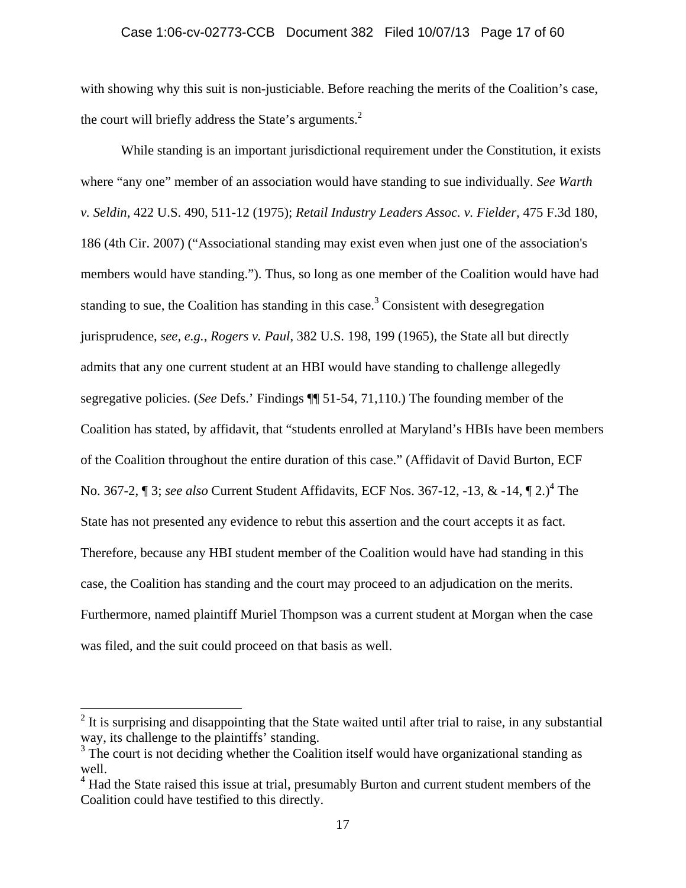with showing why this suit is non-justiciable. Before reaching the merits of the Coalition's case, the court will briefly address the State's arguments. $2$ 

 While standing is an important jurisdictional requirement under the Constitution, it exists where "any one" member of an association would have standing to sue individually. *See Warth v. Seldin*, 422 U.S. 490, 511-12 (1975); *Retail Industry Leaders Assoc. v. Fielder*, 475 F.3d 180, 186 (4th Cir. 2007) ("Associational standing may exist even when just one of the association's members would have standing."). Thus, so long as one member of the Coalition would have had standing to sue, the Coalition has standing in this case.<sup>3</sup> Consistent with desegregation jurisprudence, *see, e.g.*, *Rogers v. Paul*, 382 U.S. 198, 199 (1965), the State all but directly admits that any one current student at an HBI would have standing to challenge allegedly segregative policies. (*See* Defs.' Findings ¶¶ 51-54, 71,110.) The founding member of the Coalition has stated, by affidavit, that "students enrolled at Maryland's HBIs have been members of the Coalition throughout the entire duration of this case." (Affidavit of David Burton, ECF No. 367-2, ¶ 3; *see also* Current Student Affidavits, ECF Nos. 367-12, -13, & -14, ¶ 2.)<sup>4</sup> The State has not presented any evidence to rebut this assertion and the court accepts it as fact. Therefore, because any HBI student member of the Coalition would have had standing in this case, the Coalition has standing and the court may proceed to an adjudication on the merits. Furthermore, named plaintiff Muriel Thompson was a current student at Morgan when the case was filed, and the suit could proceed on that basis as well.

<u>.</u>

 $2$  It is surprising and disappointing that the State waited until after trial to raise, in any substantial way, its challenge to the plaintiffs' standing.

<sup>&</sup>lt;sup>3</sup> The court is not deciding whether the Coalition itself would have organizational standing as well.

<sup>&</sup>lt;sup>4</sup> Had the State raised this issue at trial, presumably Burton and current student members of the Coalition could have testified to this directly.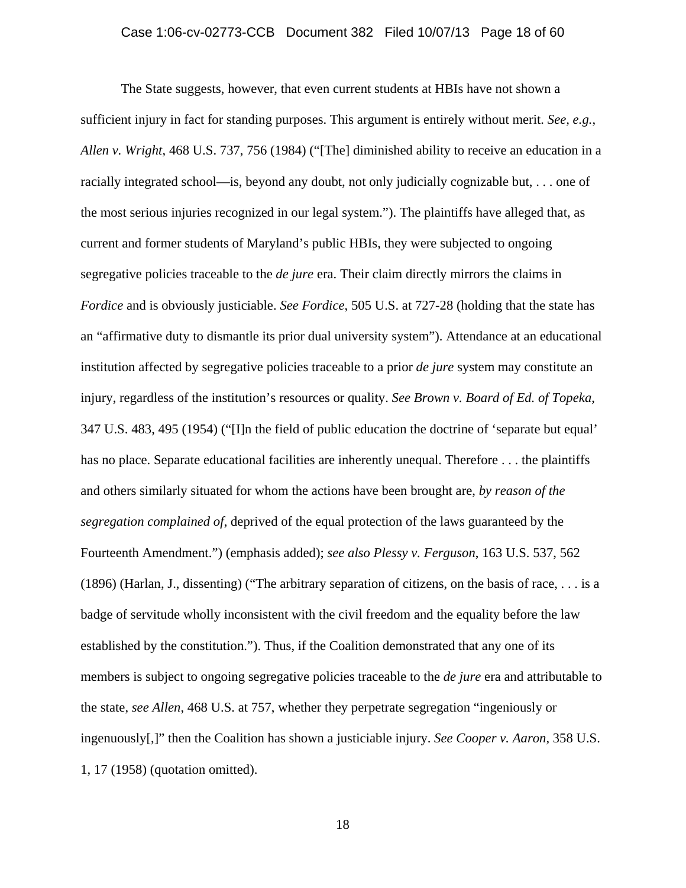The State suggests, however, that even current students at HBIs have not shown a sufficient injury in fact for standing purposes. This argument is entirely without merit. *See, e.g.*, *Allen v. Wright*, 468 U.S. 737, 756 (1984) ("[The] diminished ability to receive an education in a racially integrated school—is, beyond any doubt, not only judicially cognizable but, . . . one of the most serious injuries recognized in our legal system."). The plaintiffs have alleged that, as current and former students of Maryland's public HBIs, they were subjected to ongoing segregative policies traceable to the *de jure* era. Their claim directly mirrors the claims in *Fordice* and is obviously justiciable. *See Fordice*, 505 U.S. at 727-28 (holding that the state has an "affirmative duty to dismantle its prior dual university system"). Attendance at an educational institution affected by segregative policies traceable to a prior *de jure* system may constitute an injury, regardless of the institution's resources or quality. *See Brown v. Board of Ed. of Topeka*, 347 U.S. 483, 495 (1954) ("[I]n the field of public education the doctrine of 'separate but equal' has no place. Separate educational facilities are inherently unequal. Therefore . . . the plaintiffs and others similarly situated for whom the actions have been brought are, *by reason of the segregation complained of*, deprived of the equal protection of the laws guaranteed by the Fourteenth Amendment.") (emphasis added); *see also Plessy v. Ferguson*, 163 U.S. 537, 562 (1896) (Harlan, J., dissenting) ("The arbitrary separation of citizens, on the basis of race, . . . is a badge of servitude wholly inconsistent with the civil freedom and the equality before the law established by the constitution."). Thus, if the Coalition demonstrated that any one of its members is subject to ongoing segregative policies traceable to the *de jure* era and attributable to the state, *see Allen*, 468 U.S. at 757, whether they perpetrate segregation "ingeniously or ingenuously[,]" then the Coalition has shown a justiciable injury. *See Cooper v. Aaron*, 358 U.S. 1, 17 (1958) (quotation omitted).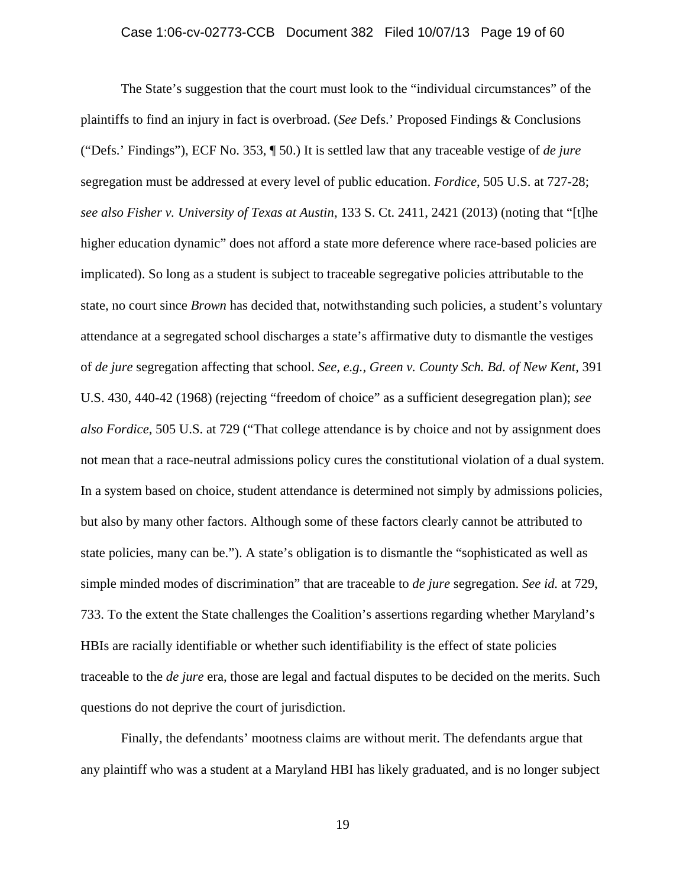The State's suggestion that the court must look to the "individual circumstances" of the plaintiffs to find an injury in fact is overbroad. (*See* Defs.' Proposed Findings & Conclusions ("Defs.' Findings"), ECF No. 353, ¶ 50.) It is settled law that any traceable vestige of *de jure* segregation must be addressed at every level of public education. *Fordice*, 505 U.S. at 727-28; *see also Fisher v. University of Texas at Austin*, 133 S. Ct. 2411, 2421 (2013) (noting that "[t]he higher education dynamic" does not afford a state more deference where race-based policies are implicated). So long as a student is subject to traceable segregative policies attributable to the state, no court since *Brown* has decided that, notwithstanding such policies, a student's voluntary attendance at a segregated school discharges a state's affirmative duty to dismantle the vestiges of *de jure* segregation affecting that school. *See, e.g.*, *Green v. County Sch. Bd. of New Kent*, 391 U.S. 430, 440-42 (1968) (rejecting "freedom of choice" as a sufficient desegregation plan); *see also Fordice*, 505 U.S. at 729 ("That college attendance is by choice and not by assignment does not mean that a race-neutral admissions policy cures the constitutional violation of a dual system. In a system based on choice, student attendance is determined not simply by admissions policies, but also by many other factors. Although some of these factors clearly cannot be attributed to state policies, many can be."). A state's obligation is to dismantle the "sophisticated as well as simple minded modes of discrimination" that are traceable to *de jure* segregation. *See id.* at 729, 733. To the extent the State challenges the Coalition's assertions regarding whether Maryland's HBIs are racially identifiable or whether such identifiability is the effect of state policies traceable to the *de jure* era, those are legal and factual disputes to be decided on the merits. Such questions do not deprive the court of jurisdiction.

 Finally, the defendants' mootness claims are without merit. The defendants argue that any plaintiff who was a student at a Maryland HBI has likely graduated, and is no longer subject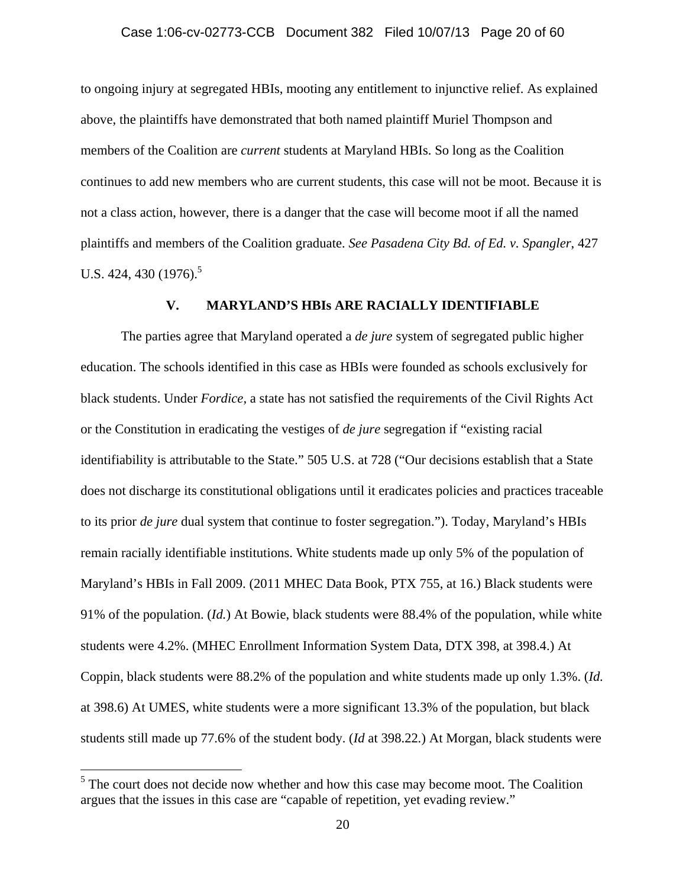to ongoing injury at segregated HBIs, mooting any entitlement to injunctive relief. As explained above, the plaintiffs have demonstrated that both named plaintiff Muriel Thompson and members of the Coalition are *current* students at Maryland HBIs. So long as the Coalition continues to add new members who are current students, this case will not be moot. Because it is not a class action, however, there is a danger that the case will become moot if all the named plaintiffs and members of the Coalition graduate. *See Pasadena City Bd. of Ed. v. Spangler*, 427 U.S. 424, 430  $(1976)^5$ 

# **V. MARYLAND'S HBIs ARE RACIALLY IDENTIFIABLE**

 The parties agree that Maryland operated a *de jure* system of segregated public higher education. The schools identified in this case as HBIs were founded as schools exclusively for black students. Under *Fordice,* a state has not satisfied the requirements of the Civil Rights Act or the Constitution in eradicating the vestiges of *de jure* segregation if "existing racial identifiability is attributable to the State." 505 U.S. at 728 ("Our decisions establish that a State does not discharge its constitutional obligations until it eradicates policies and practices traceable to its prior *de jure* dual system that continue to foster segregation."). Today, Maryland's HBIs remain racially identifiable institutions. White students made up only 5% of the population of Maryland's HBIs in Fall 2009. (2011 MHEC Data Book, PTX 755, at 16.) Black students were 91% of the population. (*Id.*) At Bowie, black students were 88.4% of the population, while white students were 4.2%. (MHEC Enrollment Information System Data, DTX 398, at 398.4.) At Coppin, black students were 88.2% of the population and white students made up only 1.3%. (*Id.*  at 398.6) At UMES, white students were a more significant 13.3% of the population, but black students still made up 77.6% of the student body. (*Id* at 398.22*.*) At Morgan, black students were

 $<sup>5</sup>$  The court does not decide now whether and how this case may become moot. The Coalition</sup> argues that the issues in this case are "capable of repetition, yet evading review."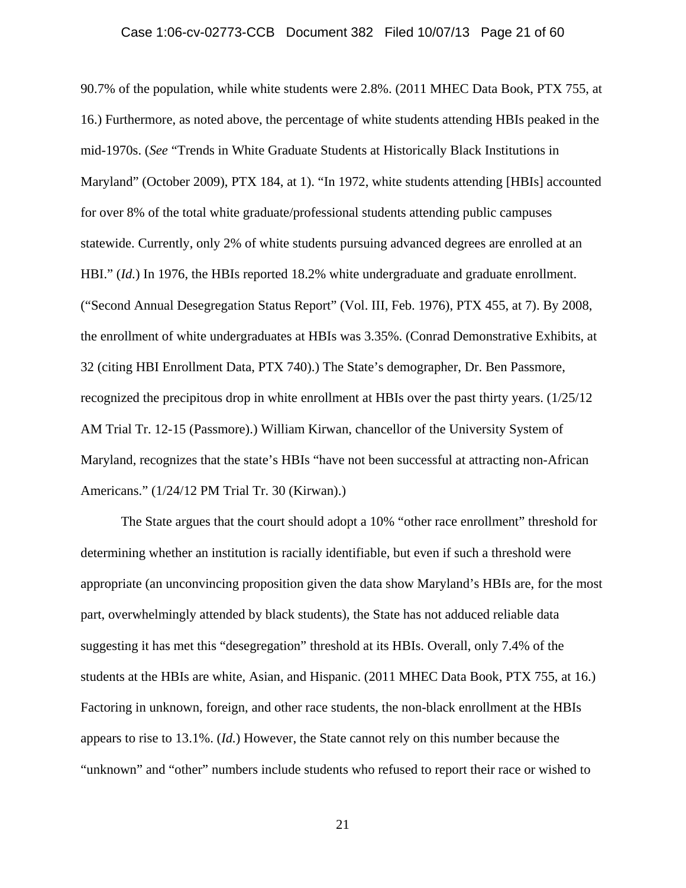90.7% of the population, while white students were 2.8%. (2011 MHEC Data Book, PTX 755, at 16.) Furthermore, as noted above, the percentage of white students attending HBIs peaked in the mid-1970s. (*See* "Trends in White Graduate Students at Historically Black Institutions in Maryland" (October 2009), PTX 184, at 1). "In 1972, white students attending [HBIs] accounted for over 8% of the total white graduate/professional students attending public campuses statewide. Currently, only 2% of white students pursuing advanced degrees are enrolled at an HBI." (*Id.*) In 1976, the HBIs reported 18.2% white undergraduate and graduate enrollment. ("Second Annual Desegregation Status Report" (Vol. III, Feb. 1976), PTX 455, at 7). By 2008, the enrollment of white undergraduates at HBIs was 3.35%. (Conrad Demonstrative Exhibits, at 32 (citing HBI Enrollment Data, PTX 740).) The State's demographer, Dr. Ben Passmore, recognized the precipitous drop in white enrollment at HBIs over the past thirty years. (1/25/12 AM Trial Tr. 12-15 (Passmore).) William Kirwan, chancellor of the University System of Maryland, recognizes that the state's HBIs "have not been successful at attracting non-African Americans." (1/24/12 PM Trial Tr. 30 (Kirwan).)

 The State argues that the court should adopt a 10% "other race enrollment" threshold for determining whether an institution is racially identifiable, but even if such a threshold were appropriate (an unconvincing proposition given the data show Maryland's HBIs are, for the most part, overwhelmingly attended by black students), the State has not adduced reliable data suggesting it has met this "desegregation" threshold at its HBIs. Overall, only 7.4% of the students at the HBIs are white, Asian, and Hispanic. (2011 MHEC Data Book, PTX 755, at 16.) Factoring in unknown, foreign, and other race students, the non-black enrollment at the HBIs appears to rise to 13.1%. (*Id.*) However, the State cannot rely on this number because the "unknown" and "other" numbers include students who refused to report their race or wished to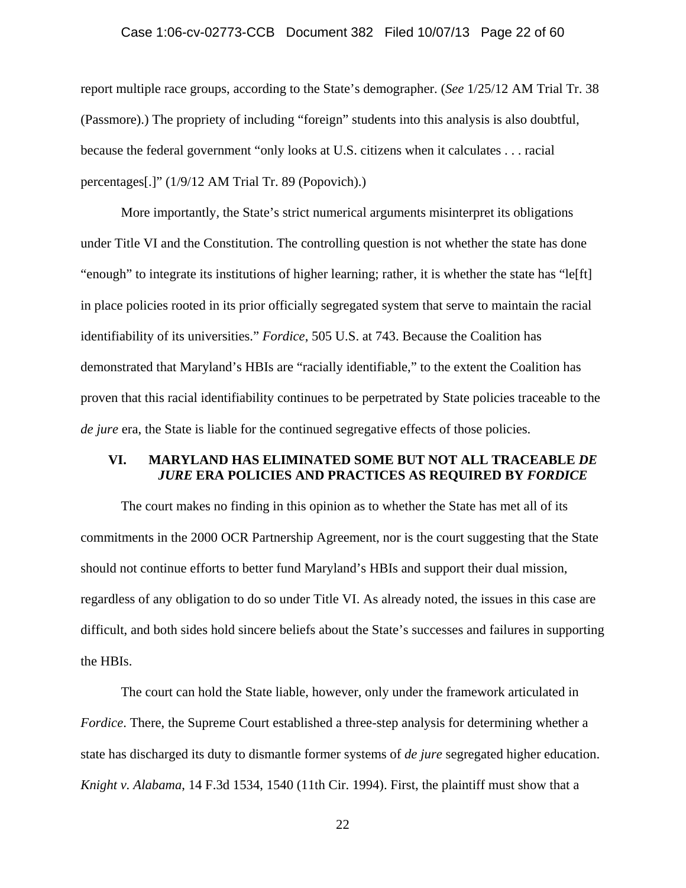# Case 1:06-cv-02773-CCB Document 382 Filed 10/07/13 Page 22 of 60

report multiple race groups, according to the State's demographer. (*See* 1/25/12 AM Trial Tr. 38 (Passmore).) The propriety of including "foreign" students into this analysis is also doubtful, because the federal government "only looks at U.S. citizens when it calculates . . . racial percentages[.]" (1/9/12 AM Trial Tr. 89 (Popovich).)

 More importantly, the State's strict numerical arguments misinterpret its obligations under Title VI and the Constitution. The controlling question is not whether the state has done "enough" to integrate its institutions of higher learning; rather, it is whether the state has "le[ft] in place policies rooted in its prior officially segregated system that serve to maintain the racial identifiability of its universities." *Fordice*, 505 U.S. at 743. Because the Coalition has demonstrated that Maryland's HBIs are "racially identifiable," to the extent the Coalition has proven that this racial identifiability continues to be perpetrated by State policies traceable to the *de jure* era, the State is liable for the continued segregative effects of those policies.

# **VI. MARYLAND HAS ELIMINATED SOME BUT NOT ALL TRACEABLE** *DE JURE* **ERA POLICIES AND PRACTICES AS REQUIRED BY** *FORDICE*

The court makes no finding in this opinion as to whether the State has met all of its commitments in the 2000 OCR Partnership Agreement, nor is the court suggesting that the State should not continue efforts to better fund Maryland's HBIs and support their dual mission, regardless of any obligation to do so under Title VI. As already noted, the issues in this case are difficult, and both sides hold sincere beliefs about the State's successes and failures in supporting the HBIs.

The court can hold the State liable, however, only under the framework articulated in *Fordice*. There, the Supreme Court established a three-step analysis for determining whether a state has discharged its duty to dismantle former systems of *de jure* segregated higher education. *Knight v. Alabama*, 14 F.3d 1534, 1540 (11th Cir. 1994). First, the plaintiff must show that a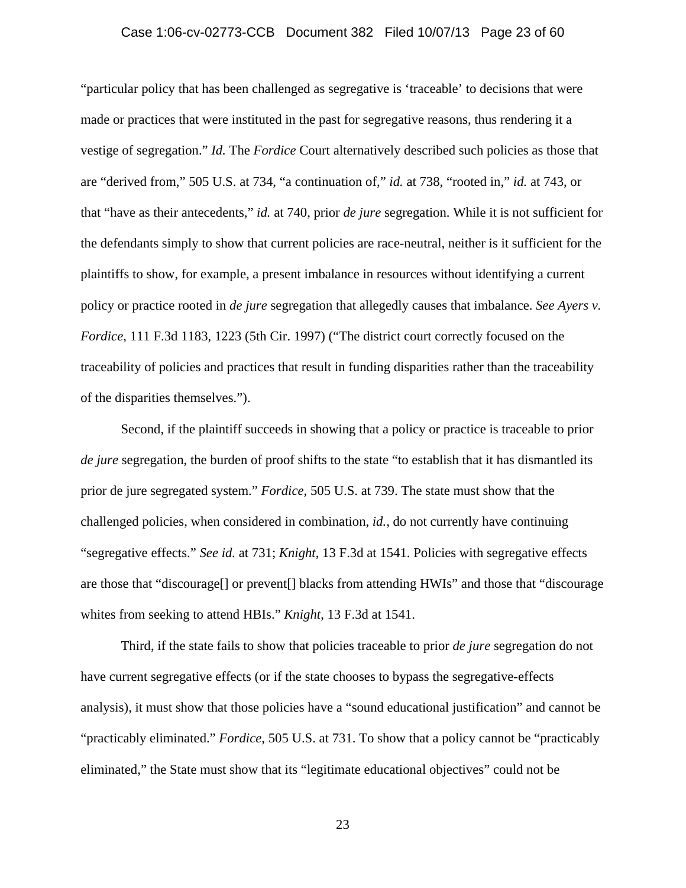### Case 1:06-cv-02773-CCB Document 382 Filed 10/07/13 Page 23 of 60

"particular policy that has been challenged as segregative is 'traceable' to decisions that were made or practices that were instituted in the past for segregative reasons, thus rendering it a vestige of segregation." *Id.* The *Fordice* Court alternatively described such policies as those that are "derived from," 505 U.S. at 734, "a continuation of," *id.* at 738, "rooted in," *id.* at 743, or that "have as their antecedents," *id.* at 740, prior *de jure* segregation. While it is not sufficient for the defendants simply to show that current policies are race-neutral, neither is it sufficient for the plaintiffs to show, for example, a present imbalance in resources without identifying a current policy or practice rooted in *de jure* segregation that allegedly causes that imbalance. *See Ayers v. Fordice*, 111 F.3d 1183, 1223 (5th Cir. 1997) ("The district court correctly focused on the traceability of policies and practices that result in funding disparities rather than the traceability of the disparities themselves.").

Second, if the plaintiff succeeds in showing that a policy or practice is traceable to prior *de jure* segregation, the burden of proof shifts to the state "to establish that it has dismantled its prior de jure segregated system." *Fordice*, 505 U.S. at 739. The state must show that the challenged policies, when considered in combination, *id.*, do not currently have continuing "segregative effects." *See id.* at 731; *Knight*, 13 F.3d at 1541. Policies with segregative effects are those that "discourage[] or prevent[] blacks from attending HWIs" and those that "discourage whites from seeking to attend HBIs." *Knight*, 13 F.3d at 1541.

Third, if the state fails to show that policies traceable to prior *de jure* segregation do not have current segregative effects (or if the state chooses to bypass the segregative-effects analysis), it must show that those policies have a "sound educational justification" and cannot be "practicably eliminated." *Fordice*, 505 U.S. at 731. To show that a policy cannot be "practicably eliminated," the State must show that its "legitimate educational objectives" could not be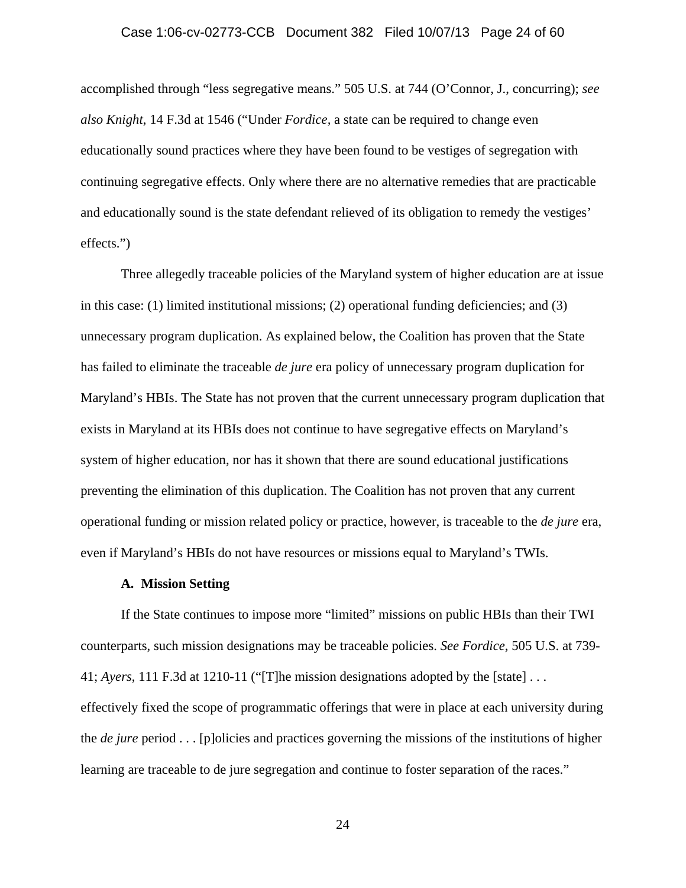### Case 1:06-cv-02773-CCB Document 382 Filed 10/07/13 Page 24 of 60

accomplished through "less segregative means." 505 U.S. at 744 (O'Connor, J., concurring); *see also Knight*, 14 F.3d at 1546 ("Under *Fordice,* a state can be required to change even educationally sound practices where they have been found to be vestiges of segregation with continuing segregative effects. Only where there are no alternative remedies that are practicable and educationally sound is the state defendant relieved of its obligation to remedy the vestiges' effects.")

Three allegedly traceable policies of the Maryland system of higher education are at issue in this case: (1) limited institutional missions; (2) operational funding deficiencies; and (3) unnecessary program duplication. As explained below, the Coalition has proven that the State has failed to eliminate the traceable *de jure* era policy of unnecessary program duplication for Maryland's HBIs. The State has not proven that the current unnecessary program duplication that exists in Maryland at its HBIs does not continue to have segregative effects on Maryland's system of higher education, nor has it shown that there are sound educational justifications preventing the elimination of this duplication. The Coalition has not proven that any current operational funding or mission related policy or practice, however, is traceable to the *de jure* era, even if Maryland's HBIs do not have resources or missions equal to Maryland's TWIs.

#### **A. Mission Setting**

If the State continues to impose more "limited" missions on public HBIs than their TWI counterparts, such mission designations may be traceable policies. *See Fordice*, 505 U.S. at 739- 41; *Ayers*, 111 F.3d at 1210-11 ("[T]he mission designations adopted by the [state] . . . effectively fixed the scope of programmatic offerings that were in place at each university during the *de jure* period . . . [p]olicies and practices governing the missions of the institutions of higher learning are traceable to de jure segregation and continue to foster separation of the races."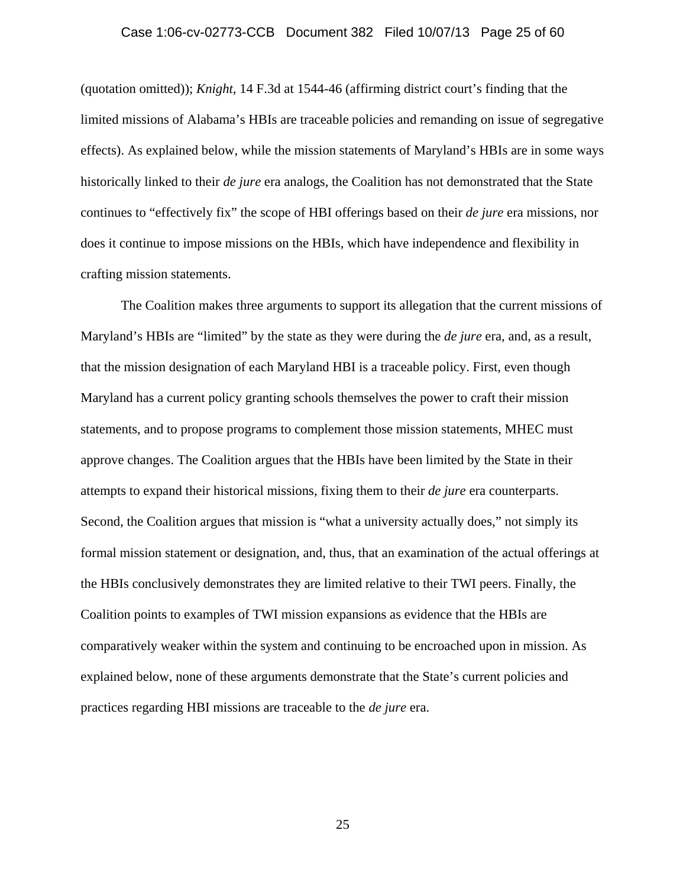### Case 1:06-cv-02773-CCB Document 382 Filed 10/07/13 Page 25 of 60

(quotation omitted)); *Knight*, 14 F.3d at 1544-46 (affirming district court's finding that the limited missions of Alabama's HBIs are traceable policies and remanding on issue of segregative effects). As explained below, while the mission statements of Maryland's HBIs are in some ways historically linked to their *de jure* era analogs, the Coalition has not demonstrated that the State continues to "effectively fix" the scope of HBI offerings based on their *de jure* era missions, nor does it continue to impose missions on the HBIs, which have independence and flexibility in crafting mission statements.

The Coalition makes three arguments to support its allegation that the current missions of Maryland's HBIs are "limited" by the state as they were during the *de jure* era, and, as a result, that the mission designation of each Maryland HBI is a traceable policy. First, even though Maryland has a current policy granting schools themselves the power to craft their mission statements, and to propose programs to complement those mission statements, MHEC must approve changes. The Coalition argues that the HBIs have been limited by the State in their attempts to expand their historical missions, fixing them to their *de jure* era counterparts. Second, the Coalition argues that mission is "what a university actually does," not simply its formal mission statement or designation, and, thus, that an examination of the actual offerings at the HBIs conclusively demonstrates they are limited relative to their TWI peers. Finally, the Coalition points to examples of TWI mission expansions as evidence that the HBIs are comparatively weaker within the system and continuing to be encroached upon in mission. As explained below, none of these arguments demonstrate that the State's current policies and practices regarding HBI missions are traceable to the *de jure* era.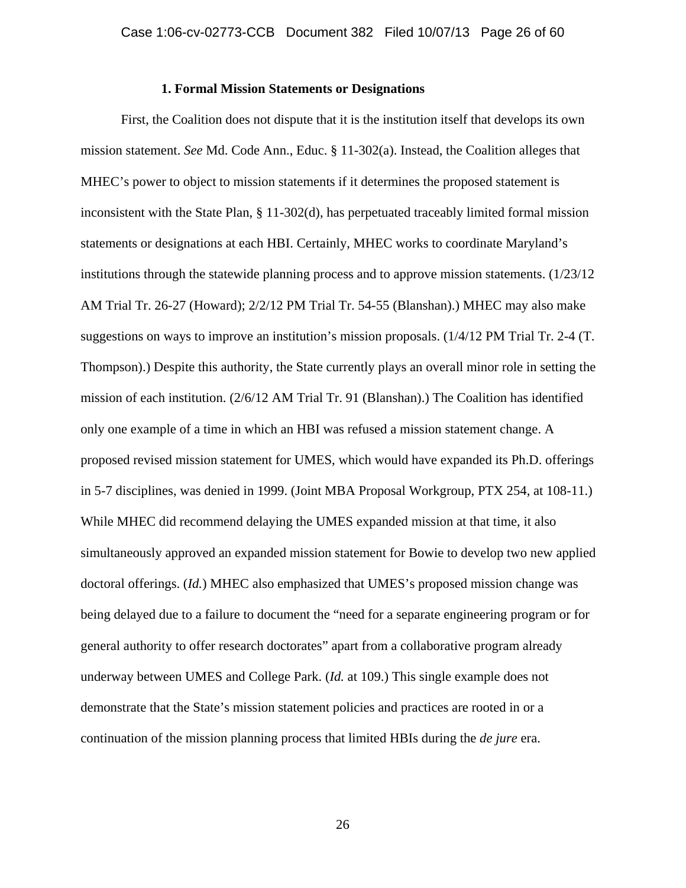# **1. Formal Mission Statements or Designations**

First, the Coalition does not dispute that it is the institution itself that develops its own mission statement. *See* Md. Code Ann., Educ. § 11-302(a). Instead, the Coalition alleges that MHEC's power to object to mission statements if it determines the proposed statement is inconsistent with the State Plan, § 11-302(d), has perpetuated traceably limited formal mission statements or designations at each HBI. Certainly, MHEC works to coordinate Maryland's institutions through the statewide planning process and to approve mission statements.  $(1/23/12)$ AM Trial Tr. 26-27 (Howard); 2/2/12 PM Trial Tr. 54-55 (Blanshan).) MHEC may also make suggestions on ways to improve an institution's mission proposals. (1/4/12 PM Trial Tr. 2-4 (T. Thompson).) Despite this authority, the State currently plays an overall minor role in setting the mission of each institution. (2/6/12 AM Trial Tr. 91 (Blanshan).) The Coalition has identified only one example of a time in which an HBI was refused a mission statement change. A proposed revised mission statement for UMES, which would have expanded its Ph.D. offerings in 5-7 disciplines, was denied in 1999. (Joint MBA Proposal Workgroup, PTX 254, at 108-11.) While MHEC did recommend delaying the UMES expanded mission at that time, it also simultaneously approved an expanded mission statement for Bowie to develop two new applied doctoral offerings. (*Id.*) MHEC also emphasized that UMES's proposed mission change was being delayed due to a failure to document the "need for a separate engineering program or for general authority to offer research doctorates" apart from a collaborative program already underway between UMES and College Park. (*Id.* at 109.) This single example does not demonstrate that the State's mission statement policies and practices are rooted in or a continuation of the mission planning process that limited HBIs during the *de jure* era.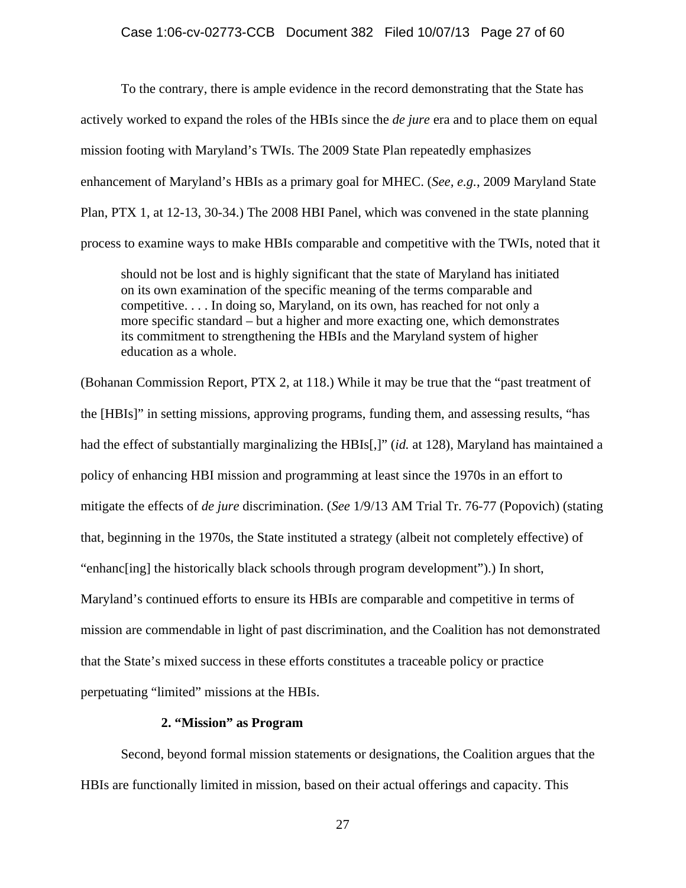To the contrary, there is ample evidence in the record demonstrating that the State has actively worked to expand the roles of the HBIs since the *de jure* era and to place them on equal mission footing with Maryland's TWIs. The 2009 State Plan repeatedly emphasizes enhancement of Maryland's HBIs as a primary goal for MHEC. (*See, e.g.*, 2009 Maryland State Plan, PTX 1, at 12-13, 30-34.) The 2008 HBI Panel, which was convened in the state planning process to examine ways to make HBIs comparable and competitive with the TWIs, noted that it

should not be lost and is highly significant that the state of Maryland has initiated on its own examination of the specific meaning of the terms comparable and competitive. . . . In doing so, Maryland, on its own, has reached for not only a more specific standard – but a higher and more exacting one, which demonstrates its commitment to strengthening the HBIs and the Maryland system of higher education as a whole.

(Bohanan Commission Report, PTX 2, at 118.) While it may be true that the "past treatment of the [HBIs]" in setting missions, approving programs, funding them, and assessing results, "has had the effect of substantially marginalizing the HBIs[,]" (*id.* at 128), Maryland has maintained a policy of enhancing HBI mission and programming at least since the 1970s in an effort to mitigate the effects of *de jure* discrimination. (*See* 1/9/13 AM Trial Tr. 76-77 (Popovich) (stating that, beginning in the 1970s, the State instituted a strategy (albeit not completely effective) of "enhanc[ing] the historically black schools through program development").) In short, Maryland's continued efforts to ensure its HBIs are comparable and competitive in terms of mission are commendable in light of past discrimination, and the Coalition has not demonstrated that the State's mixed success in these efforts constitutes a traceable policy or practice perpetuating "limited" missions at the HBIs.

# **2. "Mission" as Program**

Second, beyond formal mission statements or designations, the Coalition argues that the HBIs are functionally limited in mission, based on their actual offerings and capacity. This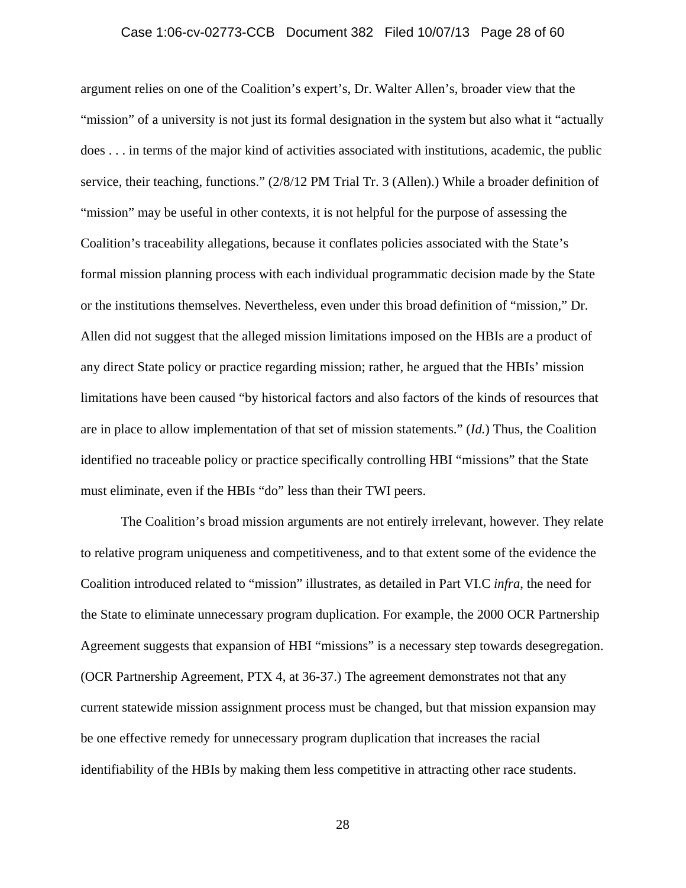### Case 1:06-cv-02773-CCB Document 382 Filed 10/07/13 Page 28 of 60

argument relies on one of the Coalition's expert's, Dr. Walter Allen's, broader view that the "mission" of a university is not just its formal designation in the system but also what it "actually does . . . in terms of the major kind of activities associated with institutions, academic, the public service, their teaching, functions." (2/8/12 PM Trial Tr. 3 (Allen).) While a broader definition of "mission" may be useful in other contexts, it is not helpful for the purpose of assessing the Coalition's traceability allegations, because it conflates policies associated with the State's formal mission planning process with each individual programmatic decision made by the State or the institutions themselves. Nevertheless, even under this broad definition of "mission," Dr. Allen did not suggest that the alleged mission limitations imposed on the HBIs are a product of any direct State policy or practice regarding mission; rather, he argued that the HBIs' mission limitations have been caused "by historical factors and also factors of the kinds of resources that are in place to allow implementation of that set of mission statements." (*Id.*) Thus, the Coalition identified no traceable policy or practice specifically controlling HBI "missions" that the State must eliminate, even if the HBIs "do" less than their TWI peers.

The Coalition's broad mission arguments are not entirely irrelevant, however. They relate to relative program uniqueness and competitiveness, and to that extent some of the evidence the Coalition introduced related to "mission" illustrates, as detailed in Part VI.C *infra*, the need for the State to eliminate unnecessary program duplication. For example, the 2000 OCR Partnership Agreement suggests that expansion of HBI "missions" is a necessary step towards desegregation. (OCR Partnership Agreement, PTX 4, at 36-37.) The agreement demonstrates not that any current statewide mission assignment process must be changed, but that mission expansion may be one effective remedy for unnecessary program duplication that increases the racial identifiability of the HBIs by making them less competitive in attracting other race students.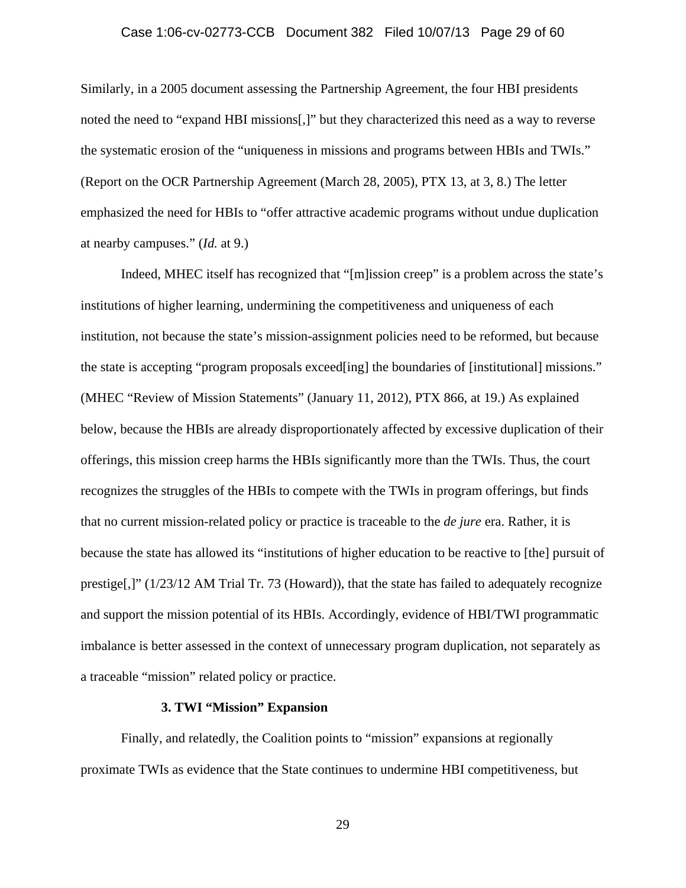Similarly, in a 2005 document assessing the Partnership Agreement, the four HBI presidents noted the need to "expand HBI missions[,]" but they characterized this need as a way to reverse the systematic erosion of the "uniqueness in missions and programs between HBIs and TWIs." (Report on the OCR Partnership Agreement (March 28, 2005), PTX 13, at 3, 8.) The letter emphasized the need for HBIs to "offer attractive academic programs without undue duplication at nearby campuses." (*Id.* at 9.)

Indeed, MHEC itself has recognized that "[m]ission creep" is a problem across the state's institutions of higher learning, undermining the competitiveness and uniqueness of each institution, not because the state's mission-assignment policies need to be reformed, but because the state is accepting "program proposals exceed[ing] the boundaries of [institutional] missions." (MHEC "Review of Mission Statements" (January 11, 2012), PTX 866, at 19.) As explained below, because the HBIs are already disproportionately affected by excessive duplication of their offerings, this mission creep harms the HBIs significantly more than the TWIs. Thus, the court recognizes the struggles of the HBIs to compete with the TWIs in program offerings, but finds that no current mission-related policy or practice is traceable to the *de jure* era. Rather, it is because the state has allowed its "institutions of higher education to be reactive to [the] pursuit of prestige[,]" (1/23/12 AM Trial Tr. 73 (Howard)), that the state has failed to adequately recognize and support the mission potential of its HBIs. Accordingly, evidence of HBI/TWI programmatic imbalance is better assessed in the context of unnecessary program duplication, not separately as a traceable "mission" related policy or practice.

# **3. TWI "Mission" Expansion**

Finally, and relatedly, the Coalition points to "mission" expansions at regionally proximate TWIs as evidence that the State continues to undermine HBI competitiveness, but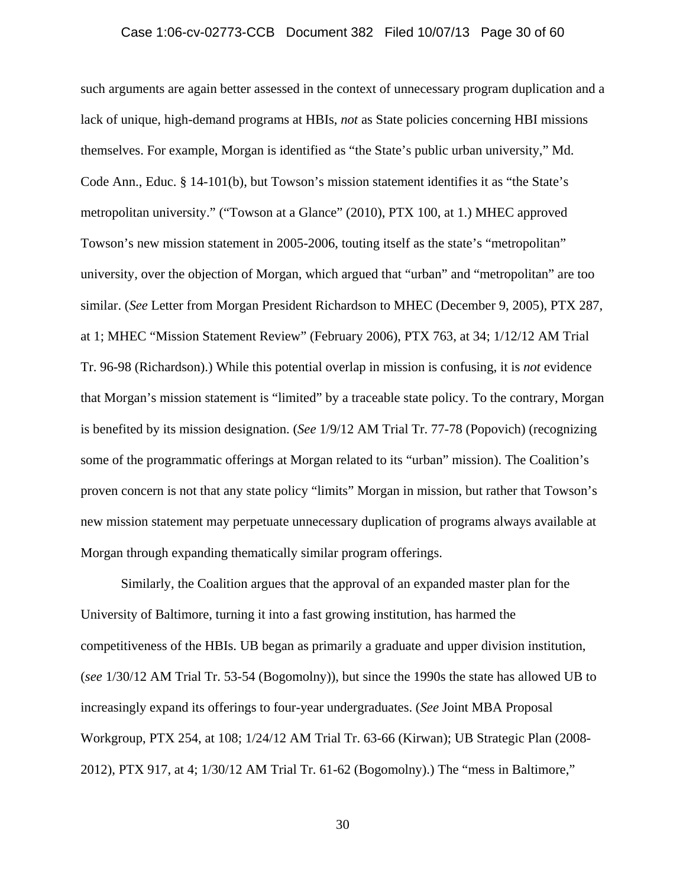such arguments are again better assessed in the context of unnecessary program duplication and a lack of unique, high-demand programs at HBIs, *not* as State policies concerning HBI missions themselves. For example, Morgan is identified as "the State's public urban university," Md. Code Ann., Educ. § 14-101(b), but Towson's mission statement identifies it as "the State's metropolitan university." ("Towson at a Glance" (2010), PTX 100, at 1.) MHEC approved Towson's new mission statement in 2005-2006, touting itself as the state's "metropolitan" university, over the objection of Morgan, which argued that "urban" and "metropolitan" are too similar. (*See* Letter from Morgan President Richardson to MHEC (December 9, 2005), PTX 287, at 1; MHEC "Mission Statement Review" (February 2006), PTX 763, at 34; 1/12/12 AM Trial Tr. 96-98 (Richardson).) While this potential overlap in mission is confusing, it is *not* evidence that Morgan's mission statement is "limited" by a traceable state policy. To the contrary, Morgan is benefited by its mission designation. (*See* 1/9/12 AM Trial Tr. 77-78 (Popovich) (recognizing some of the programmatic offerings at Morgan related to its "urban" mission). The Coalition's proven concern is not that any state policy "limits" Morgan in mission, but rather that Towson's new mission statement may perpetuate unnecessary duplication of programs always available at Morgan through expanding thematically similar program offerings.

Similarly, the Coalition argues that the approval of an expanded master plan for the University of Baltimore, turning it into a fast growing institution, has harmed the competitiveness of the HBIs. UB began as primarily a graduate and upper division institution, (*see* 1/30/12 AM Trial Tr. 53-54 (Bogomolny)), but since the 1990s the state has allowed UB to increasingly expand its offerings to four-year undergraduates. (*See* Joint MBA Proposal Workgroup, PTX 254, at 108; 1/24/12 AM Trial Tr. 63-66 (Kirwan); UB Strategic Plan (2008- 2012), PTX 917, at 4; 1/30/12 AM Trial Tr. 61-62 (Bogomolny).) The "mess in Baltimore,"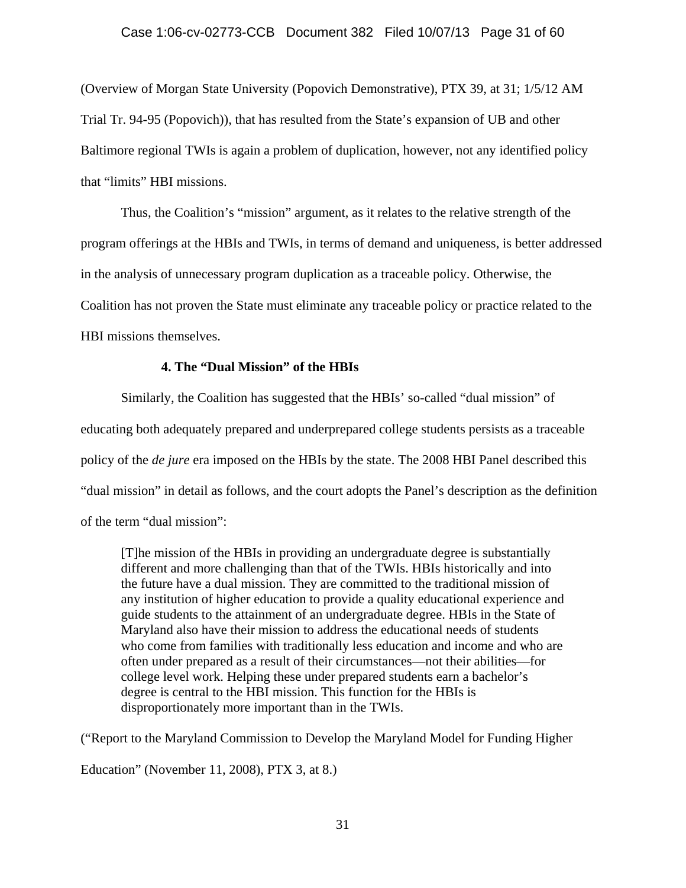### Case 1:06-cv-02773-CCB Document 382 Filed 10/07/13 Page 31 of 60

(Overview of Morgan State University (Popovich Demonstrative), PTX 39, at 31; 1/5/12 AM Trial Tr. 94-95 (Popovich)), that has resulted from the State's expansion of UB and other Baltimore regional TWIs is again a problem of duplication, however, not any identified policy that "limits" HBI missions.

 Thus, the Coalition's "mission" argument, as it relates to the relative strength of the program offerings at the HBIs and TWIs, in terms of demand and uniqueness, is better addressed in the analysis of unnecessary program duplication as a traceable policy. Otherwise, the Coalition has not proven the State must eliminate any traceable policy or practice related to the HBI missions themselves.

# **4. The "Dual Mission" of the HBIs**

 Similarly, the Coalition has suggested that the HBIs' so-called "dual mission" of educating both adequately prepared and underprepared college students persists as a traceable policy of the *de jure* era imposed on the HBIs by the state. The 2008 HBI Panel described this "dual mission" in detail as follows, and the court adopts the Panel's description as the definition of the term "dual mission":

[T]he mission of the HBIs in providing an undergraduate degree is substantially different and more challenging than that of the TWIs. HBIs historically and into the future have a dual mission. They are committed to the traditional mission of any institution of higher education to provide a quality educational experience and guide students to the attainment of an undergraduate degree. HBIs in the State of Maryland also have their mission to address the educational needs of students who come from families with traditionally less education and income and who are often under prepared as a result of their circumstances—not their abilities—for college level work. Helping these under prepared students earn a bachelor's degree is central to the HBI mission. This function for the HBIs is disproportionately more important than in the TWIs.

("Report to the Maryland Commission to Develop the Maryland Model for Funding Higher

Education" (November 11, 2008), PTX 3, at 8.)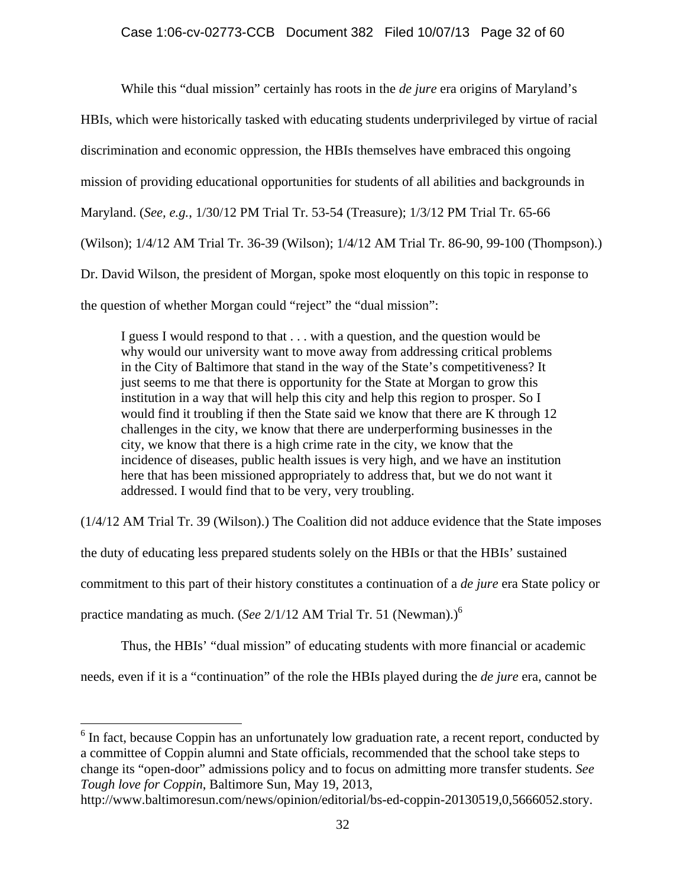While this "dual mission" certainly has roots in the *de jure* era origins of Maryland's

HBIs, which were historically tasked with educating students underprivileged by virtue of racial

discrimination and economic oppression, the HBIs themselves have embraced this ongoing

mission of providing educational opportunities for students of all abilities and backgrounds in

Maryland. (*See, e.g.*, 1/30/12 PM Trial Tr. 53-54 (Treasure); 1/3/12 PM Trial Tr. 65-66

(Wilson); 1/4/12 AM Trial Tr. 36-39 (Wilson); 1/4/12 AM Trial Tr. 86-90, 99-100 (Thompson).)

Dr. David Wilson, the president of Morgan, spoke most eloquently on this topic in response to

the question of whether Morgan could "reject" the "dual mission":

I guess I would respond to that . . . with a question, and the question would be why would our university want to move away from addressing critical problems in the City of Baltimore that stand in the way of the State's competitiveness? It just seems to me that there is opportunity for the State at Morgan to grow this institution in a way that will help this city and help this region to prosper. So I would find it troubling if then the State said we know that there are K through 12 challenges in the city, we know that there are underperforming businesses in the city, we know that there is a high crime rate in the city, we know that the incidence of diseases, public health issues is very high, and we have an institution here that has been missioned appropriately to address that, but we do not want it addressed. I would find that to be very, very troubling.

(1/4/12 AM Trial Tr. 39 (Wilson).) The Coalition did not adduce evidence that the State imposes

the duty of educating less prepared students solely on the HBIs or that the HBIs' sustained

commitment to this part of their history constitutes a continuation of a *de jure* era State policy or

practice mandating as much. (*See* 2/1/12 AM Trial Tr. 51 (Newman).)6

 $\overline{a}$ 

Thus, the HBIs' "dual mission" of educating students with more financial or academic

needs, even if it is a "continuation" of the role the HBIs played during the *de jure* era, cannot be

 $6$  In fact, because Coppin has an unfortunately low graduation rate, a recent report, conducted by a committee of Coppin alumni and State officials, recommended that the school take steps to change its "open-door" admissions policy and to focus on admitting more transfer students. *See Tough love for Coppin*, Baltimore Sun, May 19, 2013,

http://www.baltimoresun.com/news/opinion/editorial/bs-ed-coppin-20130519,0,5666052.story.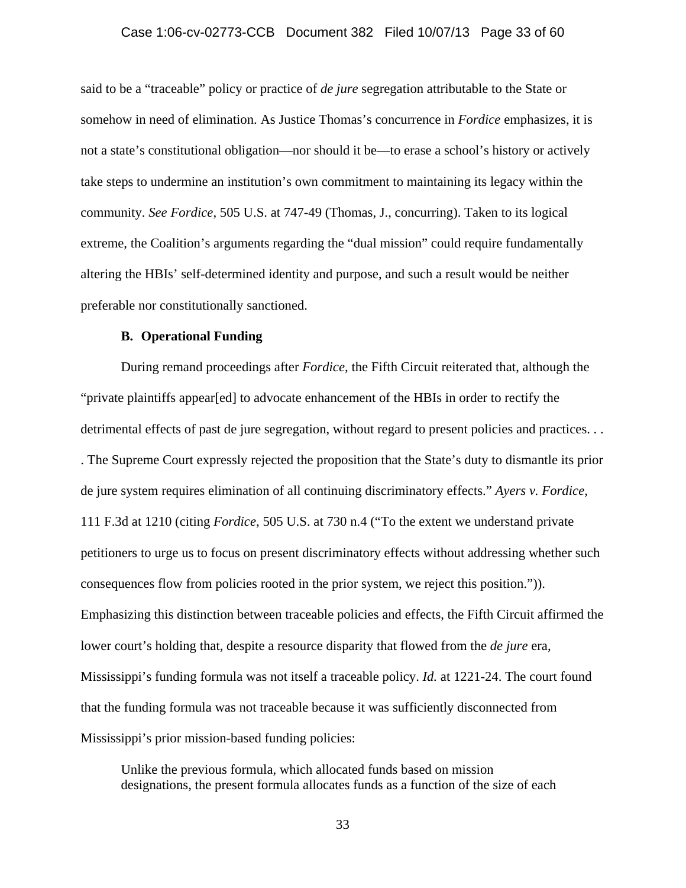### Case 1:06-cv-02773-CCB Document 382 Filed 10/07/13 Page 33 of 60

said to be a "traceable" policy or practice of *de jure* segregation attributable to the State or somehow in need of elimination. As Justice Thomas's concurrence in *Fordice* emphasizes, it is not a state's constitutional obligation—nor should it be—to erase a school's history or actively take steps to undermine an institution's own commitment to maintaining its legacy within the community. *See Fordice*, 505 U.S. at 747-49 (Thomas, J., concurring). Taken to its logical extreme, the Coalition's arguments regarding the "dual mission" could require fundamentally altering the HBIs' self-determined identity and purpose, and such a result would be neither preferable nor constitutionally sanctioned.

#### **B. Operational Funding**

During remand proceedings after *Fordice*, the Fifth Circuit reiterated that, although the "private plaintiffs appear[ed] to advocate enhancement of the HBIs in order to rectify the detrimental effects of past de jure segregation, without regard to present policies and practices. . . . The Supreme Court expressly rejected the proposition that the State's duty to dismantle its prior de jure system requires elimination of all continuing discriminatory effects." *Ayers v. Fordice*, 111 F.3d at 1210 (citing *Fordice*, 505 U.S. at 730 n.4 ("To the extent we understand private petitioners to urge us to focus on present discriminatory effects without addressing whether such consequences flow from policies rooted in the prior system, we reject this position.")). Emphasizing this distinction between traceable policies and effects, the Fifth Circuit affirmed the lower court's holding that, despite a resource disparity that flowed from the *de jure* era, Mississippi's funding formula was not itself a traceable policy. *Id.* at 1221-24. The court found that the funding formula was not traceable because it was sufficiently disconnected from Mississippi's prior mission-based funding policies:

Unlike the previous formula, which allocated funds based on mission designations, the present formula allocates funds as a function of the size of each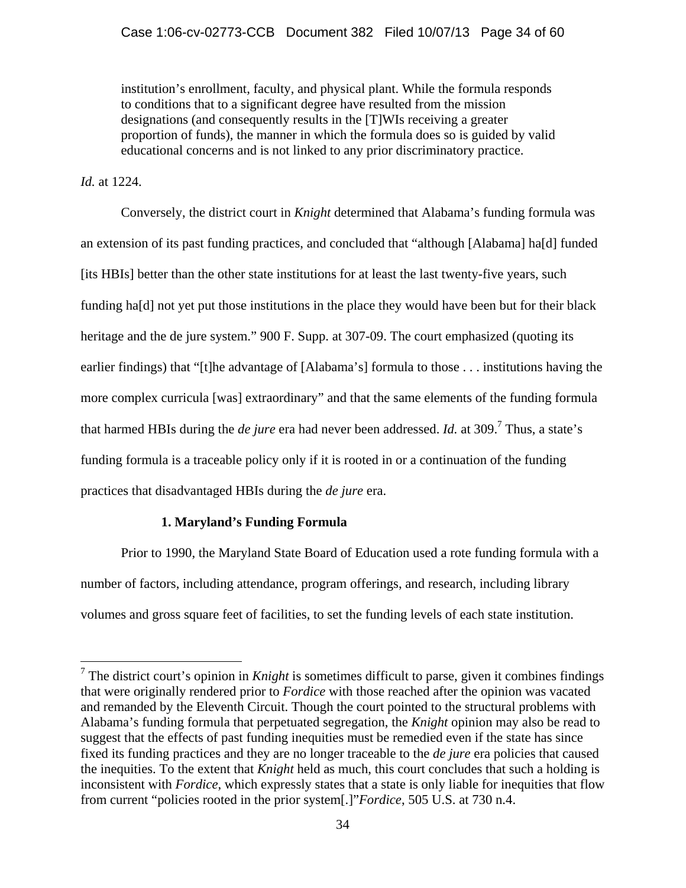institution's enrollment, faculty, and physical plant. While the formula responds to conditions that to a significant degree have resulted from the mission designations (and consequently results in the [T]WIs receiving a greater proportion of funds), the manner in which the formula does so is guided by valid educational concerns and is not linked to any prior discriminatory practice.

# *Id.* at 1224.

 Conversely, the district court in *Knight* determined that Alabama's funding formula was an extension of its past funding practices, and concluded that "although [Alabama] ha[d] funded [its HBIs] better than the other state institutions for at least the last twenty-five years, such funding ha[d] not yet put those institutions in the place they would have been but for their black heritage and the de jure system." 900 F. Supp. at 307-09. The court emphasized (quoting its earlier findings) that "[t]he advantage of [Alabama's] formula to those . . . institutions having the more complex curricula [was] extraordinary" and that the same elements of the funding formula that harmed HBIs during the *de jure* era had never been addressed. *Id.* at 309.<sup>7</sup> Thus, a state's funding formula is a traceable policy only if it is rooted in or a continuation of the funding practices that disadvantaged HBIs during the *de jure* era.

# **1. Maryland's Funding Formula**

 Prior to 1990, the Maryland State Board of Education used a rote funding formula with a number of factors, including attendance, program offerings, and research, including library volumes and gross square feet of facilities, to set the funding levels of each state institution.

<sup>&</sup>lt;sup>7</sup> The district court's opinion in *Knight* is sometimes difficult to parse, given it combines findings that were originally rendered prior to *Fordice* with those reached after the opinion was vacated and remanded by the Eleventh Circuit. Though the court pointed to the structural problems with Alabama's funding formula that perpetuated segregation, the *Knight* opinion may also be read to suggest that the effects of past funding inequities must be remedied even if the state has since fixed its funding practices and they are no longer traceable to the *de jure* era policies that caused the inequities. To the extent that *Knight* held as much, this court concludes that such a holding is inconsistent with *Fordice*, which expressly states that a state is only liable for inequities that flow from current "policies rooted in the prior system[.]"*Fordice*, 505 U.S. at 730 n.4.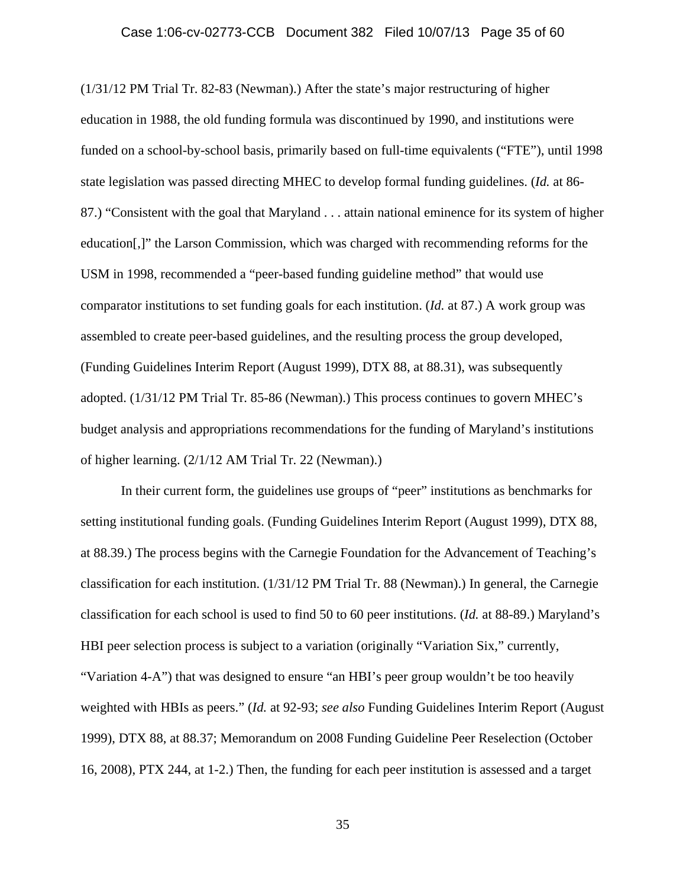(1/31/12 PM Trial Tr. 82-83 (Newman).) After the state's major restructuring of higher education in 1988, the old funding formula was discontinued by 1990, and institutions were funded on a school-by-school basis, primarily based on full-time equivalents ("FTE"), until 1998 state legislation was passed directing MHEC to develop formal funding guidelines. (*Id.* at 86- 87.) "Consistent with the goal that Maryland . . . attain national eminence for its system of higher education[,]" the Larson Commission, which was charged with recommending reforms for the USM in 1998, recommended a "peer-based funding guideline method" that would use comparator institutions to set funding goals for each institution. (*Id.* at 87.) A work group was assembled to create peer-based guidelines, and the resulting process the group developed, (Funding Guidelines Interim Report (August 1999), DTX 88, at 88.31), was subsequently adopted. (1/31/12 PM Trial Tr. 85-86 (Newman).) This process continues to govern MHEC's budget analysis and appropriations recommendations for the funding of Maryland's institutions of higher learning. (2/1/12 AM Trial Tr. 22 (Newman).)

 In their current form, the guidelines use groups of "peer" institutions as benchmarks for setting institutional funding goals. (Funding Guidelines Interim Report (August 1999), DTX 88, at 88.39.) The process begins with the Carnegie Foundation for the Advancement of Teaching's classification for each institution. (1/31/12 PM Trial Tr. 88 (Newman).) In general, the Carnegie classification for each school is used to find 50 to 60 peer institutions. (*Id.* at 88-89.) Maryland's HBI peer selection process is subject to a variation (originally "Variation Six," currently, "Variation 4-A") that was designed to ensure "an HBI's peer group wouldn't be too heavily weighted with HBIs as peers." (*Id.* at 92-93; *see also* Funding Guidelines Interim Report (August 1999), DTX 88, at 88.37; Memorandum on 2008 Funding Guideline Peer Reselection (October 16, 2008), PTX 244, at 1-2.) Then, the funding for each peer institution is assessed and a target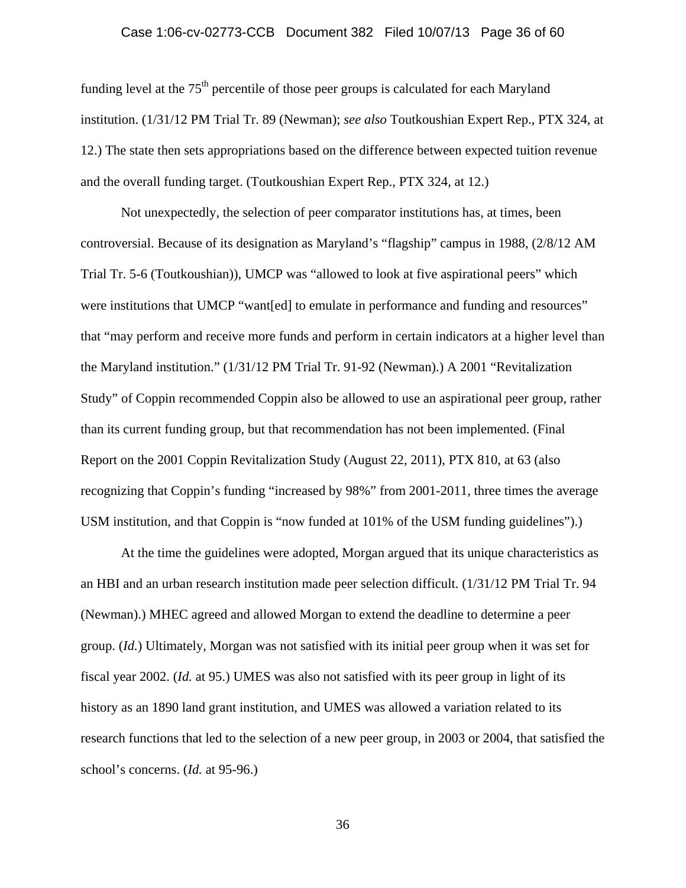# Case 1:06-cv-02773-CCB Document 382 Filed 10/07/13 Page 36 of 60

funding level at the  $75<sup>th</sup>$  percentile of those peer groups is calculated for each Maryland institution. (1/31/12 PM Trial Tr. 89 (Newman); *see also* Toutkoushian Expert Rep., PTX 324, at 12.) The state then sets appropriations based on the difference between expected tuition revenue and the overall funding target. (Toutkoushian Expert Rep., PTX 324, at 12.)

 Not unexpectedly, the selection of peer comparator institutions has, at times, been controversial. Because of its designation as Maryland's "flagship" campus in 1988, (2/8/12 AM Trial Tr. 5-6 (Toutkoushian)), UMCP was "allowed to look at five aspirational peers" which were institutions that UMCP "want[ed] to emulate in performance and funding and resources" that "may perform and receive more funds and perform in certain indicators at a higher level than the Maryland institution." (1/31/12 PM Trial Tr. 91-92 (Newman).) A 2001 "Revitalization Study" of Coppin recommended Coppin also be allowed to use an aspirational peer group, rather than its current funding group, but that recommendation has not been implemented. (Final Report on the 2001 Coppin Revitalization Study (August 22, 2011), PTX 810, at 63 (also recognizing that Coppin's funding "increased by 98%" from 2001-2011, three times the average USM institution, and that Coppin is "now funded at 101% of the USM funding guidelines").)

 At the time the guidelines were adopted, Morgan argued that its unique characteristics as an HBI and an urban research institution made peer selection difficult. (1/31/12 PM Trial Tr. 94 (Newman).) MHEC agreed and allowed Morgan to extend the deadline to determine a peer group. (*Id.*) Ultimately, Morgan was not satisfied with its initial peer group when it was set for fiscal year 2002. (*Id.* at 95.) UMES was also not satisfied with its peer group in light of its history as an 1890 land grant institution, and UMES was allowed a variation related to its research functions that led to the selection of a new peer group, in 2003 or 2004, that satisfied the school's concerns. (*Id.* at 95-96.)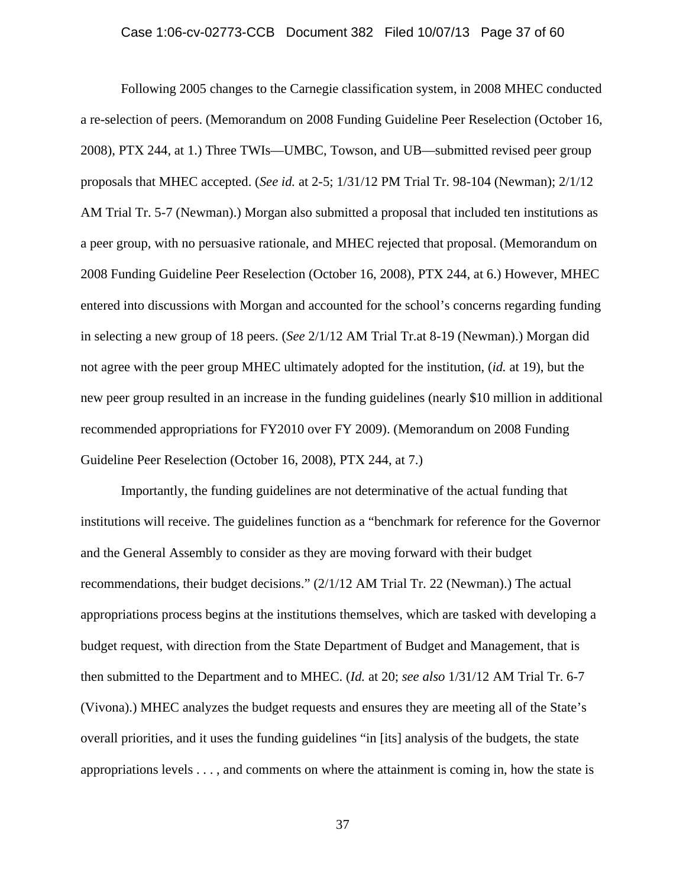Following 2005 changes to the Carnegie classification system, in 2008 MHEC conducted a re-selection of peers. (Memorandum on 2008 Funding Guideline Peer Reselection (October 16, 2008), PTX 244, at 1.) Three TWIs—UMBC, Towson, and UB—submitted revised peer group proposals that MHEC accepted. (*See id.* at 2-5; 1/31/12 PM Trial Tr. 98-104 (Newman); 2/1/12 AM Trial Tr. 5-7 (Newman).) Morgan also submitted a proposal that included ten institutions as a peer group, with no persuasive rationale, and MHEC rejected that proposal. (Memorandum on 2008 Funding Guideline Peer Reselection (October 16, 2008), PTX 244, at 6.) However, MHEC entered into discussions with Morgan and accounted for the school's concerns regarding funding in selecting a new group of 18 peers. (*See* 2/1/12 AM Trial Tr.at 8-19 (Newman).) Morgan did not agree with the peer group MHEC ultimately adopted for the institution, (*id.* at 19), but the new peer group resulted in an increase in the funding guidelines (nearly \$10 million in additional recommended appropriations for FY2010 over FY 2009). (Memorandum on 2008 Funding Guideline Peer Reselection (October 16, 2008), PTX 244, at 7.)

 Importantly, the funding guidelines are not determinative of the actual funding that institutions will receive. The guidelines function as a "benchmark for reference for the Governor and the General Assembly to consider as they are moving forward with their budget recommendations, their budget decisions." (2/1/12 AM Trial Tr. 22 (Newman).) The actual appropriations process begins at the institutions themselves, which are tasked with developing a budget request, with direction from the State Department of Budget and Management, that is then submitted to the Department and to MHEC. (*Id.* at 20; *see also* 1/31/12 AM Trial Tr. 6-7 (Vivona).) MHEC analyzes the budget requests and ensures they are meeting all of the State's overall priorities, and it uses the funding guidelines "in [its] analysis of the budgets, the state appropriations levels . . . , and comments on where the attainment is coming in, how the state is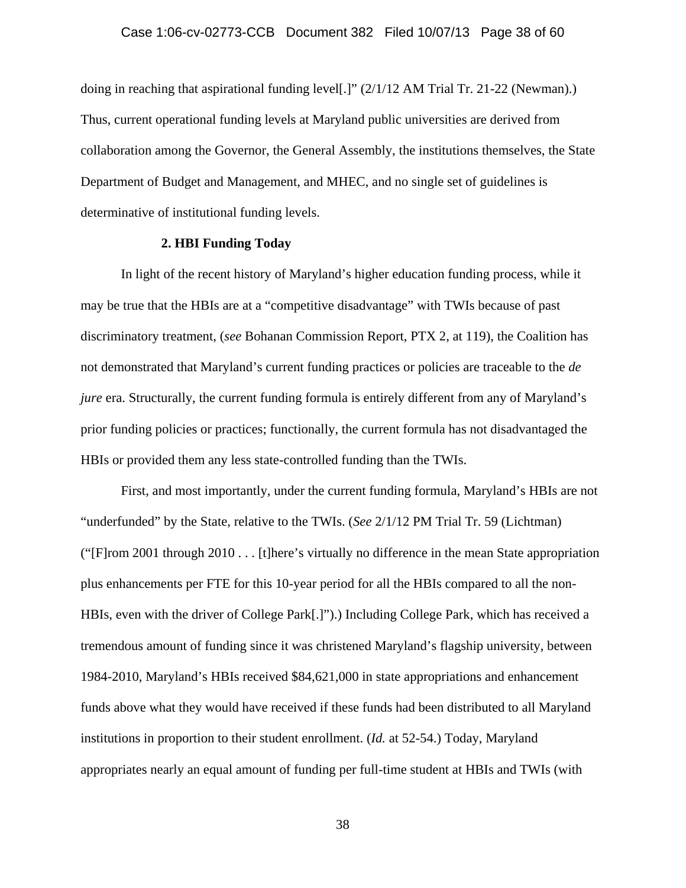doing in reaching that aspirational funding level[.]" (2/1/12 AM Trial Tr. 21-22 (Newman).) Thus, current operational funding levels at Maryland public universities are derived from collaboration among the Governor, the General Assembly, the institutions themselves, the State Department of Budget and Management, and MHEC, and no single set of guidelines is determinative of institutional funding levels.

# **2. HBI Funding Today**

 In light of the recent history of Maryland's higher education funding process, while it may be true that the HBIs are at a "competitive disadvantage" with TWIs because of past discriminatory treatment, (*see* Bohanan Commission Report, PTX 2, at 119), the Coalition has not demonstrated that Maryland's current funding practices or policies are traceable to the *de jure* era. Structurally, the current funding formula is entirely different from any of Maryland's prior funding policies or practices; functionally, the current formula has not disadvantaged the HBIs or provided them any less state-controlled funding than the TWIs.

 First, and most importantly, under the current funding formula, Maryland's HBIs are not "underfunded" by the State, relative to the TWIs. (*See* 2/1/12 PM Trial Tr. 59 (Lichtman) ("[F]rom 2001 through 2010 . . . [t]here's virtually no difference in the mean State appropriation plus enhancements per FTE for this 10-year period for all the HBIs compared to all the non-HBIs, even with the driver of College Park[.]").) Including College Park, which has received a tremendous amount of funding since it was christened Maryland's flagship university, between 1984-2010, Maryland's HBIs received \$84,621,000 in state appropriations and enhancement funds above what they would have received if these funds had been distributed to all Maryland institutions in proportion to their student enrollment. (*Id.* at 52-54.) Today, Maryland appropriates nearly an equal amount of funding per full-time student at HBIs and TWIs (with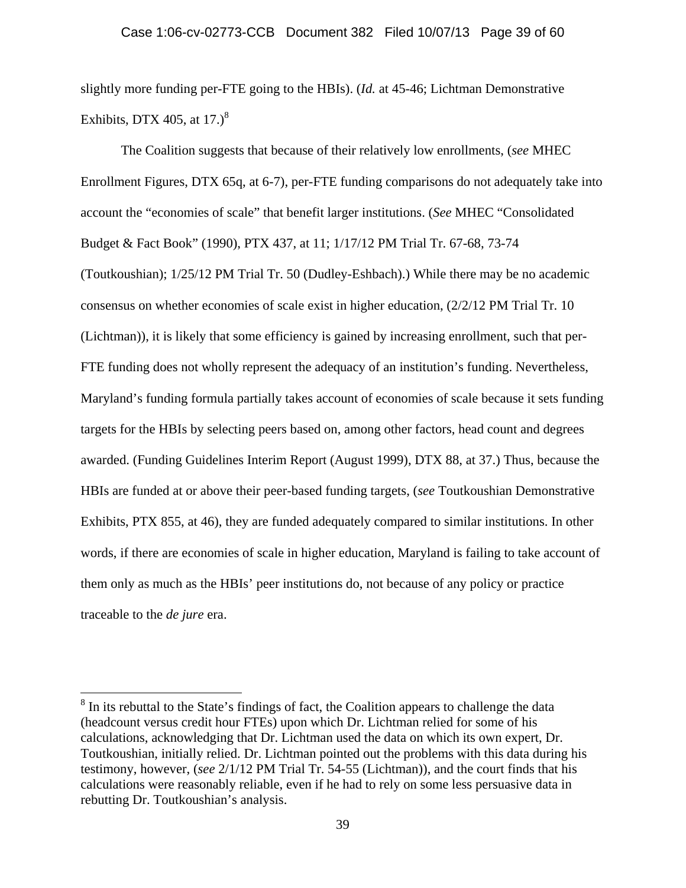slightly more funding per-FTE going to the HBIs). (*Id.* at 45-46; Lichtman Demonstrative Exhibits, DTX 405, at  $17.<sup>8</sup>$ 

 The Coalition suggests that because of their relatively low enrollments, (*see* MHEC Enrollment Figures, DTX 65q, at 6-7), per-FTE funding comparisons do not adequately take into account the "economies of scale" that benefit larger institutions. (*See* MHEC "Consolidated Budget & Fact Book" (1990), PTX 437, at 11; 1/17/12 PM Trial Tr. 67-68, 73-74 (Toutkoushian); 1/25/12 PM Trial Tr. 50 (Dudley-Eshbach).) While there may be no academic consensus on whether economies of scale exist in higher education, (2/2/12 PM Trial Tr. 10 (Lichtman)), it is likely that some efficiency is gained by increasing enrollment, such that per-FTE funding does not wholly represent the adequacy of an institution's funding. Nevertheless, Maryland's funding formula partially takes account of economies of scale because it sets funding targets for the HBIs by selecting peers based on, among other factors, head count and degrees awarded. (Funding Guidelines Interim Report (August 1999), DTX 88, at 37.) Thus, because the HBIs are funded at or above their peer-based funding targets, (*see* Toutkoushian Demonstrative Exhibits, PTX 855, at 46), they are funded adequately compared to similar institutions. In other words, if there are economies of scale in higher education, Maryland is failing to take account of them only as much as the HBIs' peer institutions do, not because of any policy or practice traceable to the *de jure* era.

 $\overline{a}$ 

 $8 \text{ In its}$  rebuttal to the State's findings of fact, the Coalition appears to challenge the data (headcount versus credit hour FTEs) upon which Dr. Lichtman relied for some of his calculations, acknowledging that Dr. Lichtman used the data on which its own expert, Dr. Toutkoushian, initially relied. Dr. Lichtman pointed out the problems with this data during his testimony, however, (*see* 2/1/12 PM Trial Tr. 54-55 (Lichtman)), and the court finds that his calculations were reasonably reliable, even if he had to rely on some less persuasive data in rebutting Dr. Toutkoushian's analysis.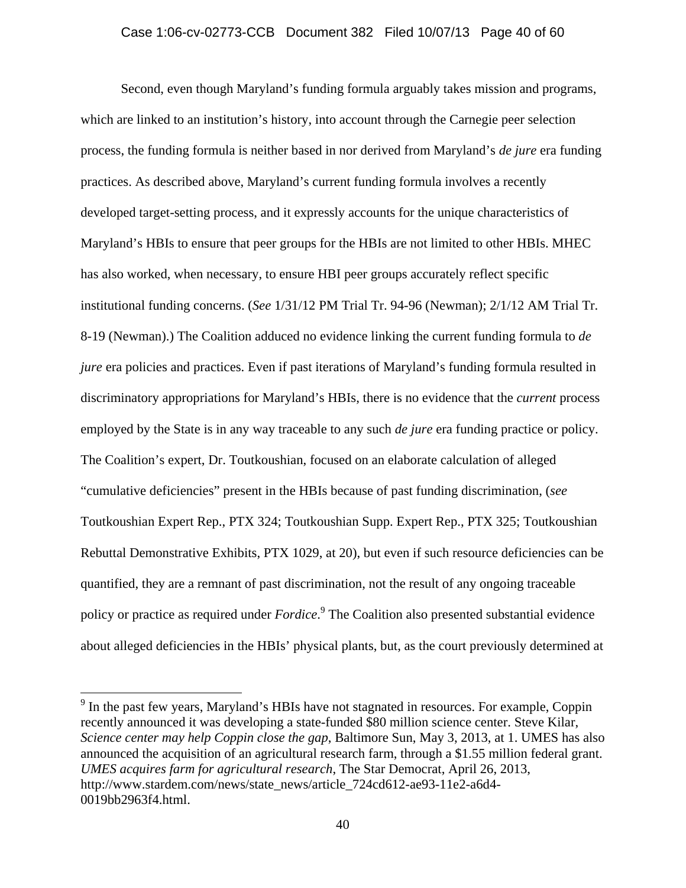Second, even though Maryland's funding formula arguably takes mission and programs, which are linked to an institution's history, into account through the Carnegie peer selection process, the funding formula is neither based in nor derived from Maryland's *de jure* era funding practices. As described above, Maryland's current funding formula involves a recently developed target-setting process, and it expressly accounts for the unique characteristics of Maryland's HBIs to ensure that peer groups for the HBIs are not limited to other HBIs. MHEC has also worked, when necessary, to ensure HBI peer groups accurately reflect specific institutional funding concerns. (*See* 1/31/12 PM Trial Tr. 94-96 (Newman); 2/1/12 AM Trial Tr. 8-19 (Newman).) The Coalition adduced no evidence linking the current funding formula to *de jure* era policies and practices. Even if past iterations of Maryland's funding formula resulted in discriminatory appropriations for Maryland's HBIs, there is no evidence that the *current* process employed by the State is in any way traceable to any such *de jure* era funding practice or policy. The Coalition's expert, Dr. Toutkoushian, focused on an elaborate calculation of alleged "cumulative deficiencies" present in the HBIs because of past funding discrimination, (*see*  Toutkoushian Expert Rep., PTX 324; Toutkoushian Supp. Expert Rep., PTX 325; Toutkoushian Rebuttal Demonstrative Exhibits, PTX 1029, at 20), but even if such resource deficiencies can be quantified, they are a remnant of past discrimination, not the result of any ongoing traceable policy or practice as required under *Fordice*. 9 The Coalition also presented substantial evidence about alleged deficiencies in the HBIs' physical plants, but, as the court previously determined at

 $\overline{a}$ 

 $9<sup>9</sup>$  In the past few years, Maryland's HBIs have not stagnated in resources. For example, Coppin recently announced it was developing a state-funded \$80 million science center. Steve Kilar, *Science center may help Coppin close the gap*, Baltimore Sun, May 3, 2013, at 1. UMES has also announced the acquisition of an agricultural research farm, through a \$1.55 million federal grant. *UMES acquires farm for agricultural research*, The Star Democrat, April 26, 2013, http://www.stardem.com/news/state\_news/article\_724cd612-ae93-11e2-a6d4- 0019bb2963f4.html.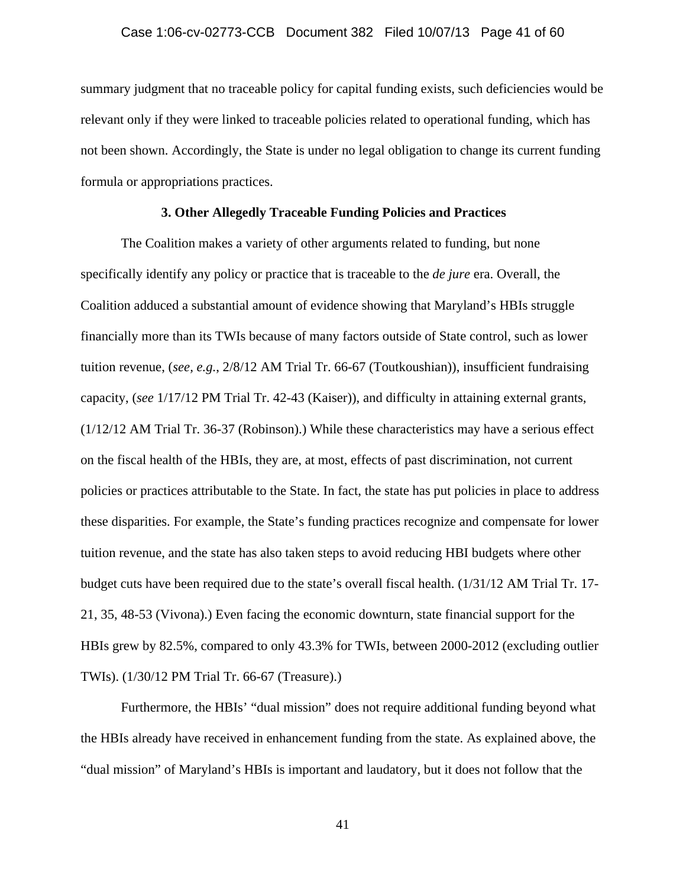summary judgment that no traceable policy for capital funding exists, such deficiencies would be relevant only if they were linked to traceable policies related to operational funding, which has not been shown. Accordingly, the State is under no legal obligation to change its current funding formula or appropriations practices.

# **3. Other Allegedly Traceable Funding Policies and Practices**

 The Coalition makes a variety of other arguments related to funding, but none specifically identify any policy or practice that is traceable to the *de jure* era. Overall, the Coalition adduced a substantial amount of evidence showing that Maryland's HBIs struggle financially more than its TWIs because of many factors outside of State control, such as lower tuition revenue, (*see, e.g.*, 2/8/12 AM Trial Tr. 66-67 (Toutkoushian)), insufficient fundraising capacity, (*see* 1/17/12 PM Trial Tr. 42-43 (Kaiser)), and difficulty in attaining external grants, (1/12/12 AM Trial Tr. 36-37 (Robinson).) While these characteristics may have a serious effect on the fiscal health of the HBIs, they are, at most, effects of past discrimination, not current policies or practices attributable to the State. In fact, the state has put policies in place to address these disparities. For example, the State's funding practices recognize and compensate for lower tuition revenue, and the state has also taken steps to avoid reducing HBI budgets where other budget cuts have been required due to the state's overall fiscal health. (1/31/12 AM Trial Tr. 17- 21, 35, 48-53 (Vivona).) Even facing the economic downturn, state financial support for the HBIs grew by 82.5%, compared to only 43.3% for TWIs, between 2000-2012 (excluding outlier TWIs). (1/30/12 PM Trial Tr. 66-67 (Treasure).)

 Furthermore, the HBIs' "dual mission" does not require additional funding beyond what the HBIs already have received in enhancement funding from the state. As explained above, the "dual mission" of Maryland's HBIs is important and laudatory, but it does not follow that the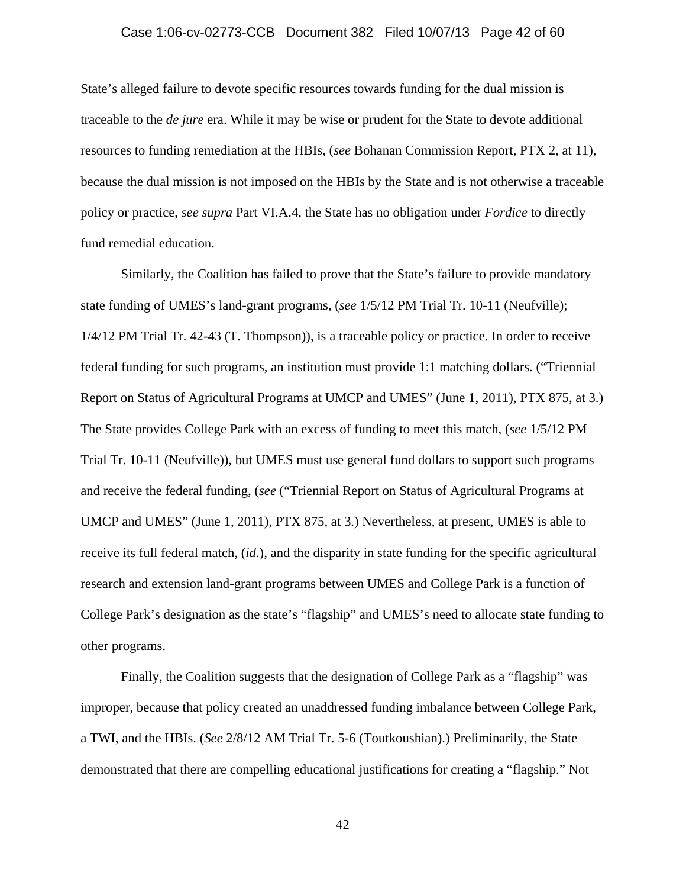### Case 1:06-cv-02773-CCB Document 382 Filed 10/07/13 Page 42 of 60

State's alleged failure to devote specific resources towards funding for the dual mission is traceable to the *de jure* era. While it may be wise or prudent for the State to devote additional resources to funding remediation at the HBIs, (*see* Bohanan Commission Report, PTX 2, at 11), because the dual mission is not imposed on the HBIs by the State and is not otherwise a traceable policy or practice, *see supra* Part VI.A.4, the State has no obligation under *Fordice* to directly fund remedial education.

 Similarly, the Coalition has failed to prove that the State's failure to provide mandatory state funding of UMES's land-grant programs, (*see* 1/5/12 PM Trial Tr. 10-11 (Neufville); 1/4/12 PM Trial Tr. 42-43 (T. Thompson)), is a traceable policy or practice. In order to receive federal funding for such programs, an institution must provide 1:1 matching dollars. ("Triennial Report on Status of Agricultural Programs at UMCP and UMES" (June 1, 2011), PTX 875, at 3.) The State provides College Park with an excess of funding to meet this match, (*see* 1/5/12 PM Trial Tr. 10-11 (Neufville)), but UMES must use general fund dollars to support such programs and receive the federal funding, (*see* ("Triennial Report on Status of Agricultural Programs at UMCP and UMES" (June 1, 2011), PTX 875, at 3.) Nevertheless, at present, UMES is able to receive its full federal match, (*id.*), and the disparity in state funding for the specific agricultural research and extension land-grant programs between UMES and College Park is a function of College Park's designation as the state's "flagship" and UMES's need to allocate state funding to other programs.

 Finally, the Coalition suggests that the designation of College Park as a "flagship" was improper, because that policy created an unaddressed funding imbalance between College Park, a TWI, and the HBIs. (*See* 2/8/12 AM Trial Tr. 5-6 (Toutkoushian).) Preliminarily, the State demonstrated that there are compelling educational justifications for creating a "flagship." Not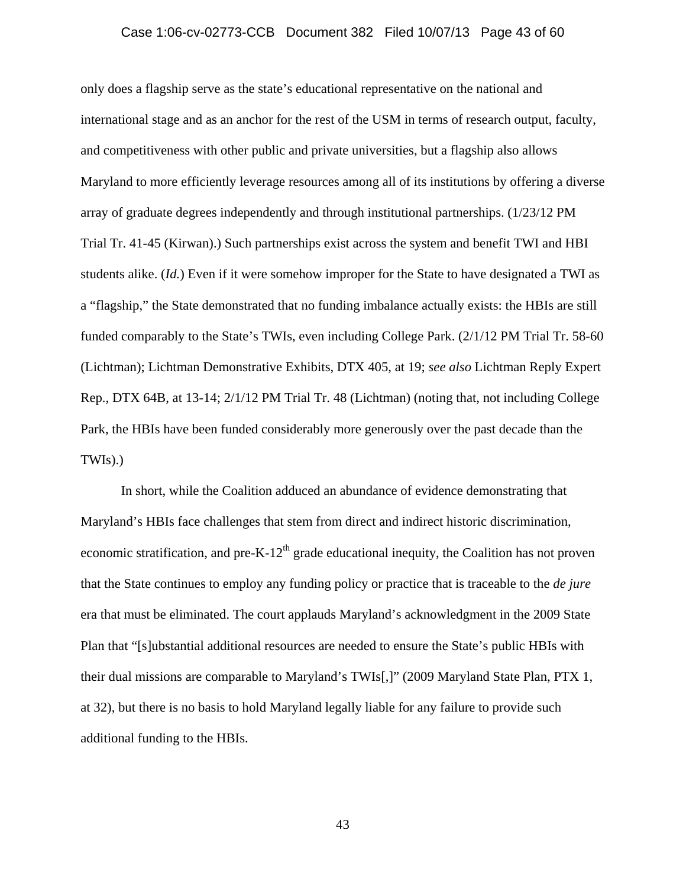### Case 1:06-cv-02773-CCB Document 382 Filed 10/07/13 Page 43 of 60

only does a flagship serve as the state's educational representative on the national and international stage and as an anchor for the rest of the USM in terms of research output, faculty, and competitiveness with other public and private universities, but a flagship also allows Maryland to more efficiently leverage resources among all of its institutions by offering a diverse array of graduate degrees independently and through institutional partnerships. (1/23/12 PM Trial Tr. 41-45 (Kirwan).) Such partnerships exist across the system and benefit TWI and HBI students alike. (*Id.*) Even if it were somehow improper for the State to have designated a TWI as a "flagship," the State demonstrated that no funding imbalance actually exists: the HBIs are still funded comparably to the State's TWIs, even including College Park. (2/1/12 PM Trial Tr. 58-60 (Lichtman); Lichtman Demonstrative Exhibits, DTX 405, at 19; *see also* Lichtman Reply Expert Rep., DTX 64B, at 13-14; 2/1/12 PM Trial Tr. 48 (Lichtman) (noting that, not including College Park, the HBIs have been funded considerably more generously over the past decade than the TWIs).)

 In short, while the Coalition adduced an abundance of evidence demonstrating that Maryland's HBIs face challenges that stem from direct and indirect historic discrimination, economic stratification, and pre-K-12<sup>th</sup> grade educational inequity, the Coalition has not proven that the State continues to employ any funding policy or practice that is traceable to the *de jure*  era that must be eliminated. The court applauds Maryland's acknowledgment in the 2009 State Plan that "[s]ubstantial additional resources are needed to ensure the State's public HBIs with their dual missions are comparable to Maryland's TWIs[,]" (2009 Maryland State Plan, PTX 1, at 32), but there is no basis to hold Maryland legally liable for any failure to provide such additional funding to the HBIs.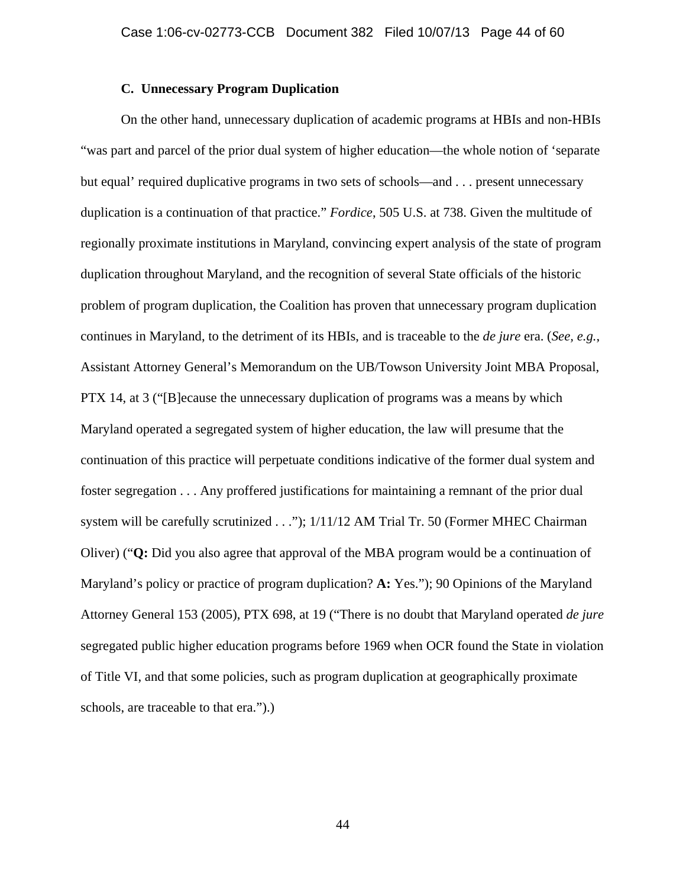# **C. Unnecessary Program Duplication**

On the other hand, unnecessary duplication of academic programs at HBIs and non-HBIs "was part and parcel of the prior dual system of higher education—the whole notion of 'separate but equal' required duplicative programs in two sets of schools—and . . . present unnecessary duplication is a continuation of that practice." *Fordice*, 505 U.S. at 738. Given the multitude of regionally proximate institutions in Maryland, convincing expert analysis of the state of program duplication throughout Maryland, and the recognition of several State officials of the historic problem of program duplication, the Coalition has proven that unnecessary program duplication continues in Maryland, to the detriment of its HBIs, and is traceable to the *de jure* era. (*See, e.g.*, Assistant Attorney General's Memorandum on the UB/Towson University Joint MBA Proposal, PTX 14, at 3 ("[B]ecause the unnecessary duplication of programs was a means by which Maryland operated a segregated system of higher education, the law will presume that the continuation of this practice will perpetuate conditions indicative of the former dual system and foster segregation . . . Any proffered justifications for maintaining a remnant of the prior dual system will be carefully scrutinized . . ."); 1/11/12 AM Trial Tr. 50 (Former MHEC Chairman Oliver) ("**Q:** Did you also agree that approval of the MBA program would be a continuation of Maryland's policy or practice of program duplication? **A:** Yes."); 90 Opinions of the Maryland Attorney General 153 (2005), PTX 698, at 19 ("There is no doubt that Maryland operated *de jure*  segregated public higher education programs before 1969 when OCR found the State in violation of Title VI, and that some policies, such as program duplication at geographically proximate schools, are traceable to that era.").)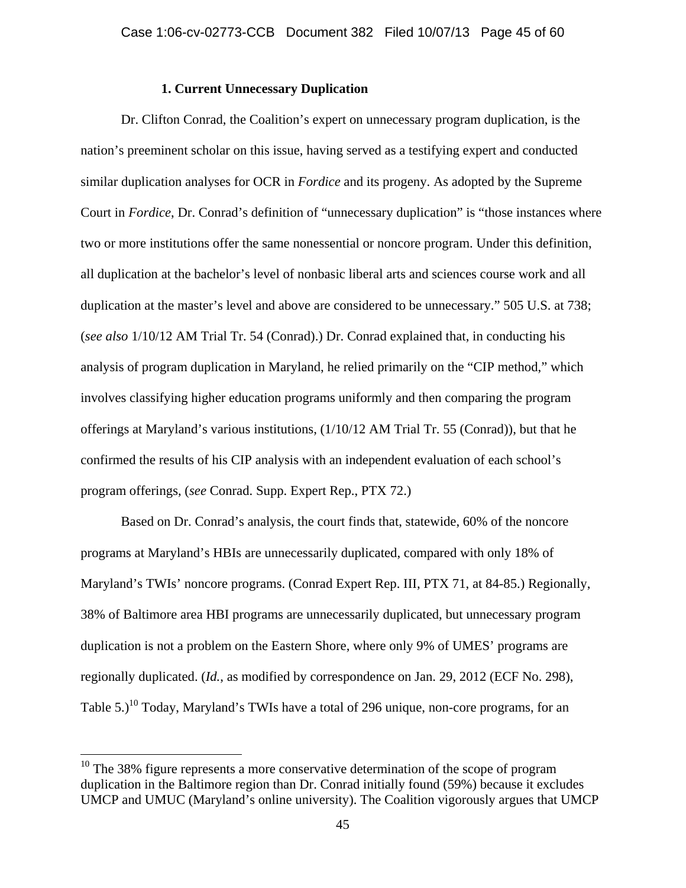# **1. Current Unnecessary Duplication**

Dr. Clifton Conrad, the Coalition's expert on unnecessary program duplication, is the nation's preeminent scholar on this issue, having served as a testifying expert and conducted similar duplication analyses for OCR in *Fordice* and its progeny. As adopted by the Supreme Court in *Fordice*, Dr. Conrad's definition of "unnecessary duplication" is "those instances where two or more institutions offer the same nonessential or noncore program. Under this definition, all duplication at the bachelor's level of nonbasic liberal arts and sciences course work and all duplication at the master's level and above are considered to be unnecessary." 505 U.S. at 738; (*see also* 1/10/12 AM Trial Tr. 54 (Conrad).) Dr. Conrad explained that, in conducting his analysis of program duplication in Maryland, he relied primarily on the "CIP method," which involves classifying higher education programs uniformly and then comparing the program offerings at Maryland's various institutions, (1/10/12 AM Trial Tr. 55 (Conrad)), but that he confirmed the results of his CIP analysis with an independent evaluation of each school's program offerings, (*see* Conrad. Supp. Expert Rep., PTX 72.)

Based on Dr. Conrad's analysis, the court finds that, statewide, 60% of the noncore programs at Maryland's HBIs are unnecessarily duplicated, compared with only 18% of Maryland's TWIs' noncore programs. (Conrad Expert Rep. III, PTX 71, at 84-85.) Regionally, 38% of Baltimore area HBI programs are unnecessarily duplicated, but unnecessary program duplication is not a problem on the Eastern Shore, where only 9% of UMES' programs are regionally duplicated. (*Id.*, as modified by correspondence on Jan. 29, 2012 (ECF No. 298), Table  $5.$ )<sup>10</sup> Today, Maryland's TWIs have a total of 296 unique, non-core programs, for an

 $\overline{a}$ 

 $10$  The 38% figure represents a more conservative determination of the scope of program duplication in the Baltimore region than Dr. Conrad initially found (59%) because it excludes UMCP and UMUC (Maryland's online university). The Coalition vigorously argues that UMCP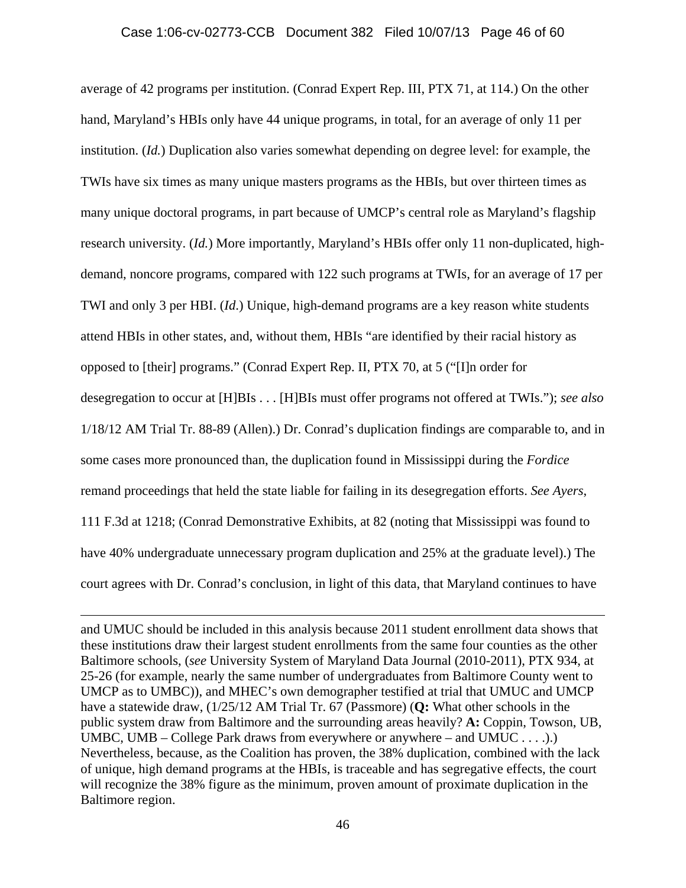average of 42 programs per institution. (Conrad Expert Rep. III, PTX 71, at 114.) On the other hand, Maryland's HBIs only have 44 unique programs, in total, for an average of only 11 per institution. (*Id.*) Duplication also varies somewhat depending on degree level: for example, the TWIs have six times as many unique masters programs as the HBIs, but over thirteen times as many unique doctoral programs, in part because of UMCP's central role as Maryland's flagship research university. (*Id.*) More importantly, Maryland's HBIs offer only 11 non-duplicated, highdemand, noncore programs, compared with 122 such programs at TWIs, for an average of 17 per TWI and only 3 per HBI. (*Id*.) Unique, high-demand programs are a key reason white students attend HBIs in other states, and, without them, HBIs "are identified by their racial history as opposed to [their] programs." (Conrad Expert Rep. II, PTX 70, at 5 ("[I]n order for desegregation to occur at [H]BIs . . . [H]BIs must offer programs not offered at TWIs."); *see also*  1/18/12 AM Trial Tr. 88-89 (Allen).) Dr. Conrad's duplication findings are comparable to, and in some cases more pronounced than, the duplication found in Mississippi during the *Fordice* remand proceedings that held the state liable for failing in its desegregation efforts. *See Ayers*, 111 F.3d at 1218; (Conrad Demonstrative Exhibits, at 82 (noting that Mississippi was found to have 40% undergraduate unnecessary program duplication and 25% at the graduate level).) The court agrees with Dr. Conrad's conclusion, in light of this data, that Maryland continues to have

and UMUC should be included in this analysis because 2011 student enrollment data shows that these institutions draw their largest student enrollments from the same four counties as the other Baltimore schools, (*see* University System of Maryland Data Journal (2010-2011), PTX 934, at 25-26 (for example, nearly the same number of undergraduates from Baltimore County went to UMCP as to UMBC)), and MHEC's own demographer testified at trial that UMUC and UMCP have a statewide draw, (1/25/12 AM Trial Tr. 67 (Passmore) (**Q:** What other schools in the public system draw from Baltimore and the surrounding areas heavily? **A:** Coppin, Towson, UB, UMBC, UMB – College Park draws from everywhere or anywhere – and UMUC  $\dots$ . Nevertheless, because, as the Coalition has proven, the 38% duplication, combined with the lack of unique, high demand programs at the HBIs, is traceable and has segregative effects, the court will recognize the 38% figure as the minimum, proven amount of proximate duplication in the Baltimore region.

 $\overline{a}$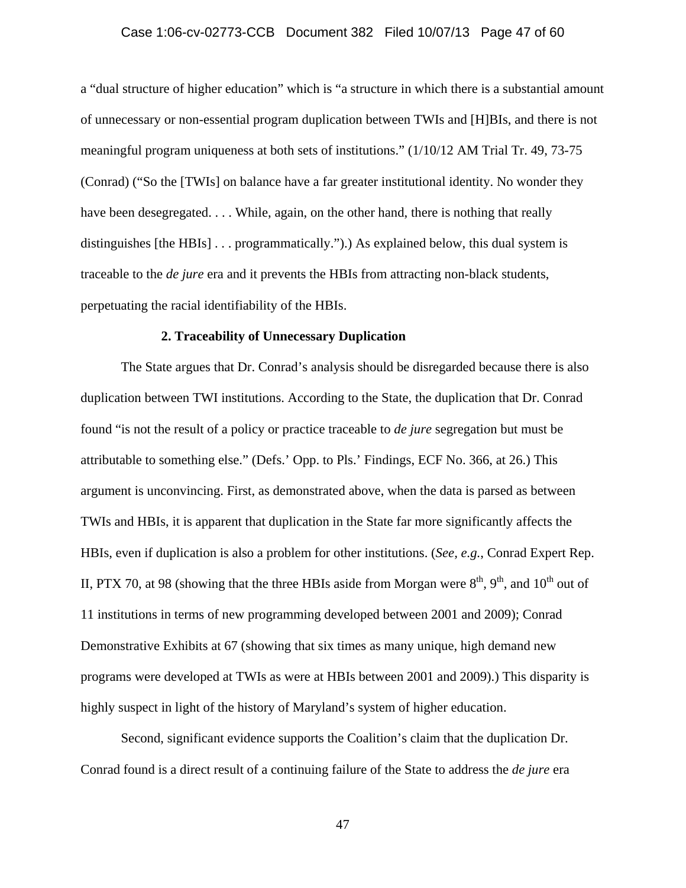# Case 1:06-cv-02773-CCB Document 382 Filed 10/07/13 Page 47 of 60

a "dual structure of higher education" which is "a structure in which there is a substantial amount of unnecessary or non-essential program duplication between TWIs and [H]BIs, and there is not meaningful program uniqueness at both sets of institutions." (1/10/12 AM Trial Tr. 49, 73-75 (Conrad) ("So the [TWIs] on balance have a far greater institutional identity. No wonder they have been desegregated. . . . While, again, on the other hand, there is nothing that really distinguishes [the HBIs] . . . programmatically.").) As explained below, this dual system is traceable to the *de jure* era and it prevents the HBIs from attracting non-black students, perpetuating the racial identifiability of the HBIs.

### **2. Traceability of Unnecessary Duplication**

The State argues that Dr. Conrad's analysis should be disregarded because there is also duplication between TWI institutions. According to the State, the duplication that Dr. Conrad found "is not the result of a policy or practice traceable to *de jure* segregation but must be attributable to something else." (Defs.' Opp. to Pls.' Findings, ECF No. 366, at 26.) This argument is unconvincing. First, as demonstrated above, when the data is parsed as between TWIs and HBIs, it is apparent that duplication in the State far more significantly affects the HBIs, even if duplication is also a problem for other institutions. (*See, e.g.*, Conrad Expert Rep. II, PTX 70, at 98 (showing that the three HBIs aside from Morgan were  $8<sup>th</sup>$ ,  $9<sup>th</sup>$ , and  $10<sup>th</sup>$  out of 11 institutions in terms of new programming developed between 2001 and 2009); Conrad Demonstrative Exhibits at 67 (showing that six times as many unique, high demand new programs were developed at TWIs as were at HBIs between 2001 and 2009).) This disparity is highly suspect in light of the history of Maryland's system of higher education.

Second, significant evidence supports the Coalition's claim that the duplication Dr. Conrad found is a direct result of a continuing failure of the State to address the *de jure* era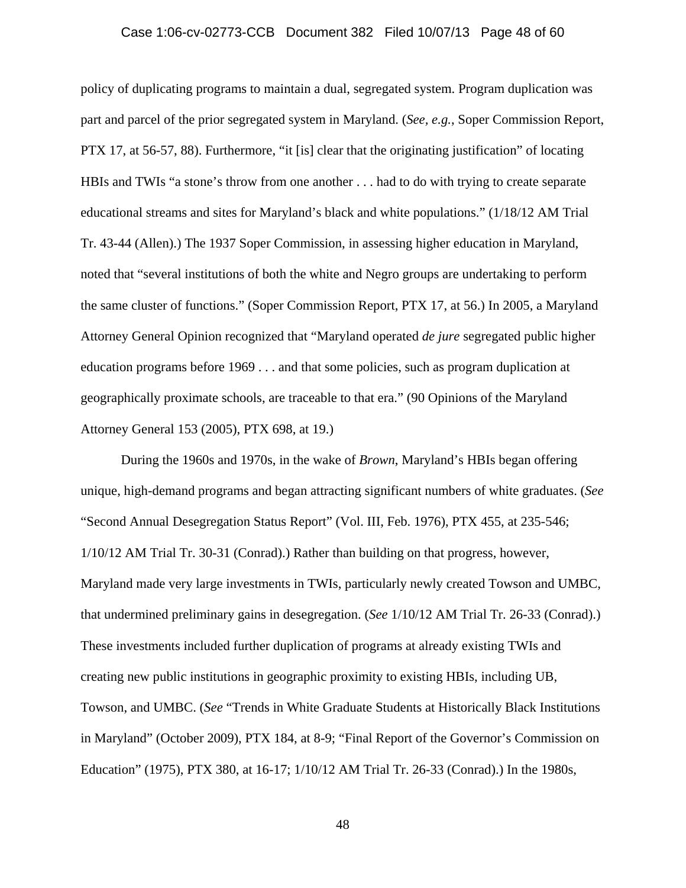# Case 1:06-cv-02773-CCB Document 382 Filed 10/07/13 Page 48 of 60

policy of duplicating programs to maintain a dual, segregated system. Program duplication was part and parcel of the prior segregated system in Maryland. (*See, e.g.*, Soper Commission Report, PTX 17, at 56-57, 88). Furthermore, "it [is] clear that the originating justification" of locating HBIs and TWIs "a stone's throw from one another . . . had to do with trying to create separate educational streams and sites for Maryland's black and white populations." (1/18/12 AM Trial Tr. 43-44 (Allen).) The 1937 Soper Commission, in assessing higher education in Maryland, noted that "several institutions of both the white and Negro groups are undertaking to perform the same cluster of functions." (Soper Commission Report, PTX 17, at 56.) In 2005, a Maryland Attorney General Opinion recognized that "Maryland operated *de jure* segregated public higher education programs before 1969 . . . and that some policies, such as program duplication at geographically proximate schools, are traceable to that era." (90 Opinions of the Maryland Attorney General 153 (2005), PTX 698, at 19.)

During the 1960s and 1970s, in the wake of *Brown*, Maryland's HBIs began offering unique, high-demand programs and began attracting significant numbers of white graduates. (*See*  "Second Annual Desegregation Status Report" (Vol. III, Feb. 1976), PTX 455, at 235-546; 1/10/12 AM Trial Tr. 30-31 (Conrad).) Rather than building on that progress, however, Maryland made very large investments in TWIs, particularly newly created Towson and UMBC, that undermined preliminary gains in desegregation. (*See* 1/10/12 AM Trial Tr. 26-33 (Conrad).) These investments included further duplication of programs at already existing TWIs and creating new public institutions in geographic proximity to existing HBIs, including UB, Towson, and UMBC. (*See* "Trends in White Graduate Students at Historically Black Institutions in Maryland" (October 2009), PTX 184, at 8-9; "Final Report of the Governor's Commission on Education" (1975), PTX 380, at 16-17; 1/10/12 AM Trial Tr. 26-33 (Conrad).) In the 1980s,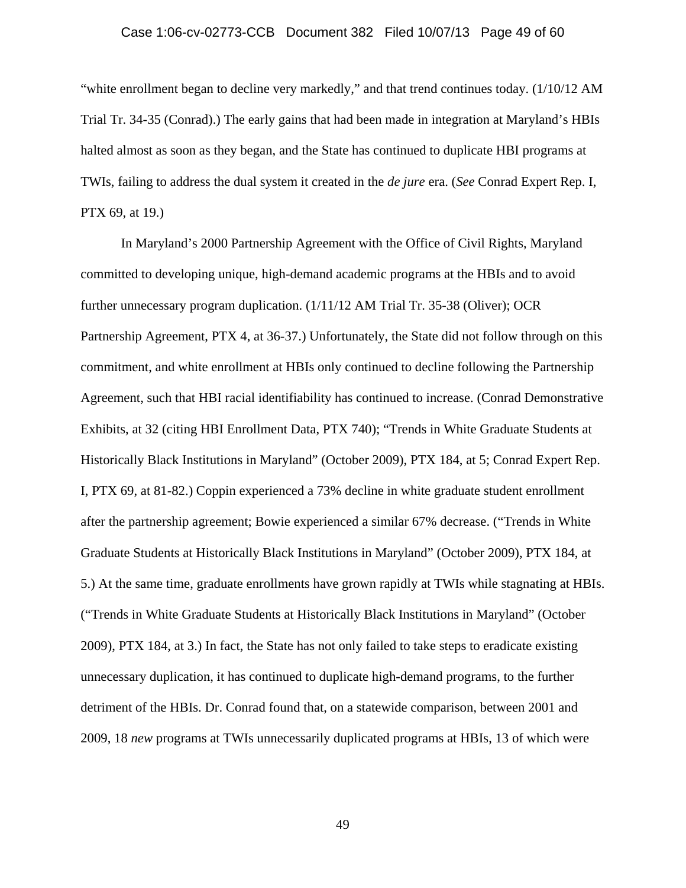### Case 1:06-cv-02773-CCB Document 382 Filed 10/07/13 Page 49 of 60

"white enrollment began to decline very markedly," and that trend continues today. (1/10/12 AM Trial Tr. 34-35 (Conrad).) The early gains that had been made in integration at Maryland's HBIs halted almost as soon as they began, and the State has continued to duplicate HBI programs at TWIs, failing to address the dual system it created in the *de jure* era. (*See* Conrad Expert Rep. I, PTX 69, at 19.)

In Maryland's 2000 Partnership Agreement with the Office of Civil Rights, Maryland committed to developing unique, high-demand academic programs at the HBIs and to avoid further unnecessary program duplication. (1/11/12 AM Trial Tr. 35-38 (Oliver); OCR Partnership Agreement, PTX 4, at 36-37.) Unfortunately, the State did not follow through on this commitment, and white enrollment at HBIs only continued to decline following the Partnership Agreement, such that HBI racial identifiability has continued to increase. (Conrad Demonstrative Exhibits, at 32 (citing HBI Enrollment Data, PTX 740); "Trends in White Graduate Students at Historically Black Institutions in Maryland" (October 2009), PTX 184, at 5; Conrad Expert Rep. I, PTX 69, at 81-82.) Coppin experienced a 73% decline in white graduate student enrollment after the partnership agreement; Bowie experienced a similar 67% decrease. ("Trends in White Graduate Students at Historically Black Institutions in Maryland" (October 2009), PTX 184, at 5.) At the same time, graduate enrollments have grown rapidly at TWIs while stagnating at HBIs. ("Trends in White Graduate Students at Historically Black Institutions in Maryland" (October 2009), PTX 184, at 3.) In fact, the State has not only failed to take steps to eradicate existing unnecessary duplication, it has continued to duplicate high-demand programs, to the further detriment of the HBIs. Dr. Conrad found that, on a statewide comparison, between 2001 and 2009, 18 *new* programs at TWIs unnecessarily duplicated programs at HBIs, 13 of which were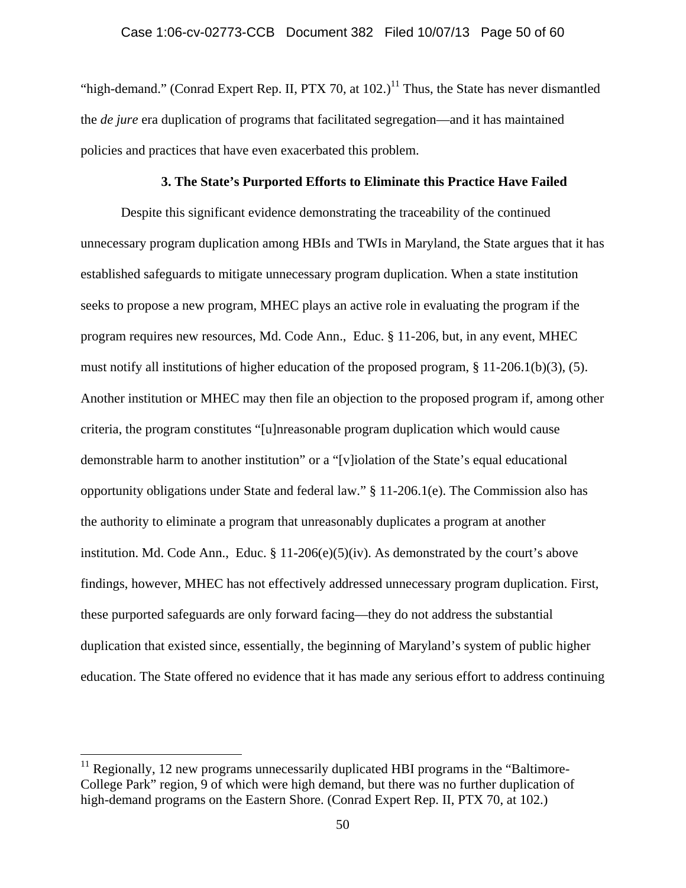"high-demand." (Conrad Expert Rep. II, PTX 70, at  $102.$ )<sup>11</sup> Thus, the State has never dismantled the *de jure* era duplication of programs that facilitated segregation—and it has maintained policies and practices that have even exacerbated this problem.

# **3. The State's Purported Efforts to Eliminate this Practice Have Failed**

Despite this significant evidence demonstrating the traceability of the continued unnecessary program duplication among HBIs and TWIs in Maryland, the State argues that it has established safeguards to mitigate unnecessary program duplication. When a state institution seeks to propose a new program, MHEC plays an active role in evaluating the program if the program requires new resources, Md. Code Ann., Educ. § 11-206, but, in any event, MHEC must notify all institutions of higher education of the proposed program, § 11-206.1(b)(3), (5). Another institution or MHEC may then file an objection to the proposed program if, among other criteria, the program constitutes "[u]nreasonable program duplication which would cause demonstrable harm to another institution" or a "[v]iolation of the State's equal educational opportunity obligations under State and federal law." § 11-206.1(e). The Commission also has the authority to eliminate a program that unreasonably duplicates a program at another institution. Md. Code Ann., Educ.  $\S 11{\text -}206(e)(5)(iv)$ . As demonstrated by the court's above findings, however, MHEC has not effectively addressed unnecessary program duplication. First, these purported safeguards are only forward facing—they do not address the substantial duplication that existed since, essentially, the beginning of Maryland's system of public higher education. The State offered no evidence that it has made any serious effort to address continuing

 $\overline{a}$ 

 $<sup>11</sup>$  Regionally, 12 new programs unnecessarily duplicated HBI programs in the "Baltimore-</sup> College Park" region, 9 of which were high demand, but there was no further duplication of high-demand programs on the Eastern Shore. (Conrad Expert Rep. II, PTX 70, at 102.)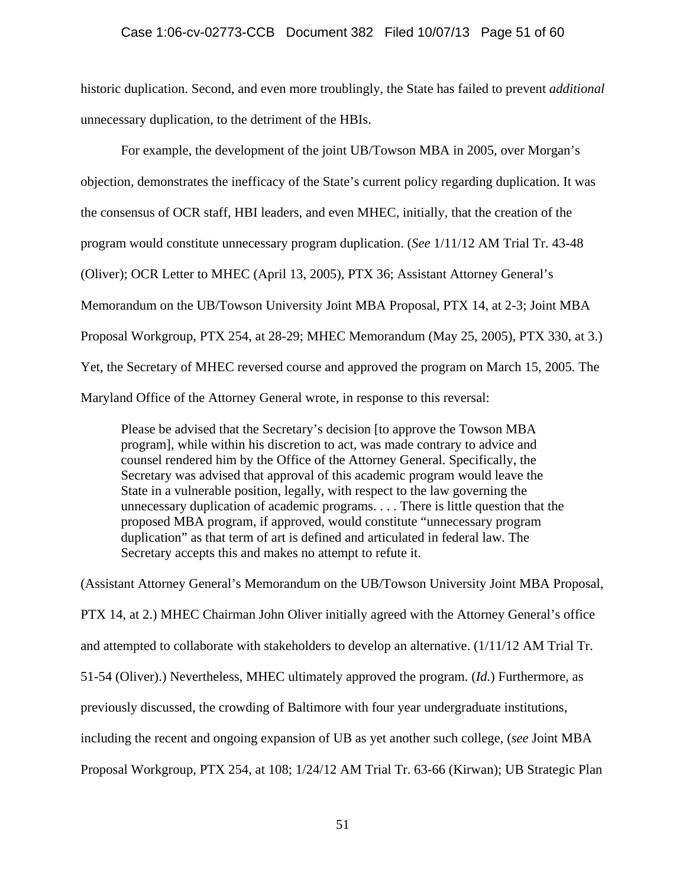historic duplication. Second, and even more troublingly, the State has failed to prevent *additional*  unnecessary duplication, to the detriment of the HBIs.

 For example, the development of the joint UB/Towson MBA in 2005, over Morgan's objection, demonstrates the inefficacy of the State's current policy regarding duplication. It was the consensus of OCR staff, HBI leaders, and even MHEC, initially, that the creation of the program would constitute unnecessary program duplication. (*See* 1/11/12 AM Trial Tr. 43-48 (Oliver); OCR Letter to MHEC (April 13, 2005), PTX 36; Assistant Attorney General's Memorandum on the UB/Towson University Joint MBA Proposal, PTX 14, at 2-3; Joint MBA Proposal Workgroup, PTX 254, at 28-29; MHEC Memorandum (May 25, 2005), PTX 330, at 3.) Yet, the Secretary of MHEC reversed course and approved the program on March 15, 2005. The Maryland Office of the Attorney General wrote, in response to this reversal:

Please be advised that the Secretary's decision [to approve the Towson MBA program], while within his discretion to act, was made contrary to advice and counsel rendered him by the Office of the Attorney General. Specifically, the Secretary was advised that approval of this academic program would leave the State in a vulnerable position, legally, with respect to the law governing the unnecessary duplication of academic programs. . . . There is little question that the proposed MBA program, if approved, would constitute "unnecessary program duplication" as that term of art is defined and articulated in federal law. The Secretary accepts this and makes no attempt to refute it.

(Assistant Attorney General's Memorandum on the UB/Towson University Joint MBA Proposal, PTX 14, at 2.) MHEC Chairman John Oliver initially agreed with the Attorney General's office and attempted to collaborate with stakeholders to develop an alternative. (1/11/12 AM Trial Tr. 51-54 (Oliver).) Nevertheless, MHEC ultimately approved the program. (*Id.*) Furthermore, as previously discussed, the crowding of Baltimore with four year undergraduate institutions, including the recent and ongoing expansion of UB as yet another such college, (*see* Joint MBA Proposal Workgroup, PTX 254, at 108; 1/24/12 AM Trial Tr. 63-66 (Kirwan); UB Strategic Plan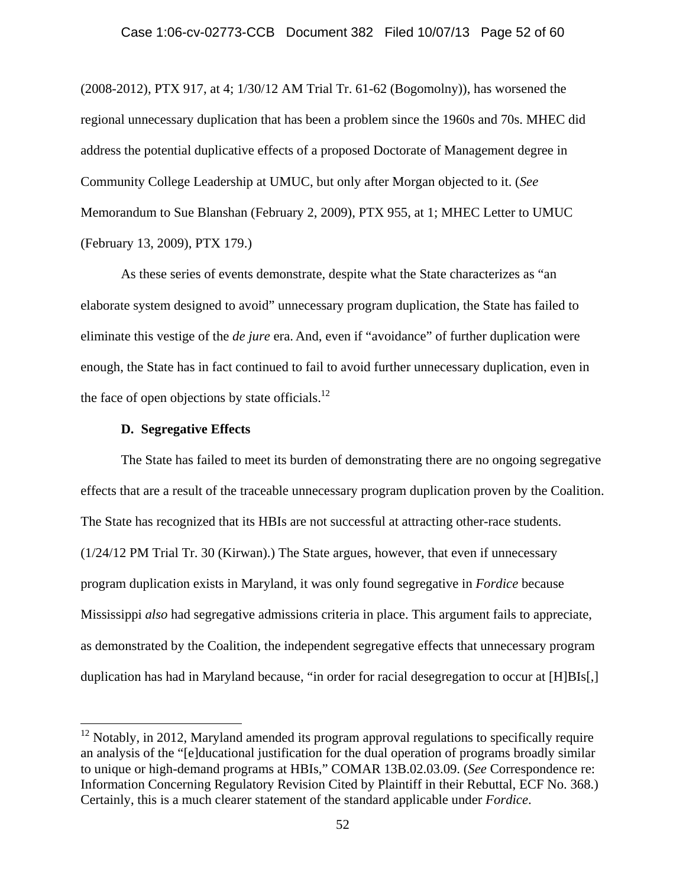(2008-2012), PTX 917, at 4; 1/30/12 AM Trial Tr. 61-62 (Bogomolny)), has worsened the regional unnecessary duplication that has been a problem since the 1960s and 70s. MHEC did address the potential duplicative effects of a proposed Doctorate of Management degree in Community College Leadership at UMUC, but only after Morgan objected to it. (*See*  Memorandum to Sue Blanshan (February 2, 2009), PTX 955, at 1; MHEC Letter to UMUC (February 13, 2009), PTX 179.)

As these series of events demonstrate, despite what the State characterizes as "an elaborate system designed to avoid" unnecessary program duplication, the State has failed to eliminate this vestige of the *de jure* era. And, even if "avoidance" of further duplication were enough, the State has in fact continued to fail to avoid further unnecessary duplication, even in the face of open objections by state officials. $^{12}$ 

# **D. Segregative Effects**

 $\overline{a}$ 

The State has failed to meet its burden of demonstrating there are no ongoing segregative effects that are a result of the traceable unnecessary program duplication proven by the Coalition. The State has recognized that its HBIs are not successful at attracting other-race students. (1/24/12 PM Trial Tr. 30 (Kirwan).) The State argues, however, that even if unnecessary program duplication exists in Maryland, it was only found segregative in *Fordice* because Mississippi *also* had segregative admissions criteria in place. This argument fails to appreciate, as demonstrated by the Coalition, the independent segregative effects that unnecessary program duplication has had in Maryland because, "in order for racial desegregation to occur at [H]BIs[,]

 $12$  Notably, in 2012, Maryland amended its program approval regulations to specifically require an analysis of the "[e]ducational justification for the dual operation of programs broadly similar to unique or high-demand programs at HBIs," COMAR 13B.02.03.09. (*See* Correspondence re: Information Concerning Regulatory Revision Cited by Plaintiff in their Rebuttal, ECF No. 368.) Certainly, this is a much clearer statement of the standard applicable under *Fordice*.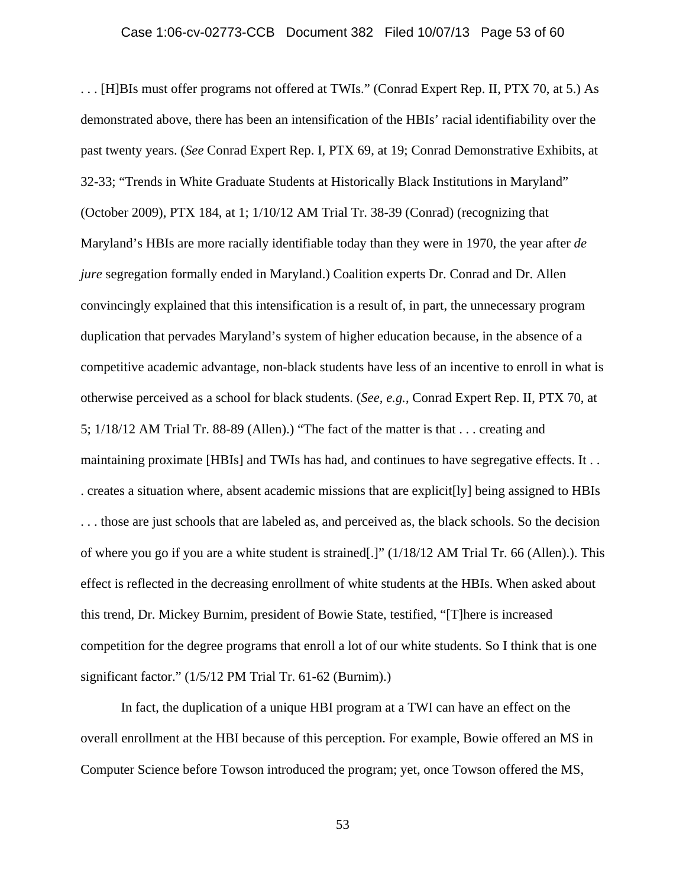. . . [H]BIs must offer programs not offered at TWIs." (Conrad Expert Rep. II, PTX 70, at 5.) As demonstrated above, there has been an intensification of the HBIs' racial identifiability over the past twenty years. (*See* Conrad Expert Rep. I, PTX 69, at 19; Conrad Demonstrative Exhibits, at 32-33; "Trends in White Graduate Students at Historically Black Institutions in Maryland" (October 2009), PTX 184, at 1; 1/10/12 AM Trial Tr. 38-39 (Conrad) (recognizing that Maryland's HBIs are more racially identifiable today than they were in 1970, the year after *de jure* segregation formally ended in Maryland.) Coalition experts Dr. Conrad and Dr. Allen convincingly explained that this intensification is a result of, in part, the unnecessary program duplication that pervades Maryland's system of higher education because, in the absence of a competitive academic advantage, non-black students have less of an incentive to enroll in what is otherwise perceived as a school for black students. (*See, e.g.*, Conrad Expert Rep. II, PTX 70, at 5; 1/18/12 AM Trial Tr. 88-89 (Allen).) "The fact of the matter is that . . . creating and maintaining proximate [HBIs] and TWIs has had, and continues to have segregative effects. It . . . creates a situation where, absent academic missions that are explicit[ly] being assigned to HBIs . . . those are just schools that are labeled as, and perceived as, the black schools. So the decision of where you go if you are a white student is strained[.]" (1/18/12 AM Trial Tr. 66 (Allen).). This effect is reflected in the decreasing enrollment of white students at the HBIs. When asked about this trend, Dr. Mickey Burnim, president of Bowie State, testified, "[T]here is increased competition for the degree programs that enroll a lot of our white students. So I think that is one significant factor." (1/5/12 PM Trial Tr. 61-62 (Burnim).)

In fact, the duplication of a unique HBI program at a TWI can have an effect on the overall enrollment at the HBI because of this perception. For example, Bowie offered an MS in Computer Science before Towson introduced the program; yet, once Towson offered the MS,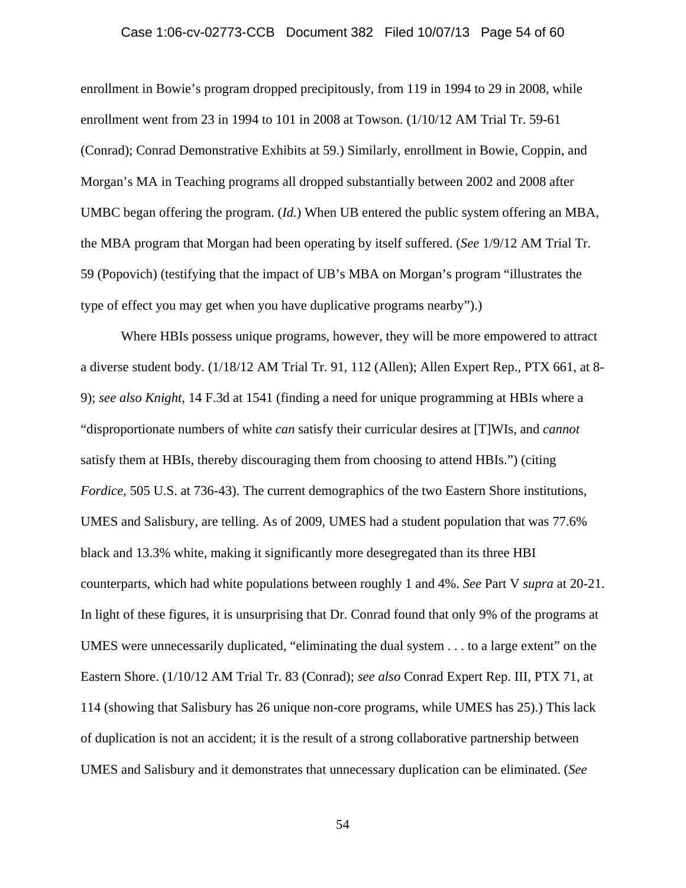# Case 1:06-cv-02773-CCB Document 382 Filed 10/07/13 Page 54 of 60

enrollment in Bowie's program dropped precipitously, from 119 in 1994 to 29 in 2008, while enrollment went from 23 in 1994 to 101 in 2008 at Towson. (1/10/12 AM Trial Tr. 59-61 (Conrad); Conrad Demonstrative Exhibits at 59.) Similarly, enrollment in Bowie, Coppin, and Morgan's MA in Teaching programs all dropped substantially between 2002 and 2008 after UMBC began offering the program. (*Id.*) When UB entered the public system offering an MBA, the MBA program that Morgan had been operating by itself suffered. (*See* 1/9/12 AM Trial Tr. 59 (Popovich) (testifying that the impact of UB's MBA on Morgan's program "illustrates the type of effect you may get when you have duplicative programs nearby").)

Where HBIs possess unique programs, however, they will be more empowered to attract a diverse student body. (1/18/12 AM Trial Tr. 91, 112 (Allen); Allen Expert Rep., PTX 661, at 8- 9); *see also Knight*, 14 F.3d at 1541 (finding a need for unique programming at HBIs where a "disproportionate numbers of white *can* satisfy their curricular desires at [T]WIs, and *cannot* satisfy them at HBIs, thereby discouraging them from choosing to attend HBIs.") (citing *Fordice*, 505 U.S. at 736-43). The current demographics of the two Eastern Shore institutions, UMES and Salisbury, are telling. As of 2009, UMES had a student population that was 77.6% black and 13.3% white, making it significantly more desegregated than its three HBI counterparts, which had white populations between roughly 1 and 4%. *See* Part V *supra* at 20-21. In light of these figures, it is unsurprising that Dr. Conrad found that only 9% of the programs at UMES were unnecessarily duplicated, "eliminating the dual system . . . to a large extent" on the Eastern Shore. (1/10/12 AM Trial Tr. 83 (Conrad); *see also* Conrad Expert Rep. III, PTX 71, at 114 (showing that Salisbury has 26 unique non-core programs, while UMES has 25).) This lack of duplication is not an accident; it is the result of a strong collaborative partnership between UMES and Salisbury and it demonstrates that unnecessary duplication can be eliminated. (*See*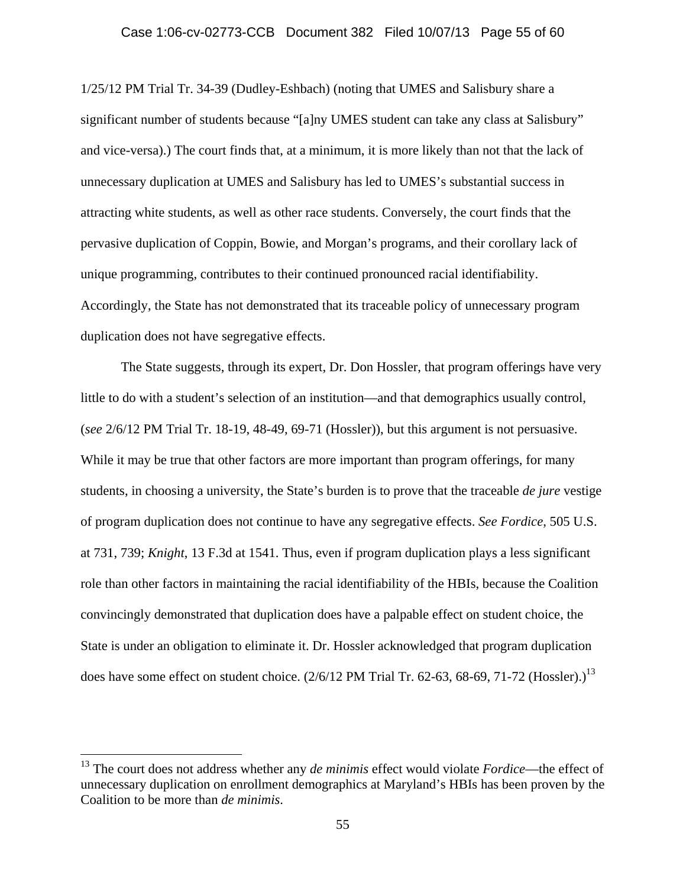1/25/12 PM Trial Tr. 34-39 (Dudley-Eshbach) (noting that UMES and Salisbury share a significant number of students because "[a]ny UMES student can take any class at Salisbury" and vice-versa).) The court finds that, at a minimum, it is more likely than not that the lack of unnecessary duplication at UMES and Salisbury has led to UMES's substantial success in attracting white students, as well as other race students. Conversely, the court finds that the pervasive duplication of Coppin, Bowie, and Morgan's programs, and their corollary lack of unique programming, contributes to their continued pronounced racial identifiability. Accordingly, the State has not demonstrated that its traceable policy of unnecessary program duplication does not have segregative effects.

The State suggests, through its expert, Dr. Don Hossler, that program offerings have very little to do with a student's selection of an institution—and that demographics usually control, (*see* 2/6/12 PM Trial Tr. 18-19, 48-49, 69-71 (Hossler)), but this argument is not persuasive. While it may be true that other factors are more important than program offerings, for many students, in choosing a university, the State's burden is to prove that the traceable *de jure* vestige of program duplication does not continue to have any segregative effects. *See Fordice*, 505 U.S. at 731, 739; *Knight*, 13 F.3d at 1541. Thus, even if program duplication plays a less significant role than other factors in maintaining the racial identifiability of the HBIs, because the Coalition convincingly demonstrated that duplication does have a palpable effect on student choice, the State is under an obligation to eliminate it. Dr. Hossler acknowledged that program duplication does have some effect on student choice.  $(2/6/12$  PM Trial Tr. 62-63, 68-69, 71-72 (Hossler).)<sup>13</sup>

<sup>&</sup>lt;sup>13</sup> The court does not address whether any *de minimis* effect would violate *Fordice*—the effect of unnecessary duplication on enrollment demographics at Maryland's HBIs has been proven by the Coalition to be more than *de minimis*.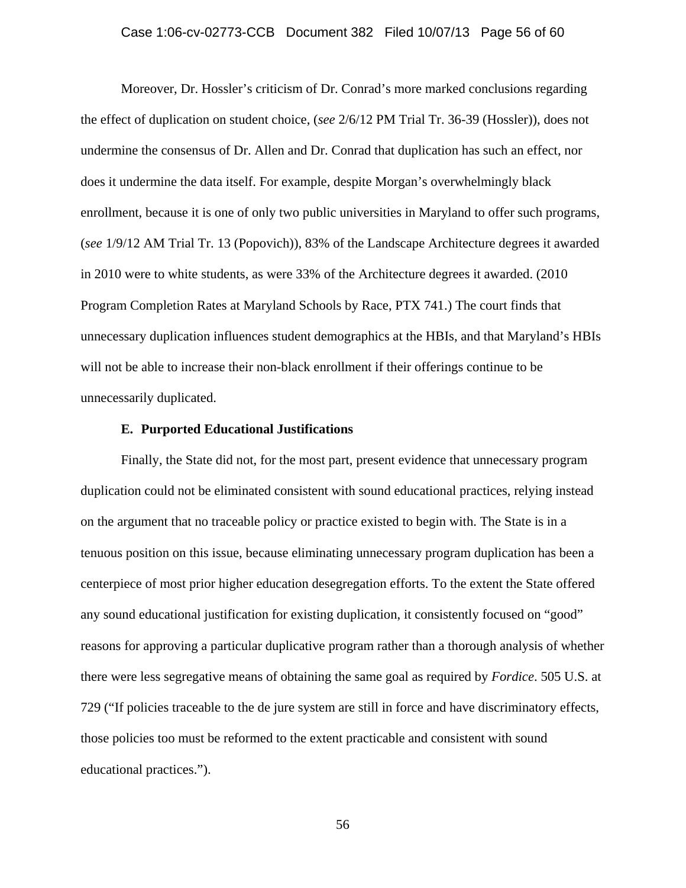### Case 1:06-cv-02773-CCB Document 382 Filed 10/07/13 Page 56 of 60

Moreover, Dr. Hossler's criticism of Dr. Conrad's more marked conclusions regarding the effect of duplication on student choice, (*see* 2/6/12 PM Trial Tr. 36-39 (Hossler)), does not undermine the consensus of Dr. Allen and Dr. Conrad that duplication has such an effect, nor does it undermine the data itself. For example, despite Morgan's overwhelmingly black enrollment, because it is one of only two public universities in Maryland to offer such programs, (*see* 1/9/12 AM Trial Tr. 13 (Popovich)), 83% of the Landscape Architecture degrees it awarded in 2010 were to white students, as were 33% of the Architecture degrees it awarded. (2010 Program Completion Rates at Maryland Schools by Race, PTX 741.) The court finds that unnecessary duplication influences student demographics at the HBIs, and that Maryland's HBIs will not be able to increase their non-black enrollment if their offerings continue to be unnecessarily duplicated.

### **E. Purported Educational Justifications**

Finally, the State did not, for the most part, present evidence that unnecessary program duplication could not be eliminated consistent with sound educational practices, relying instead on the argument that no traceable policy or practice existed to begin with. The State is in a tenuous position on this issue, because eliminating unnecessary program duplication has been a centerpiece of most prior higher education desegregation efforts. To the extent the State offered any sound educational justification for existing duplication, it consistently focused on "good" reasons for approving a particular duplicative program rather than a thorough analysis of whether there were less segregative means of obtaining the same goal as required by *Fordice*. 505 U.S. at 729 ("If policies traceable to the de jure system are still in force and have discriminatory effects, those policies too must be reformed to the extent practicable and consistent with sound educational practices.").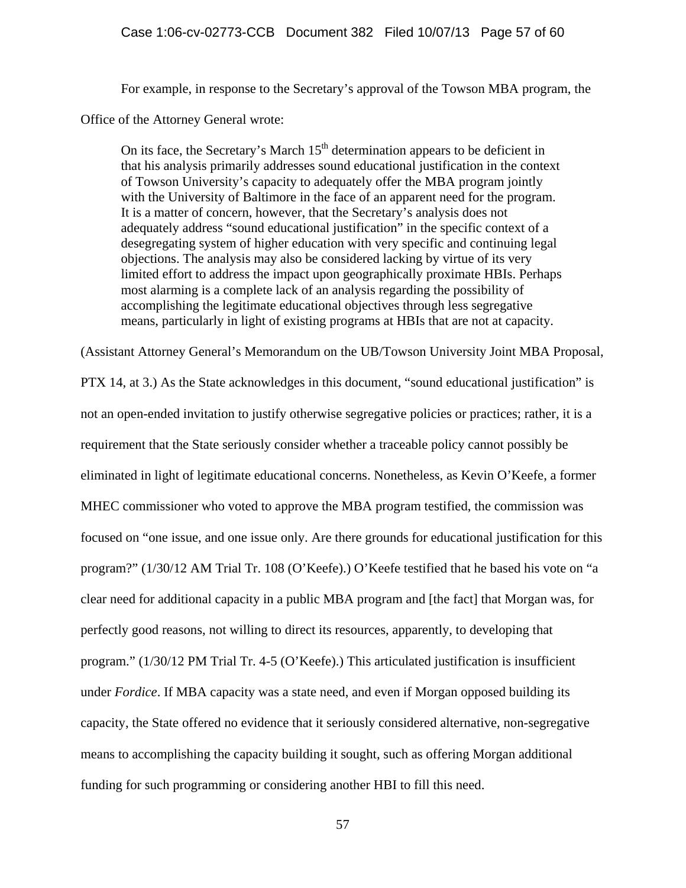For example, in response to the Secretary's approval of the Towson MBA program, the

Office of the Attorney General wrote:

On its face, the Secretary's March  $15<sup>th</sup>$  determination appears to be deficient in that his analysis primarily addresses sound educational justification in the context of Towson University's capacity to adequately offer the MBA program jointly with the University of Baltimore in the face of an apparent need for the program. It is a matter of concern, however, that the Secretary's analysis does not adequately address "sound educational justification" in the specific context of a desegregating system of higher education with very specific and continuing legal objections. The analysis may also be considered lacking by virtue of its very limited effort to address the impact upon geographically proximate HBIs. Perhaps most alarming is a complete lack of an analysis regarding the possibility of accomplishing the legitimate educational objectives through less segregative means, particularly in light of existing programs at HBIs that are not at capacity.

(Assistant Attorney General's Memorandum on the UB/Towson University Joint MBA Proposal,

PTX 14, at 3.) As the State acknowledges in this document, "sound educational justification" is not an open-ended invitation to justify otherwise segregative policies or practices; rather, it is a requirement that the State seriously consider whether a traceable policy cannot possibly be eliminated in light of legitimate educational concerns. Nonetheless, as Kevin O'Keefe, a former MHEC commissioner who voted to approve the MBA program testified, the commission was focused on "one issue, and one issue only. Are there grounds for educational justification for this program?" (1/30/12 AM Trial Tr. 108 (O'Keefe).) O'Keefe testified that he based his vote on "a clear need for additional capacity in a public MBA program and [the fact] that Morgan was, for perfectly good reasons, not willing to direct its resources, apparently, to developing that program." (1/30/12 PM Trial Tr. 4-5 (O'Keefe).) This articulated justification is insufficient under *Fordice*. If MBA capacity was a state need, and even if Morgan opposed building its capacity, the State offered no evidence that it seriously considered alternative, non-segregative means to accomplishing the capacity building it sought, such as offering Morgan additional funding for such programming or considering another HBI to fill this need.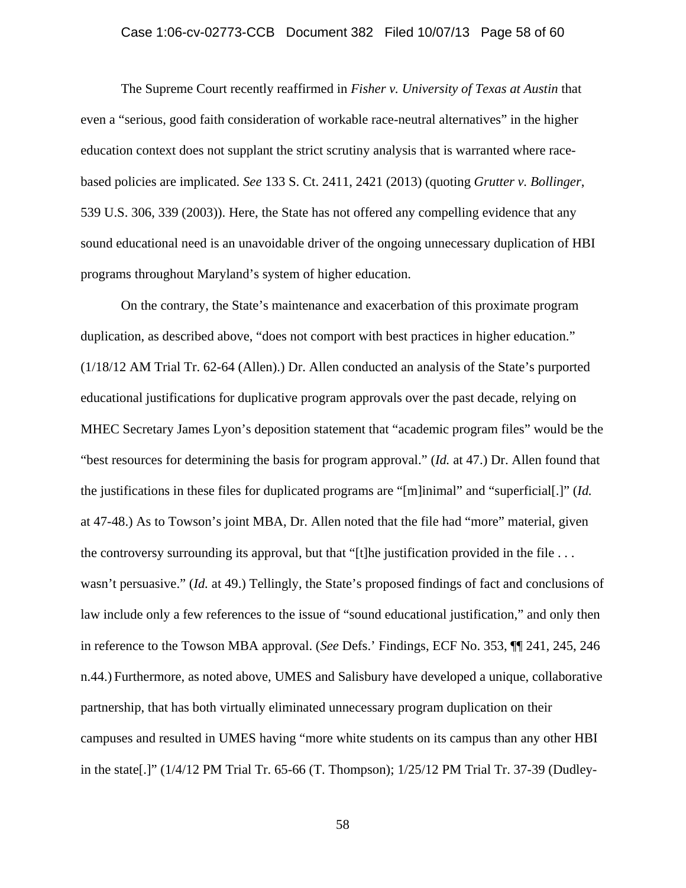### Case 1:06-cv-02773-CCB Document 382 Filed 10/07/13 Page 58 of 60

 The Supreme Court recently reaffirmed in *Fisher v. University of Texas at Austin* that even a "serious, good faith consideration of workable race-neutral alternatives" in the higher education context does not supplant the strict scrutiny analysis that is warranted where racebased policies are implicated. *See* 133 S. Ct. 2411, 2421 (2013) (quoting *Grutter v. Bollinger*, 539 U.S. 306, 339 (2003)). Here, the State has not offered any compelling evidence that any sound educational need is an unavoidable driver of the ongoing unnecessary duplication of HBI programs throughout Maryland's system of higher education.

 On the contrary, the State's maintenance and exacerbation of this proximate program duplication, as described above, "does not comport with best practices in higher education." (1/18/12 AM Trial Tr. 62-64 (Allen).) Dr. Allen conducted an analysis of the State's purported educational justifications for duplicative program approvals over the past decade, relying on MHEC Secretary James Lyon's deposition statement that "academic program files" would be the "best resources for determining the basis for program approval." (*Id.* at 47.) Dr. Allen found that the justifications in these files for duplicated programs are "[m]inimal" and "superficial[.]" (*Id.* at 47-48.) As to Towson's joint MBA, Dr. Allen noted that the file had "more" material, given the controversy surrounding its approval, but that "[t]he justification provided in the file  $\dots$ wasn't persuasive." (*Id.* at 49.) Tellingly, the State's proposed findings of fact and conclusions of law include only a few references to the issue of "sound educational justification," and only then in reference to the Towson MBA approval. (*See* Defs.' Findings, ECF No. 353, ¶¶ 241, 245, 246 n.44.) Furthermore, as noted above, UMES and Salisbury have developed a unique, collaborative partnership, that has both virtually eliminated unnecessary program duplication on their campuses and resulted in UMES having "more white students on its campus than any other HBI in the state[.]" (1/4/12 PM Trial Tr. 65-66 (T. Thompson); 1/25/12 PM Trial Tr. 37-39 (Dudley-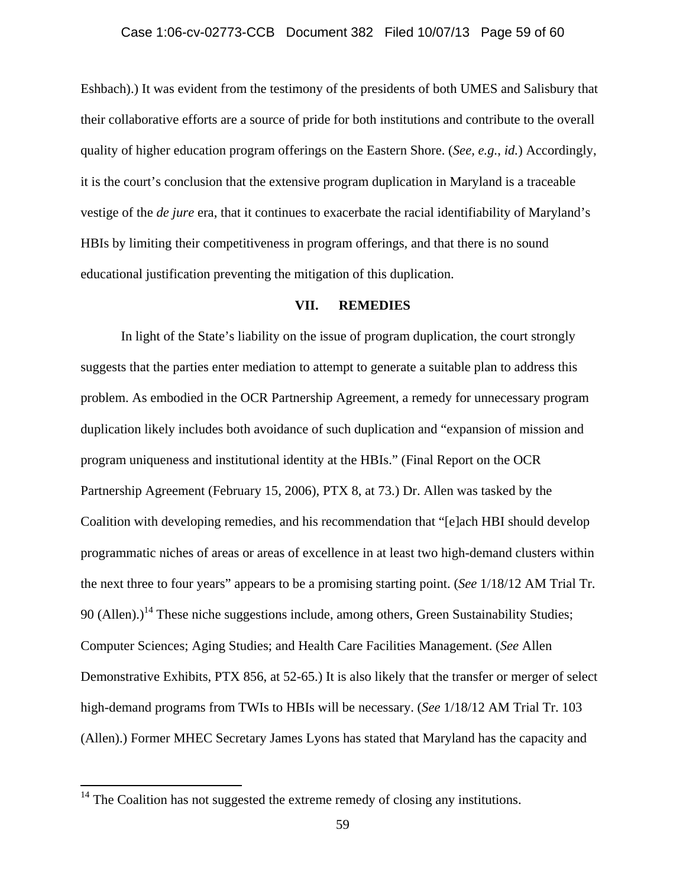Eshbach).) It was evident from the testimony of the presidents of both UMES and Salisbury that their collaborative efforts are a source of pride for both institutions and contribute to the overall quality of higher education program offerings on the Eastern Shore. (*See, e.g.*, *id.*) Accordingly, it is the court's conclusion that the extensive program duplication in Maryland is a traceable vestige of the *de jure* era, that it continues to exacerbate the racial identifiability of Maryland's HBIs by limiting their competitiveness in program offerings, and that there is no sound educational justification preventing the mitigation of this duplication.

### **VII. REMEDIES**

 In light of the State's liability on the issue of program duplication, the court strongly suggests that the parties enter mediation to attempt to generate a suitable plan to address this problem. As embodied in the OCR Partnership Agreement, a remedy for unnecessary program duplication likely includes both avoidance of such duplication and "expansion of mission and program uniqueness and institutional identity at the HBIs." (Final Report on the OCR Partnership Agreement (February 15, 2006), PTX 8, at 73.) Dr. Allen was tasked by the Coalition with developing remedies, and his recommendation that "[e]ach HBI should develop programmatic niches of areas or areas of excellence in at least two high-demand clusters within the next three to four years" appears to be a promising starting point. (*See* 1/18/12 AM Trial Tr. 90 (Allen).)<sup>14</sup> These niche suggestions include, among others, Green Sustainability Studies; Computer Sciences; Aging Studies; and Health Care Facilities Management. (*See* Allen Demonstrative Exhibits, PTX 856, at 52-65.) It is also likely that the transfer or merger of select high-demand programs from TWIs to HBIs will be necessary. (*See* 1/18/12 AM Trial Tr. 103 (Allen).) Former MHEC Secretary James Lyons has stated that Maryland has the capacity and

 $\overline{a}$ 

 $14$  The Coalition has not suggested the extreme remedy of closing any institutions.